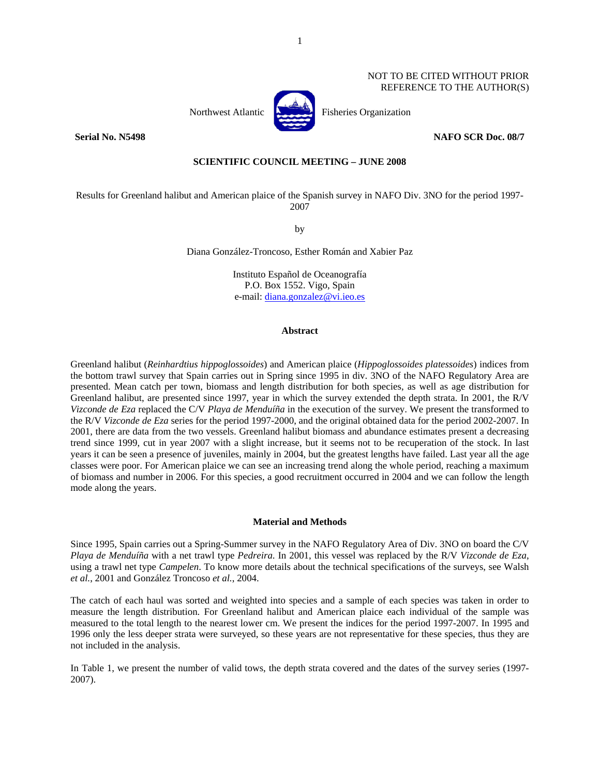# NOT TO BE CITED WITHOUT PRIOR REFERENCE TO THE AUTHOR(S)



Northwest Atlantic **Northusia** Fisheries Organization

### **Serial No. N5498 NAFO SCR Doc. 08/7**

# **SCIENTIFIC COUNCIL MEETING – JUNE 2008**

Results for Greenland halibut and American plaice of the Spanish survey in NAFO Div. 3NO for the period 1997- 2007

by

Diana González-Troncoso, Esther Román and Xabier Paz

Instituto Español de Oceanografía P.O. Box 1552. Vigo, Spain e-mail: diana.gonzalez@vi.ieo.es

### **Abstract**

Greenland halibut (*Reinhardtius hippoglossoides*) and American plaice (*Hippoglossoides platessoides*) indices from the bottom trawl survey that Spain carries out in Spring since 1995 in div. 3NO of the NAFO Regulatory Area are presented. Mean catch per town, biomass and length distribution for both species, as well as age distribution for Greenland halibut, are presented since 1997, year in which the survey extended the depth strata. In 2001, the R/V *Vizconde de Eza* replaced the C/V *Playa de Menduíña* in the execution of the survey. We present the transformed to the R/V *Vizconde de Eza* series for the period 1997-2000, and the original obtained data for the period 2002-2007. In 2001, there are data from the two vessels. Greenland halibut biomass and abundance estimates present a decreasing trend since 1999, cut in year 2007 with a slight increase, but it seems not to be recuperation of the stock. In last years it can be seen a presence of juveniles, mainly in 2004, but the greatest lengths have failed. Last year all the age classes were poor. For American plaice we can see an increasing trend along the whole period, reaching a maximum of biomass and number in 2006. For this species, a good recruitment occurred in 2004 and we can follow the length mode along the years.

### **Material and Methods**

Since 1995, Spain carries out a Spring-Summer survey in the NAFO Regulatory Area of Div. 3NO on board the C/V *Playa de Menduíña* with a net trawl type *Pedreira*. In 2001, this vessel was replaced by the R/V *Vizconde de Eza*, using a trawl net type *Campelen*. To know more details about the technical specifications of the surveys, see Walsh *et al.*, 2001 and González Troncoso *et al.*, 2004.

The catch of each haul was sorted and weighted into species and a sample of each species was taken in order to measure the length distribution. For Greenland halibut and American plaice each individual of the sample was measured to the total length to the nearest lower cm. We present the indices for the period 1997-2007. In 1995 and 1996 only the less deeper strata were surveyed, so these years are not representative for these species, thus they are not included in the analysis.

In Table 1, we present the number of valid tows, the depth strata covered and the dates of the survey series (1997- 2007).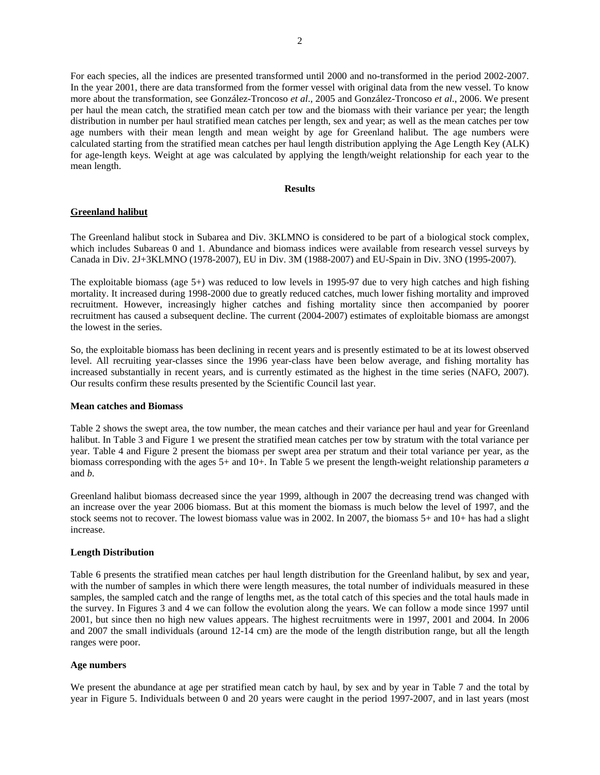For each species, all the indices are presented transformed until 2000 and no-transformed in the period 2002-2007. In the year 2001, there are data transformed from the former vessel with original data from the new vessel. To know more about the transformation, see González-Troncoso *et al*., 2005 and González-Troncoso *et al*., 2006. We present per haul the mean catch, the stratified mean catch per tow and the biomass with their variance per year; the length distribution in number per haul stratified mean catches per length, sex and year; as well as the mean catches per tow age numbers with their mean length and mean weight by age for Greenland halibut. The age numbers were calculated starting from the stratified mean catches per haul length distribution applying the Age Length Key (ALK) for age-length keys. Weight at age was calculated by applying the length/weight relationship for each year to the mean length.

# **Results**

## **Greenland halibut**

The Greenland halibut stock in Subarea and Div. 3KLMNO is considered to be part of a biological stock complex, which includes Subareas 0 and 1. Abundance and biomass indices were available from research vessel surveys by Canada in Div. 2J+3KLMNO (1978-2007), EU in Div. 3M (1988-2007) and EU-Spain in Div. 3NO (1995-2007).

The exploitable biomass (age 5+) was reduced to low levels in 1995-97 due to very high catches and high fishing mortality. It increased during 1998-2000 due to greatly reduced catches, much lower fishing mortality and improved recruitment. However, increasingly higher catches and fishing mortality since then accompanied by poorer recruitment has caused a subsequent decline. The current (2004-2007) estimates of exploitable biomass are amongst the lowest in the series.

So, the exploitable biomass has been declining in recent years and is presently estimated to be at its lowest observed level. All recruiting year-classes since the 1996 year-class have been below average, and fishing mortality has increased substantially in recent years, and is currently estimated as the highest in the time series (NAFO, 2007). Our results confirm these results presented by the Scientific Council last year.

#### **Mean catches and Biomass**

Table 2 shows the swept area, the tow number, the mean catches and their variance per haul and year for Greenland halibut. In Table 3 and Figure 1 we present the stratified mean catches per tow by stratum with the total variance per year. Table 4 and Figure 2 present the biomass per swept area per stratum and their total variance per year, as the biomass corresponding with the ages 5+ and 10+. In Table 5 we present the length-weight relationship parameters *a* and *b*.

Greenland halibut biomass decreased since the year 1999, although in 2007 the decreasing trend was changed with an increase over the year 2006 biomass. But at this moment the biomass is much below the level of 1997, and the stock seems not to recover. The lowest biomass value was in 2002. In 2007, the biomass 5+ and 10+ has had a slight increase.

#### **Length Distribution**

Table 6 presents the stratified mean catches per haul length distribution for the Greenland halibut, by sex and year, with the number of samples in which there were length measures, the total number of individuals measured in these samples, the sampled catch and the range of lengths met, as the total catch of this species and the total hauls made in the survey. In Figures 3 and 4 we can follow the evolution along the years. We can follow a mode since 1997 until 2001, but since then no high new values appears. The highest recruitments were in 1997, 2001 and 2004. In 2006 and 2007 the small individuals (around 12-14 cm) are the mode of the length distribution range, but all the length ranges were poor.

#### **Age numbers**

We present the abundance at age per stratified mean catch by haul, by sex and by year in Table 7 and the total by year in Figure 5. Individuals between 0 and 20 years were caught in the period 1997-2007, and in last years (most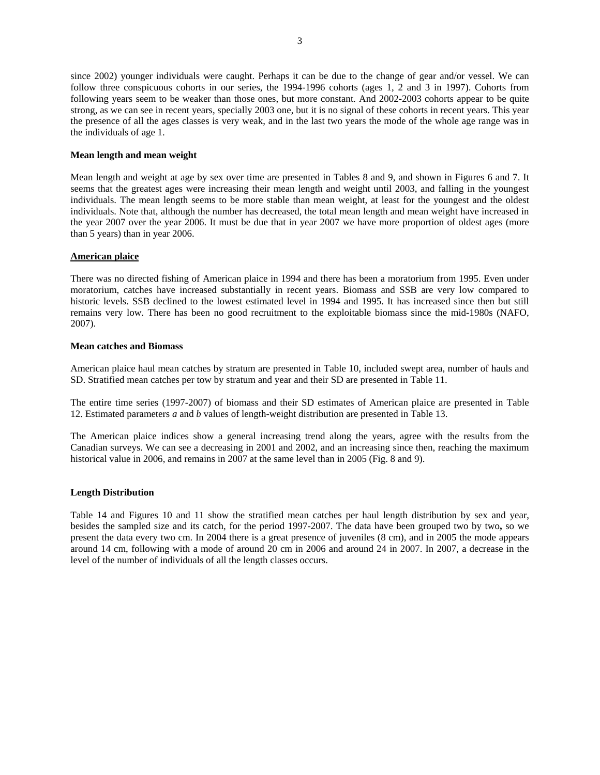since 2002) younger individuals were caught. Perhaps it can be due to the change of gear and/or vessel. We can follow three conspicuous cohorts in our series, the 1994-1996 cohorts (ages 1, 2 and 3 in 1997). Cohorts from following years seem to be weaker than those ones, but more constant. And 2002-2003 cohorts appear to be quite strong, as we can see in recent years, specially 2003 one, but it is no signal of these cohorts in recent years. This year the presence of all the ages classes is very weak, and in the last two years the mode of the whole age range was in the individuals of age 1.

## **Mean length and mean weight**

Mean length and weight at age by sex over time are presented in Tables 8 and 9, and shown in Figures 6 and 7. It seems that the greatest ages were increasing their mean length and weight until 2003, and falling in the youngest individuals. The mean length seems to be more stable than mean weight, at least for the youngest and the oldest individuals. Note that, although the number has decreased, the total mean length and mean weight have increased in the year 2007 over the year 2006. It must be due that in year 2007 we have more proportion of oldest ages (more than 5 years) than in year 2006.

## **American plaice**

There was no directed fishing of American plaice in 1994 and there has been a moratorium from 1995. Even under moratorium, catches have increased substantially in recent years. Biomass and SSB are very low compared to historic levels. SSB declined to the lowest estimated level in 1994 and 1995. It has increased since then but still remains very low. There has been no good recruitment to the exploitable biomass since the mid-1980s (NAFO, 2007).

### **Mean catches and Biomass**

American plaice haul mean catches by stratum are presented in Table 10, included swept area, number of hauls and SD. Stratified mean catches per tow by stratum and year and their SD are presented in Table 11.

The entire time series (1997-2007) of biomass and their SD estimates of American plaice are presented in Table 12. Estimated parameters *a* and *b* values of length-weight distribution are presented in Table 13.

The American plaice indices show a general increasing trend along the years, agree with the results from the Canadian surveys. We can see a decreasing in 2001 and 2002, and an increasing since then, reaching the maximum historical value in 2006, and remains in 2007 at the same level than in 2005 (Fig. 8 and 9).

## **Length Distribution**

Table 14 and Figures 10 and 11 show the stratified mean catches per haul length distribution by sex and year, besides the sampled size and its catch, for the period 1997-2007. The data have been grouped two by two**,** so we present the data every two cm. In 2004 there is a great presence of juveniles (8 cm), and in 2005 the mode appears around 14 cm, following with a mode of around 20 cm in 2006 and around 24 in 2007. In 2007, a decrease in the level of the number of individuals of all the length classes occurs.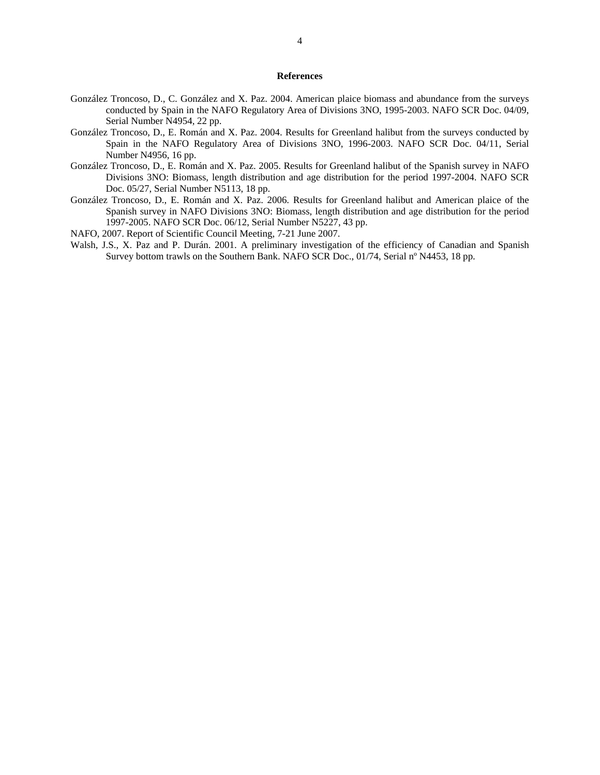### **References**

- González Troncoso, D., C. González and X. Paz. 2004. American plaice biomass and abundance from the surveys conducted by Spain in the NAFO Regulatory Area of Divisions 3NO, 1995-2003. NAFO SCR Doc. 04/09, Serial Number N4954, 22 pp.
- González Troncoso, D., E. Román and X. Paz. 2004. Results for Greenland halibut from the surveys conducted by Spain in the NAFO Regulatory Area of Divisions 3NO, 1996-2003. NAFO SCR Doc. 04/11, Serial Number N4956, 16 pp.
- González Troncoso, D., E. Román and X. Paz. 2005. Results for Greenland halibut of the Spanish survey in NAFO Divisions 3NO: Biomass, length distribution and age distribution for the period 1997-2004. NAFO SCR Doc. 05/27, Serial Number N5113, 18 pp.
- González Troncoso, D., E. Román and X. Paz. 2006. Results for Greenland halibut and American plaice of the Spanish survey in NAFO Divisions 3NO: Biomass, length distribution and age distribution for the period 1997-2005. NAFO SCR Doc. 06/12, Serial Number N5227, 43 pp.
- NAFO, 2007. Report of Scientific Council Meeting, 7-21 June 2007.
- Walsh, J.S., X. Paz and P. Durán. 2001. A preliminary investigation of the efficiency of Canadian and Spanish Survey bottom trawls on the Southern Bank. NAFO SCR Doc., 01/74, Serial nº N4453, 18 pp.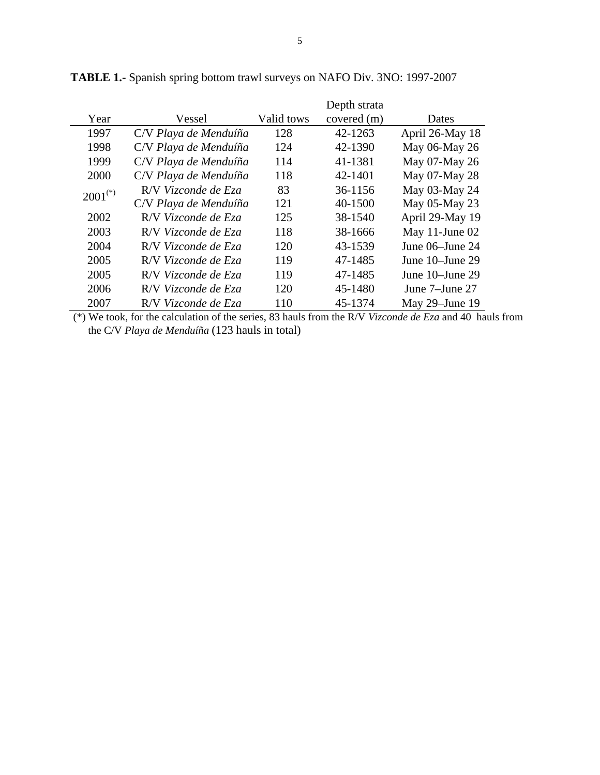|              |                       |            | Depth strata |                 |
|--------------|-----------------------|------------|--------------|-----------------|
| Year         | Vessel                | Valid tows | covered (m)  | Dates           |
| 1997         | C/V Playa de Menduíña | 128        | 42-1263      | April 26-May 18 |
| 1998         | C/V Playa de Menduíña | 124        | 42-1390      | May 06-May 26   |
| 1999         | C/V Playa de Menduíña | 114        | 41-1381      | May 07-May 26   |
| 2000         | C/V Playa de Menduíña | 118        | 42-1401      | May 07-May 28   |
| $2001^{(*)}$ | R/V Vizconde de Eza   | 83         | 36-1156      | May 03-May 24   |
|              | C/V Playa de Menduíña | 121        | 40-1500      | May 05-May 23   |
| 2002         | R/V Vizconde de Eza   | 125        | 38-1540      | April 29-May 19 |
| 2003         | R/V Vizconde de Eza   | 118        | 38-1666      | May 11-June 02  |
| 2004         | R/V Vizconde de Eza   | 120        | 43-1539      | June 06–June 24 |
| 2005         | R/V Vizconde de Eza   | 119        | 47-1485      | June 10–June 29 |
| 2005         | R/V Vizconde de Eza   | 119        | 47-1485      | June 10–June 29 |
| 2006         | R/V Vizconde de Eza   | 120        | 45-1480      | June 7–June 27  |
| 2007         | R/V Vizconde de Eza   | 110        | 45-1374      | May 29-June 19  |

**TABLE 1.-** Spanish spring bottom trawl surveys on NAFO Div. 3NO: 1997-2007

 (\*) We took, for the calculation of the series, 83 hauls from the R/V *Vizconde de Eza* and 40 hauls from the C/V *Playa de Menduíña* (123 hauls in total)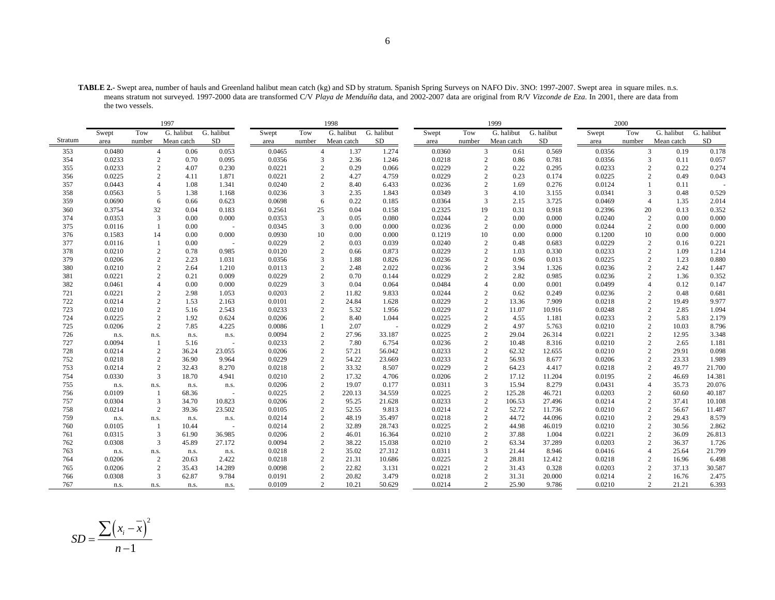**TABLE 2.-** Swept area, number of hauls and Greenland halibut mean catch (kg) and SD by stratum. Spanish Spring Surveys on NAFO Div. 3NO: 1997-2007. Swept area in square miles. n.s. means stratum not surveyed. 1997-2000 data are transformed C/V *Playa de Menduíña* data, and 2002-2007 data are original from R/V *Vizconde de Eza*. In 2001, there are data from the two vessels.

|         |        |                         | 1997       |            |        |                | 1998       |            |        |                | 1999       |            |        | 2000           |                         |            |
|---------|--------|-------------------------|------------|------------|--------|----------------|------------|------------|--------|----------------|------------|------------|--------|----------------|-------------------------|------------|
|         | Swept  | Tow                     | G. halibut | G. halibut | Swept  | Tow            | G. halibut | G. halibut | Swept  | Tow            | G. halibut | G. halibut | Swept  | Tow            | G. halibut              | G. halibut |
| Stratum | area   | number                  | Mean catch | SD         | area   | number         | Mean catch | SD         | area   | number         | Mean catch | SD         | area   | number         | Mean catch              | SD         |
| 353     | 0.0480 | $\overline{4}$          | 0.06       | 0.053      | 0.0465 | $\overline{4}$ | 1.37       | 1.274      | 0.0360 | 3              | 0.61       | 0.569      | 0.0356 |                | 3<br>0.19               | 0.178      |
| 354     | 0.0233 | 2                       | 0.70       | 0.095      | 0.0356 | 3              | 2.36       | 1.246      | 0.0218 | 2              | 0.86       | 0.781      | 0.0356 |                | 3<br>0.11               | 0.057      |
| 355     | 0.0233 | $\mathbf{2}$            | 4.07       | 0.230      | 0.0221 | $\overline{2}$ | 0.29       | 0.066      | 0.0229 | $\overline{2}$ | 0.22       | 0.295      | 0.0233 | $\overline{c}$ | 0.22                    | 0.274      |
| 356     | 0.0225 | $\mathbf{2}$            | 4.11       | 1.871      | 0.0221 |                | 4.27       | 4.759      | 0.0229 | $\overline{2}$ | 0.23       | 0.174      | 0.0225 | $\overline{2}$ | 0.49                    | 0.043      |
| 357     | 0.0443 | 4                       | 1.08       | 1.341      | 0.0240 | $\overline{c}$ | 8.40       | 6.433      | 0.0236 | $\overline{c}$ | 1.69       | 0.276      | 0.0124 |                | 0.11                    |            |
| 358     | 0.0563 | 5                       | 1.38       | 1.168      | 0.0236 | 3              | 2.35       | 1.843      | 0.0349 | 3              | 4.10       | 3.155      | 0.0341 | 3              | 0.48                    | 0.529      |
| 359     | 0.0690 | 6                       | 0.66       | 0.623      | 0.0698 | 6              | 0.22       | 0.185      | 0.0364 | 3              | 2.15       | 3.725      | 0.0469 | $\overline{4}$ | 1.35                    | 2.014      |
| 360     | 0.3754 | 32                      | 0.04       | 0.183      | 0.2561 | 25             | 0.04       | 0.158      | 0.2325 | 19             | 0.31       | 0.918      | 0.2396 | 20             | 0.13                    | 0.352      |
| 374     | 0.0353 | 3                       | 0.00       | 0.000      | 0.0353 | 3              | 0.05       | 0.080      | 0.0244 | $\overline{2}$ | 0.00       | 0.000      | 0.0240 |                | $\overline{c}$<br>0.00  | 0.000      |
| 375     | 0.0116 |                         | 0.00       |            | 0.0345 | 3              | 0.00       | 0.000      | 0.0236 | $\overline{c}$ | 0.00       | 0.000      | 0.0244 |                | $\overline{2}$<br>0.00  | 0.000      |
| 376     | 0.1583 | 14                      | 0.00       | 0.000      | 0.0930 | 10             | 0.00       | 0.000      | 0.1219 | 10             | 0.00       | 0.000      | 0.1200 | 10             | 0.00                    | 0.000      |
| 377     | 0.0116 |                         | 0.00       |            | 0.0229 | 2              | 0.03       | 0.039      | 0.0240 | $\overline{2}$ | 0.48       | 0.683      | 0.0229 |                | $\overline{c}$<br>0.16  | 0.221      |
| 378     | 0.0210 | 2                       | 0.78       | 0.985      | 0.0120 | 2              | 0.66       | 0.873      | 0.0229 | $\overline{c}$ | 1.03       | 0.330      | 0.0233 | $\overline{c}$ | 1.09                    | 1.214      |
| 379     | 0.0206 | 2                       | 2.23       | 1.031      | 0.0356 | 3              | 1.88       | 0.826      | 0.0236 | $\overline{c}$ | 0.96       | 0.013      | 0.0225 | $\overline{2}$ | 1.23                    | 0.880      |
| 380     | 0.0210 | $\overline{2}$          | 2.64       | 1.210      | 0.0113 |                | 2.48       | 2.022      | 0.0236 | $\overline{c}$ | 3.94       | 1.326      | 0.0236 | $\overline{2}$ | 2.42                    | 1.447      |
| 381     | 0.0221 | $\overline{c}$          | 0.21       | 0.009      | 0.0229 |                | 0.70       | 0.144      | 0.0229 |                | 2.82       | 0.985      | 0.0236 | $\overline{c}$ | 1.36                    | 0.352      |
| 382     | 0.0461 | $\overline{4}$          | 0.00       | 0.000      | 0.0229 | 3              | 0.04       | 0.064      | 0.0484 |                | 0.00       | 0.001      | 0.0499 | $\overline{4}$ | 0.12                    | 0.147      |
| 721     | 0.0221 | $\overline{2}$          | 2.98       | 1.053      | 0.0203 |                | 11.82      | 9.833      | 0.0244 |                | 0.62       | 0.249      | 0.0236 | $\overline{2}$ | 0.48                    | 0.681      |
| 722     | 0.0214 | 2                       | 1.53       | 2.163      | 0.0101 | $\overline{c}$ | 24.84      | 1.628      | 0.0229 | $\overline{c}$ | 13.36      | 7.909      | 0.0218 | $\overline{2}$ | 19.49                   | 9.977      |
| 723     | 0.0210 | $\overline{c}$          | 5.16       | 2.543      | 0.0233 | 2              | 5.32       | 1.956      | 0.0229 | $\overline{2}$ | 11.07      | 10.916     | 0.0248 | $\overline{2}$ | 2.85                    | 1.094      |
| 724     | 0.0225 | $\overline{c}$          | 1.92       | 0.624      | 0.0206 | $\overline{c}$ | 8.40       | 1.044      | 0.0225 | $\overline{2}$ | 4.55       | 1.181      | 0.0233 | $\overline{2}$ | 5.83                    | 2.179      |
| 725     | 0.0206 | 2                       | 7.85       | 4.225      | 0.0086 |                | 2.07       | $\sim$     | 0.0229 | 2              | 4.97       | 5.763      | 0.0210 |                | 2<br>10.03              | 8.796      |
| 726     | n.s.   | n.s.                    | n.s.       | n.s.       | 0.0094 | 2              | 27.96      | 33.187     | 0.0225 | $\overline{2}$ | 29.04      | 26.314     | 0.0221 |                | $\overline{2}$<br>12.95 | 3.348      |
| 727     | 0.0094 | $\overline{1}$          | 5.16       |            | 0.0233 | 2              | 7.80       | 6.754      | 0.0236 | $\overline{2}$ | 10.48      | 8.316      | 0.0210 |                | $\overline{2}$<br>2.65  | 1.181      |
| 728     | 0.0214 | 2                       | 36.24      | 23.055     | 0.0206 | $\mathbf{2}$   | 57.21      | 56.042     | 0.0233 | $\mathbf{2}$   | 62.32      | 12.655     | 0.0210 | $\overline{c}$ | 29.91                   | 0.098      |
| 752     | 0.0218 | $\overline{2}$          | 36.90      | 9.964      | 0.0229 | 2              | 54.22      | 23.669     | 0.0233 | $\mathfrak{2}$ | 56.93      | 8.677      | 0.0206 |                | $\overline{c}$<br>23.33 | 1.989      |
| 753     | 0.0214 | $\overline{2}$          | 32.43      | 8.270      | 0.0218 | $\overline{2}$ | 33.32      | 8.507      | 0.0229 | $\overline{2}$ | 64.23      | 4.417      | 0.0218 | $\overline{2}$ | 49.77                   | 21.700     |
| 754     | 0.0330 | 3                       | 18.70      | 4.941      | 0.0210 | 2              | 17.32      | 4.706      | 0.0206 | 2              | 17.12      | 11.204     | 0.0195 | $\overline{c}$ | 46.69                   | 14.381     |
| 755     | n.s.   | n.s.                    | n.s.       | n.s.       | 0.0206 | 2              | 19.07      | 0.177      | 0.0311 | 3              | 15.94      | 8.279      | 0.0431 | $\overline{4}$ | 35.73                   | 20.076     |
| 756     | 0.0109 | -1                      | 68.36      |            | 0.0225 | $\overline{2}$ | 220.13     | 34.559     | 0.0225 | $\overline{2}$ | 125.28     | 46.721     | 0.0203 | $\overline{2}$ | 60.60                   | 40.187     |
| 757     | 0.0304 | $\overline{\mathbf{3}}$ | 34.70      | 10.823     | 0.0206 | 2              | 95.25      | 21.628     | 0.0233 | $\sqrt{2}$     | 106.53     | 27.496     | 0.0214 |                | $\sqrt{2}$<br>37.41     | 10.108     |
| 758     | 0.0214 | $\overline{c}$          | 39.36      | 23.502     | 0.0105 | $\overline{2}$ | 52.55      | 9.813      | 0.0214 | $\overline{2}$ | 52.72      | 11.736     | 0.0210 |                | $\overline{c}$<br>56.67 | 11.487     |
| 759     | n.s.   | n.s.                    | n.s.       | n.s.       | 0.0214 | 2              | 48.19      | 35.497     | 0.0218 | $\mathbf{2}$   | 44.72      | 44.096     | 0.0210 |                | $\overline{c}$<br>29.43 | 8.579      |
| 760     | 0.0105 | -1                      | 10.44      | $\sim$     | 0.0214 | 2              | 32.89      | 28.743     | 0.0225 | $\mathbf{2}$   | 44.98      | 46.019     | 0.0210 |                | $\sqrt{2}$<br>30.56     | 2.862      |
| 761     | 0.0315 | 3                       | 61.90      | 36.985     | 0.0206 | $\overline{2}$ | 46.01      | 16.364     | 0.0210 | $\mathbf{2}$   | 37.88      | 1.004      | 0.0221 |                | $\sqrt{2}$<br>36.09     | 26.813     |
| 762     | 0.0308 | 3                       | 45.89      | 27.172     | 0.0094 | 2              | 38.22      | 15.038     | 0.0210 | $\overline{2}$ | 63.34      | 37.289     | 0.0203 |                | $\overline{c}$<br>36.37 | 1.726      |
| 763     | n.s.   | n.s.                    | n.s.       | n.s.       | 0.0218 | $\mathbf{2}$   | 35.02      | 27.312     | 0.0311 | 3              | 21.44      | 8.946      | 0.0416 | $\overline{4}$ | 25.64                   | 21.799     |
| 764     | 0.0206 | 2                       | 20.63      | 2.422      | 0.0218 | $\overline{2}$ | 21.31      | 10.686     | 0.0225 | 2              | 28.81      | 12.412     | 0.0218 |                | $\overline{c}$<br>16.96 | 6.498      |
| 765     | 0.0206 | 2                       | 35.43      | 14.289     | 0.0098 | 2              | 22.82      | 3.131      | 0.0221 | $\overline{2}$ | 31.43      | 0.328      | 0.0203 | $\overline{2}$ | 37.13                   | 30.587     |
| 766     | 0.0308 | 3                       | 62.87      | 9.784      | 0.0191 | $\overline{2}$ | 20.82      | 3.479      | 0.0218 | $\overline{2}$ | 31.31      | 20.000     | 0.0214 | $\overline{c}$ | 16.76                   | 2.475      |
| 767     | n.s.   | n.s.                    | n.s.       | n.s.       | 0.0109 | 2              | 10.21      | 50.629     | 0.0214 | $\overline{2}$ | 25.90      | 9.786      | 0.0210 |                | $\overline{2}$<br>21.21 | 6.393      |

$$
SD = \frac{\sum (x_i - \overline{x})^2}{n - 1}
$$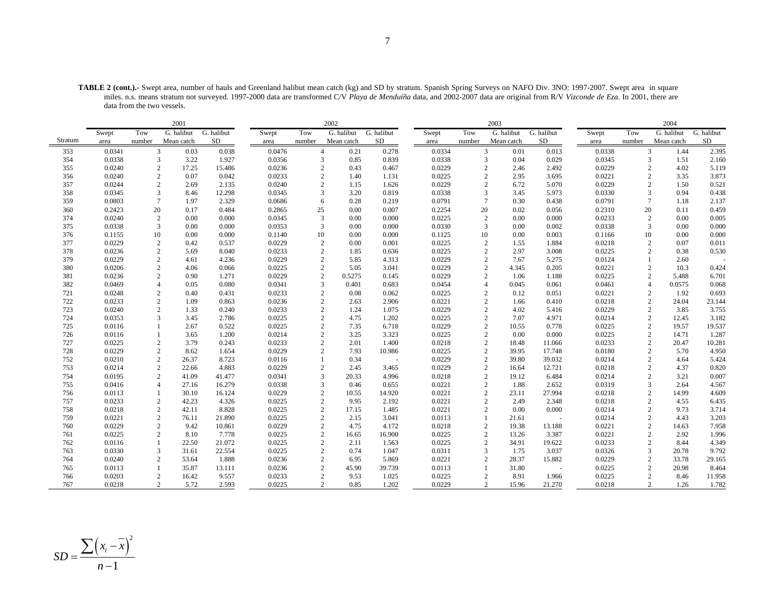**TABLE 2 (cont.).-** Swept area, number of hauls and Greenland halibut mean catch (kg) and SD by stratum. Spanish Spring Surveys on NAFO Div. 3NO: 1997-2007. Swept area in square miles. n.s. means stratum not surveyed. 1997-2000 data are transformed C/V *Playa de Menduíña* data, and 2002-2007 data are original from R/V *Vizconde de Eza*. In 2001, there are data from the two vessels.

|         |        |                | 2001       |            |        |                | 2002       |            |        |                | 2003       |            |        |                | 2004       |            |
|---------|--------|----------------|------------|------------|--------|----------------|------------|------------|--------|----------------|------------|------------|--------|----------------|------------|------------|
|         | Swept  | Tow            | G. halibut | G. halibut | Swept  | Tow            | G. halibut | G. halibut | Swept  | Tow            | G. halibut | G. halibut | Swept  | Tow            | G. halibut | G. halibut |
| Stratum | area   | number         | Mean catch | SD         | area   | number         | Mean catch | SD         | area   | number         | Mean catch | SD         | area   | number         | Mean catch | SD         |
| 353     | 0.0341 | 3              | 0.03       | 0.038      | 0.0476 | $\overline{4}$ | 0.21       | 0.278      | 0.0334 | 3              | 0.01       | 0.013      | 0.0338 | 3              | 1.44       | 2.395      |
| 354     | 0.0338 | 3              | 3.22       | 1.927      | 0.0356 | 3              | 0.85       | 0.839      | 0.0338 |                | 3<br>0.04  | 0.029      | 0.0345 | 3              | 1.51       | 2.160      |
| 355     | 0.0240 | $\mathbf{2}$   | 17.25      | 15.486     | 0.0236 | $\mathbf{2}$   | 0.43       | 0.467      | 0.0229 | $\overline{c}$ | 2.46       | 2.492      | 0.0229 | $\overline{c}$ | 4.02       | 5.119      |
| 356     | 0.0240 | $\mathbf{2}$   | 0.07       | 0.042      | 0.0233 | $\overline{2}$ | 1.40       | 1.131      | 0.0225 | $\overline{2}$ | 2.95       | 3.695      | 0.0221 | $\overline{2}$ | 3.35       | 3.873      |
| 357     | 0.0244 | 2              | 2.69       | 2.135      | 0.0240 | 2              | 1.15       | 1.626      | 0.0229 | $\overline{c}$ | 6.72       | 5.070      | 0.0229 | $\overline{2}$ | 1.50       | 0.521      |
| 358     | 0.0345 | 3              | 8.46       | 12.298     | 0.0345 | 3              | 3.20       | 0.819      | 0.0338 | 3              | 3.45       | 5.973      | 0.0330 | 3              | 0.94       | 0.438      |
| 359     | 0.0803 | $\overline{7}$ | 1.97       | 2.329      | 0.0686 | 6              | 0.28       | 0.219      | 0.0791 | $\tau$         | 0.30       | 0.438      | 0.0791 | $\tau$         | 1.18       | 2.137      |
| 360     | 0.2423 | 20             | 0.17       | 0.484      | 0.2865 | 25             | 0.00       | 0.007      | 0.2254 | 20             | 0.02       | 0.056      | 0.2310 | 20             | 0.11       | 0.459      |
| 374     | 0.0240 | $\overline{c}$ | 0.00       | 0.000      | 0.0345 | 3              | 0.00       | 0.000      | 0.0225 | 2              | 0.00       | 0.000      | 0.0233 | $\overline{c}$ | 0.00       | 0.005      |
| 375     | 0.0338 | 3              | 0.00       | 0.000      | 0.0353 | 3              | 0.00       | 0.000      | 0.0330 | 3              | 0.00       | 0.002      | 0.0338 | 3              | 0.00       | 0.000      |
| 376     | 0.1155 | 10             | 0.00       | 0.000      | 0.1140 | 10             | 0.00       | 0.000      | 0.1125 | 10             | 0.00       | 0.003      | 0.1166 | 10             | 0.00       | 0.000      |
| 377     | 0.0229 | 2              | 0.42       | 0.537      | 0.0229 | $\mathbf{2}$   | 0.00       | 0.001      | 0.0225 | $\mathbf{2}$   | 1.55       | 1.884      | 0.0218 | $\overline{c}$ | 0.07       | 0.011      |
| 378     | 0.0236 | 2              | 5.69       | 8.040      | 0.0233 | 2              | 1.85       | 0.636      | 0.0225 | $\overline{c}$ | 2.97       | 3.008      | 0.0225 | $\overline{c}$ | 0.38       | 0.530      |
| 379     | 0.0229 | 2              | 4.61       | 4.236      | 0.0229 | 2              | 5.85       | 4.313      | 0.0229 | $\overline{c}$ | 7.67       | 5.275      | 0.0124 | $\mathbf{1}$   | 2.60       |            |
| 380     | 0.0206 | $\sqrt{2}$     | 4.06       | 0.066      | 0.0225 | 2              | 5.05       | 3.041      | 0.0229 | $\overline{c}$ | 4.345      | 0.205      | 0.0221 | $\sqrt{2}$     | 10.3       | 0.424      |
| 381     | 0.0236 | 2              | 0.90       | 1.271      | 0.0229 | 2              | 0.5275     | 0.145      | 0.0229 | $\overline{c}$ | 1.06       | 1.188      | 0.0225 | $\overline{c}$ | 5.488      | 6.701      |
| 382     | 0.0469 | $\overline{4}$ | 0.05       | 0.080      | 0.0341 | 3              | 0.401      | 0.683      | 0.0454 | 4              | 0.045      | 0.061      | 0.0461 | $\overline{4}$ | 0.0575     | 0.068      |
| 721     | 0.0248 | $\sqrt{2}$     | 0.40       | 0.431      | 0.0233 | $\sqrt{2}$     | 0.08       | 0.062      | 0.0225 | $\overline{2}$ | 0.12       | 0.051      | 0.0221 | $\sqrt{2}$     | 1.92       | 0.693      |
| 722     | 0.0233 | 2              | 1.09       | 0.863      | 0.0236 | 2              | 2.63       | 2.906      | 0.0221 | $\overline{c}$ | 1.66       | 0.410      | 0.0218 | $\overline{c}$ | 24.04      | 23.144     |
| 723     | 0.0240 | $\mathbf{2}$   | 1.33       | 0.240      | 0.0233 | 2              | 1.24       | 1.075      | 0.0229 | $\overline{2}$ | 4.02       | 5.416      | 0.0229 | $\sqrt{2}$     | 3.85       | 3.755      |
| 724     | 0.0353 | 3              | 3.45       | 2.786      | 0.0225 | 2              | 4.75       | 1.202      | 0.0225 | $\overline{2}$ | 7.07       | 4.971      | 0.0214 | $\overline{c}$ | 12.45      | 3.182      |
| 725     | 0.0116 |                | 2.67       | 0.522      | 0.0225 | $\overline{2}$ | 7.35       | 6.718      | 0.0229 | 2              | 10.55      | 0.778      | 0.0225 | $\overline{c}$ | 19.57      | 19.537     |
| 726     | 0.0116 |                | 3.65       | 1.200      | 0.0214 | 2              | 3.25       | 3.323      | 0.0225 | $\overline{2}$ | 0.00       | 0.000      | 0.0225 | $\overline{c}$ | 14.71      | 1.287      |
| 727     | 0.0225 | 2              | 3.79       | 0.243      | 0.0233 | $\overline{2}$ | 2.01       | 1.400      | 0.0218 | $\overline{2}$ | 18.48      | 11.066     | 0.0233 | $\sqrt{2}$     | 20.47      | 10.281     |
| 728     | 0.0229 | $\overline{c}$ | 8.62       | 1.654      | 0.0229 | 2              | 7.93       | 10.986     | 0.0225 | $\mathbf{2}$   | 39.95      | 17.748     | 0.0180 | $\overline{c}$ | 5.70       | 4.950      |
| 752     | 0.0210 | $\mathbf{2}$   | 26.37      | 8.723      | 0.0116 |                | 0.34       | $\sim$     | 0.0229 | $\overline{c}$ | 39.80      | 39.032     | 0.0214 | $\overline{c}$ | 4.64       | 5.424      |
| 753     | 0.0214 | 2              | 22.66      | 4.883      | 0.0229 | 2              | 2.45       | 3.465      | 0.0229 | $\overline{2}$ | 16.64      | 12.721     | 0.0218 | $\overline{2}$ | 4.37       | 0.820      |
| 754     | 0.0195 | 2              | 41.09      | 41.477     | 0.0341 | 3              | 20.33      | 4.996      | 0.0218 | $\mathbf{2}$   | 19.12      | 6.484      | 0.0214 | $\overline{c}$ | 3.21       | 0.007      |
| 755     | 0.0416 | $\overline{4}$ | 27.16      | 16.279     | 0.0338 | 3              | 0.46       | 0.655      | 0.0221 | $\overline{c}$ | 1.88       | 2.652      | 0.0319 | 3              | 2.64       | 4.567      |
| 756     | 0.0113 |                | 30.10      | 16.124     | 0.0229 | $\overline{c}$ | 10.55      | 14.920     | 0.0221 | $\mathfrak{2}$ | 23.11      | 27.994     | 0.0218 | $\overline{c}$ | 14.99      | 4.609      |
| 757     | 0.0233 | $\overline{c}$ | 42.23      | 4.326      | 0.0225 | 2              | 9.95       | 2.192      | 0.0221 | 2              | 2.49       | 2.348      | 0.0218 | $\sqrt{2}$     | 4.55       | 6.435      |
| 758     | 0.0218 | $\overline{c}$ | 42.11      | 8.828      | 0.0225 | 2              | 17.15      | 1.485      | 0.0221 | $\overline{2}$ | 0.00       | 0.000      | 0.0214 | $\mathfrak{2}$ | 9.73       | 3.714      |
| 759     | 0.0221 | $\mathbf{2}$   | 76.11      | 21.890     | 0.0225 | 2              | 2.15       | 3.041      | 0.0113 | $\mathbf{1}$   | 21.61      |            | 0.0214 | $\overline{c}$ | 4.43       | 3.203      |
| 760     | 0.0229 | $\overline{2}$ | 9.42       | 10.861     | 0.0229 | 2              | 4.75       | 4.172      | 0.0218 | $\mathbf{2}$   | 19.38      | 13.188     | 0.0221 | $\sqrt{2}$     | 14.63      | 7.958      |
| 761     | 0.0225 | 2              | 8.10       | 7.778      | 0.0225 | 2              | 16.65      | 16.900     | 0.0225 | $\mathbf{2}$   | 13.26      | 3.387      | 0.0221 | 2              | 2.92       | 1.996      |
| 762     | 0.0116 | $\overline{1}$ | 22.50      | 21.072     | 0.0225 | 2              | 2.11       | 1.563      | 0.0225 | 2              | 34.91      | 19.622     | 0.0233 | $\overline{c}$ | 8.44       | 4.349      |
| 763     | 0.0330 | 3              | 31.61      | 22.554     | 0.0225 | $\mathbf{2}$   | 0.74       | 1.047      | 0.0311 | 3              | 1.75       | 3.037      | 0.0326 | 3              | 20.78      | 9.792      |
| 764     | 0.0240 | 2              | 53.64      | 1.888      | 0.0236 | 2              | 6.95       | 5.869      | 0.0221 | $\overline{2}$ | 28.37      | 15.882     | 0.0229 | $\sqrt{2}$     | 33.78      | 29.165     |
| 765     | 0.0113 |                | 35.87      | 13.111     | 0.0236 | 2              | 45.90      | 39.739     | 0.0113 | $\mathbf{1}$   | 31.80      | ÷,         | 0.0225 | 2              | 20.98      | 8.464      |
| 766     | 0.0203 | $\overline{2}$ | 16.42      | 9.557      | 0.0233 | $\mathbf{2}$   | 9.53       | 1.025      | 0.0225 | $\overline{2}$ | 8.91       | 1.966      | 0.0225 | $\overline{c}$ | 8.46       | 11.958     |
| 767     | 0.0218 | $\overline{2}$ | 5.72       | 2.593      | 0.0225 |                | 2<br>0.85  | 1.202      | 0.0229 | 2              | 15.96      | 21.270     | 0.0218 | $\overline{2}$ | 1.26       | 1.782      |

$$
SD = \frac{\sum (x_i - \overline{x})^2}{n - 1}
$$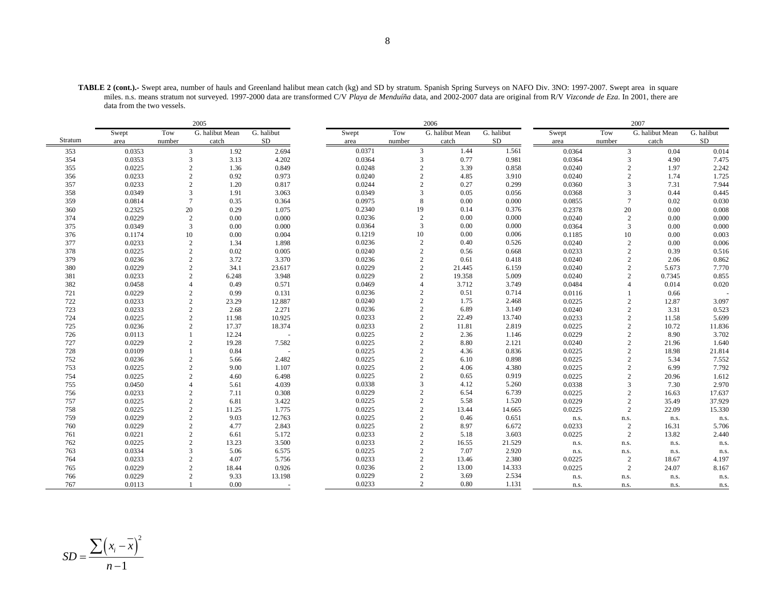|         |        |                | 2005            |                          |        |                | 2006            |            |        |                | 2007                    |            |
|---------|--------|----------------|-----------------|--------------------------|--------|----------------|-----------------|------------|--------|----------------|-------------------------|------------|
|         | Swept  | Tow            | G. halibut Mean | $\overline{G}$ . halibut | Swept  | Tow            | G. halibut Mean | G. halibut | Swept  | Tow            | G. halibut Mean         | G. halibut |
| Stratum | area   | number         | catch           | SD                       | area   | number         | catch           | $\rm SD$   | area   | number         | catch                   | ${\rm SD}$ |
| 353     | 0.0353 | 3              | 1.92            | 2.694                    | 0.0371 | 3              | 1.44            | 1.561      | 0.0364 | 3              | 0.04                    | 0.014      |
| 354     | 0.0353 | 3              | 3.13            | 4.202                    | 0.0364 | 3              | 0.77            | 0.981      | 0.0364 | $\overline{3}$ | 4.90                    | 7.475      |
| 355     | 0.0225 | $\overline{c}$ | 1.36            | 0.849                    | 0.0248 | $\overline{2}$ | 3.39            | 0.858      | 0.0240 |                | $\sqrt{2}$<br>1.97      | 2.242      |
| 356     | 0.0233 | $\overline{c}$ | 0.92            | 0.973                    | 0.0240 | $\overline{2}$ | 4.85            | 3.910      | 0.0240 |                | $\mathbf{2}$<br>1.74    | 1.725      |
| 357     | 0.0233 | 2              | 1.20            | 0.817                    | 0.0244 | 2              | 0.27            | 0.299      | 0.0360 | 3              | 7.31                    | 7.944      |
| 358     | 0.0349 | 3              | 1.91            | 3.063                    | 0.0349 | 3              | 0.05            | 0.056      | 0.0368 | 3              | 0.44                    | 0.445      |
| 359     | 0.0814 | $\overline{7}$ | 0.35            | 0.364                    | 0.0975 | 8              | 0.00            | 0.000      | 0.0855 | $\overline{7}$ | 0.02                    | 0.030      |
| 360     | 0.2325 | 20             | 0.29            | 1.075                    | 0.2340 | 19             | 0.14            | 0.376      | 0.2378 | 20             | 0.00                    | 0.008      |
| 374     | 0.0229 | 2              | 0.00            | 0.000                    | 0.0236 | $\overline{c}$ | 0.00            | 0.000      | 0.0240 | 2              | 0.00                    | 0.000      |
| 375     | 0.0349 | 3              | 0.00            | 0.000                    | 0.0364 | 3              | 0.00            | 0.000      | 0.0364 | 3              | 0.00                    | 0.000      |
| 376     | 0.1174 | 10             | 0.00            | 0.004                    | 0.1219 | 10             | 0.00            | 0.006      | 0.1185 | 10             | 0.00                    | 0.003      |
| 377     | 0.0233 | $\overline{2}$ | 1.34            | 1.898                    | 0.0236 | $\overline{2}$ | 0.40            | 0.526      | 0.0240 | $\overline{2}$ | 0.00                    | 0.006      |
| 378     | 0.0225 | $\overline{c}$ | 0.02            | 0.005                    | 0.0240 | $\overline{2}$ | 0.56            | 0.668      | 0.0233 | 2              | 0.39                    | 0.516      |
| 379     | 0.0236 | $\overline{2}$ | 3.72            | 3.370                    | 0.0236 | $\overline{2}$ | 0.61            | 0.418      | 0.0240 | 2              | 2.06                    | 0.862      |
| 380     | 0.0229 | $\overline{c}$ | 34.1            | 23.617                   | 0.0229 | $\overline{2}$ | 21.445          | 6.159      | 0.0240 | $\overline{2}$ | 5.673                   | 7.770      |
| 381     | 0.0233 | 2              | 6.248           | 3.948                    | 0.0229 | $\overline{2}$ | 19.358          | 5.009      | 0.0240 | $\overline{2}$ | 0.7345                  | 0.855      |
| 382     | 0.0458 | $\overline{4}$ | 0.49            | 0.571                    | 0.0469 | $\overline{4}$ | 3.712           | 3.749      | 0.0484 | 4              | 0.014                   | 0.020      |
| 721     | 0.0229 | 2              | 0.99            | 0.131                    | 0.0236 | $\overline{2}$ | 0.51            | 0.714      | 0.0116 |                | 0.66                    |            |
| 722     | 0.0233 | 2              | 23.29           | 12.887                   | 0.0240 | $\overline{2}$ | 1.75            | 2.468      | 0.0225 | $\overline{2}$ | 12.87                   | 3.097      |
| 723     | 0.0233 | $\overline{c}$ | 2.68            | 2.271                    | 0.0236 | $\overline{c}$ | 6.89            | 3.149      | 0.0240 | $\overline{c}$ | 3.31                    | 0.523      |
| 724     | 0.0225 | $\overline{c}$ | 11.98           | 10.925                   | 0.0233 | $\overline{2}$ | 22.49           | 13.740     | 0.0233 |                | $\overline{c}$<br>11.58 | 5.699      |
| 725     | 0.0236 | 2              | 17.37           | 18.374                   | 0.0233 | $\overline{2}$ | 11.81           | 2.819      | 0.0225 | 2              | 10.72                   | 11.836     |
| 726     | 0.0113 |                | 12.24           | $\sim$                   | 0.0225 | $\overline{2}$ | 2.36            | 1.146      | 0.0229 | $\overline{2}$ | 8.90                    | 3.702      |
| 727     | 0.0229 | $\overline{2}$ | 19.28           | 7.582                    | 0.0225 | $\overline{2}$ | 8.80            | 2.121      | 0.0240 | $\overline{c}$ | 21.96                   | 1.640      |
| 728     | 0.0109 |                | 0.84            |                          | 0.0225 | $\overline{2}$ | 4.36            | 0.836      | 0.0225 |                | $\mathbf{2}$<br>18.98   | 21.814     |
| 752     | 0.0236 | $\overline{c}$ | 5.66            | 2.482                    | 0.0225 | $\overline{2}$ | 6.10            | 0.898      | 0.0225 | $\overline{2}$ | 5.34                    | 7.552      |
| 753     | 0.0225 | $\overline{c}$ | 9.00            | 1.107                    | 0.0225 | $\overline{2}$ | 4.06            | 4.380      | 0.0225 | $\overline{2}$ | 6.99                    | 7.792      |
| 754     | 0.0225 | $\overline{c}$ | 4.60            | 6.498                    | 0.0225 | $\overline{2}$ | 0.65            | 0.919      | 0.0225 |                | $\sqrt{2}$<br>20.96     | 1.612      |
| 755     | 0.0450 | $\overline{A}$ | 5.61            | 4.039                    | 0.0338 | 3              | 4.12            | 5.260      | 0.0338 | 3              | 7.30                    | 2.970      |
| 756     | 0.0233 | 2              | 7.11            | 0.308                    | 0.0229 | $\overline{2}$ | 6.54            | 6.739      | 0.0225 | $\overline{2}$ | 16.63                   | 17.637     |
| 757     | 0.0225 | $\sqrt{2}$     | 6.81            | 3.422                    | 0.0225 | $\overline{2}$ | 5.58            | 1.520      | 0.0229 | $\overline{2}$ | 35.49                   | 37.929     |
| 758     | 0.0225 | 2              | 11.25           | 1.775                    | 0.0225 | $\overline{2}$ | 13.44           | 14.665     | 0.0225 | $\overline{2}$ | 22.09                   | 15.330     |
| 759     | 0.0229 | 2              | 9.03            | 12.763                   | 0.0225 | $\overline{2}$ | 0.46            | 0.651      | n.s.   | n.s.           | n.s.                    | n.s.       |
| 760     | 0.0229 | 2              | 4.77            | 2.843                    | 0.0225 | $\overline{c}$ | 8.97            | 6.672      | 0.0233 | $\overline{c}$ | 16.31                   | 5.706      |
| 761     | 0.0221 | $\overline{c}$ | 6.61            | 5.172                    | 0.0233 | $\overline{2}$ | 5.18            | 3.603      | 0.0225 | 2              | 13.82                   | 2.440      |
| 762     | 0.0225 | 2              | 13.23           | 3.500                    | 0.0233 | $\overline{2}$ | 16.55           | 21.529     | n.s.   | n.s.           | n.s.                    | n.s.       |
| 763     | 0.0334 | 3              | 5.06            | 6.575                    | 0.0225 | $\overline{2}$ | 7.07            | 2.920      | n.s.   | n.s.           | n.s.                    | n.s.       |
| 764     | 0.0233 | $\overline{c}$ | 4.07            | 5.756                    | 0.0233 | $\overline{c}$ | 13.46           | 2.380      | 0.0225 | $\overline{2}$ | 18.67                   | 4.197      |
| 765     | 0.0229 | 2              | 18.44           | 0.926                    | 0.0236 | $\overline{2}$ | 13.00           | 14.333     | 0.0225 | 2              | 24.07                   | 8.167      |
| 766     | 0.0229 | $\overline{c}$ | 9.33            | 13.198                   | 0.0229 | $\overline{2}$ | 3.69            | 2.534      | n.s.   | n.s.           | n.s.                    | n.s.       |
| 767     | 0.0113 |                | 0.00            |                          | 0.0233 | $\overline{2}$ | 0.80            | 1.131      | n.s.   | n.s.           | n.s.                    | n.s.       |

**TABLE 2 (cont.).-** Swept area, number of hauls and Greenland halibut mean catch (kg) and SD by stratum. Spanish Spring Surveys on NAFO Div. 3NO: 1997-2007. Swept area in square miles. n.s. means stratum not surveyed. 1997-2000 data are transformed C/V *Playa de Menduíña* data, and 2002-2007 data are original from R/V *Vizconde de Eza*. In 2001, there are data from the two vessels.

$$
SD = \frac{\sum (x_i - \overline{x})^2}{n - 1}
$$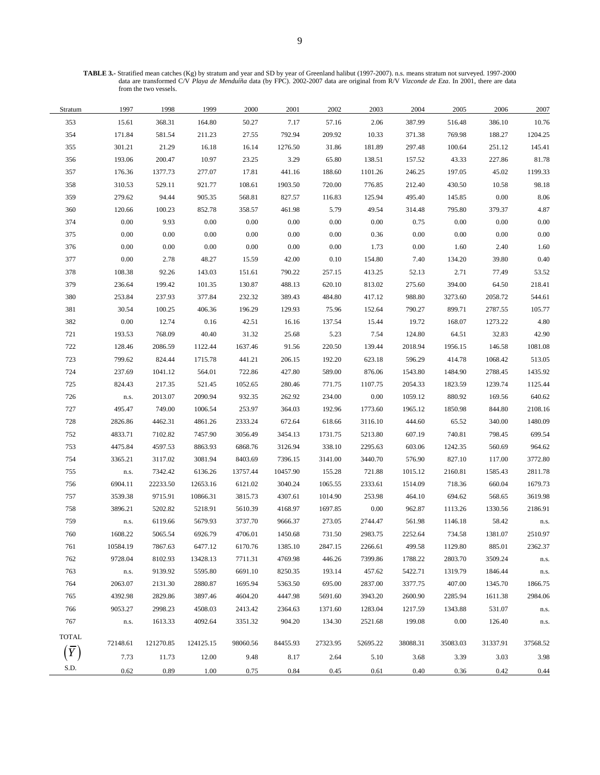**TABLE 3.-** Stratified mean catches (Kg) by stratum and year and SD by year of Greenland halibut (1997-2007). n.s. means stratum not surveyed. 1997-2000 data are transformed C/V *Playa de Menduíña* data (by FPC). 2002-2007 data are original from R/V *Vizconde de Eza*. In 2001, there are data from the two vessels.

| Stratum      | 1997       | 1998      | 1999      | 2000     | 2001     | 2002     | 2003     | 2004     | 2005     | 2006     | 2007     |
|--------------|------------|-----------|-----------|----------|----------|----------|----------|----------|----------|----------|----------|
| 353          | 15.61      | 368.31    | 164.80    | 50.27    | 7.17     | 57.16    | 2.06     | 387.99   | 516.48   | 386.10   | 10.76    |
| 354          | 171.84     | 581.54    | 211.23    | 27.55    | 792.94   | 209.92   | 10.33    | 371.38   | 769.98   | 188.27   | 1204.25  |
| 355          | 301.21     | 21.29     | 16.18     | 16.14    | 1276.50  | 31.86    | 181.89   | 297.48   | 100.64   | 251.12   | 145.41   |
| 356          | 193.06     | 200.47    | 10.97     | 23.25    | 3.29     | 65.80    | 138.51   | 157.52   | 43.33    | 227.86   | 81.78    |
| 357          | 176.36     | 1377.73   | 277.07    | 17.81    | 441.16   | 188.60   | 1101.26  | 246.25   | 197.05   | 45.02    | 1199.33  |
| 358          | 310.53     | 529.11    | 921.77    | 108.61   | 1903.50  | 720.00   | 776.85   | 212.40   | 430.50   | 10.58    | 98.18    |
| 359          | 279.62     | 94.44     | 905.35    | 568.81   | 827.57   | 116.83   | 125.94   | 495.40   | 145.85   | $0.00\,$ | 8.06     |
| 360          | 120.66     | 100.23    | 852.78    | 358.57   | 461.98   | 5.79     | 49.54    | 314.48   | 795.80   | 379.37   | 4.87     |
| 374          | $0.00\,$   | 9.93      | $0.00\,$  | $0.00\,$ | 0.00     | 0.00     | $0.00\,$ | 0.75     | $0.00\,$ | $0.00\,$ | 0.00     |
| 375          | 0.00       | 0.00      | $0.00\,$  | $0.00\,$ | 0.00     | 0.00     | 0.36     | $0.00\,$ | $0.00\,$ | $0.00\,$ | 0.00     |
| 376          | 0.00       | $0.00\,$  | 0.00      | $0.00\,$ | 0.00     | 0.00     | 1.73     | 0.00     | 1.60     | 2.40     | 1.60     |
| 377          | 0.00       | 2.78      | 48.27     | 15.59    | 42.00    | 0.10     | 154.80   | 7.40     | 134.20   | 39.80    | 0.40     |
| 378          | 108.38     | 92.26     | 143.03    | 151.61   | 790.22   | 257.15   | 413.25   | 52.13    | 2.71     | 77.49    | 53.52    |
| 379          | 236.64     | 199.42    | 101.35    | 130.87   | 488.13   | 620.10   | 813.02   | 275.60   | 394.00   | 64.50    | 218.41   |
| 380          | 253.84     | 237.93    | 377.84    | 232.32   | 389.43   | 484.80   | 417.12   | 988.80   | 3273.60  | 2058.72  | 544.61   |
| 381          | 30.54      | 100.25    | 406.36    | 196.29   | 129.93   | 75.96    | 152.64   | 790.27   | 899.71   | 2787.55  | 105.77   |
| 382          | $0.00\,$   | 12.74     | $0.16\,$  | 42.51    | 16.16    | 137.54   | 15.44    | 19.72    | 168.07   | 1273.22  | 4.80     |
| 721          | 193.53     | 768.09    | 40.40     | 31.32    | 25.68    | 5.23     | 7.54     | 124.80   | 64.51    | 32.83    | 42.90    |
| 722          | 128.46     | 2086.59   | 1122.44   | 1637.46  | 91.56    | 220.50   | 139.44   | 2018.94  | 1956.15  | 146.58   | 1081.08  |
| 723          | 799.62     | 824.44    | 1715.78   | 441.21   | 206.15   | 192.20   | 623.18   | 596.29   | 414.78   | 1068.42  | 513.05   |
| 724          | 237.69     | 1041.12   | 564.01    | 722.86   | 427.80   | 589.00   | 876.06   | 1543.80  | 1484.90  | 2788.45  | 1435.92  |
| 725          | 824.43     | 217.35    | 521.45    | 1052.65  | 280.46   | 771.75   | 1107.75  | 2054.33  | 1823.59  | 1239.74  | 1125.44  |
| 726          | n.s.       | 2013.07   | 2090.94   | 932.35   | 262.92   | 234.00   | 0.00     | 1059.12  | 880.92   | 169.56   | 640.62   |
| 727          | 495.47     | 749.00    | 1006.54   | 253.97   | 364.03   | 192.96   | 1773.60  | 1965.12  | 1850.98  | 844.80   | 2108.16  |
| 728          | 2826.86    | 4462.31   | 4861.26   | 2333.24  | 672.64   | 618.66   | 3116.10  | 444.60   | 65.52    | 340.00   | 1480.09  |
| 752          | 4833.71    | 7102.82   | 7457.90   | 3056.49  | 3454.13  | 1731.75  | 5213.80  | 607.19   | 740.81   | 798.45   | 699.54   |
| 753          | 4475.84    | 4597.53   | 8863.93   | 6868.76  | 3126.94  | 338.10   | 2295.63  | 603.06   | 1242.35  | 560.69   | 964.62   |
| 754          | 3365.21    | 3117.02   | 3081.94   | 8403.69  | 7396.15  | 3141.00  | 3440.70  | 576.90   | 827.10   | 117.00   | 3772.80  |
| 755          | n.s.       | 7342.42   | 6136.26   | 13757.44 | 10457.90 | 155.28   | 721.88   | 1015.12  | 2160.81  | 1585.43  | 2811.78  |
| 756          | 6904.11    | 22233.50  | 12653.16  | 6121.02  | 3040.24  | 1065.55  | 2333.61  | 1514.09  | 718.36   | 660.04   | 1679.73  |
| 757          | 3539.38    | 9715.91   | 10866.31  | 3815.73  | 4307.61  | 1014.90  | 253.98   | 464.10   | 694.62   | 568.65   | 3619.98  |
| 758          | 3896.21    | 5202.82   | 5218.91   | 5610.39  | 4168.97  | 1697.85  | $0.00\,$ | 962.87   | 1113.26  | 1330.56  | 2186.91  |
| 759          | $\rm n.s.$ | 6119.66   | 5679.93   | 3737.70  | 9666.37  | 273.05   | 2744.47  | 561.98   | 1146.18  | 58.42    | n.s.     |
| 760          | 1608.22    | 5065.54   | 6926.79   | 4706.01  | 1450.68  | 731.50   | 2983.75  | 2252.64  | 734.58   | 1381.07  | 2510.97  |
| 761          | 10584.19   | 7867.63   | 6477.12   | 6170.76  | 1385.10  | 2847.15  | 2266.61  | 499.58   | 1129.80  | 885.01   | 2362.37  |
| 762          | 9728.04    | 8102.93   | 13428.13  | 7711.31  | 4769.98  | 446.26   | 7399.86  | 1788.22  | 2803.70  | 3509.24  | n.s.     |
| 763          | n.s.       | 9139.92   | 5595.80   | 6691.10  | 8250.35  | 193.14   | 457.62   | 5422.71  | 1319.79  | 1846.44  | n.s.     |
| 764          | 2063.07    | 2131.30   | 2880.87   | 1695.94  | 5363.50  | 695.00   | 2837.00  | 3377.75  | 407.00   | 1345.70  | 1866.75  |
| 765          | 4392.98    | 2829.86   | 3897.46   | 4604.20  | 4447.98  | 5691.60  | 3943.20  | 2600.90  | 2285.94  | 1611.38  | 2984.06  |
| 766          | 9053.27    | 2998.23   | 4508.03   | 2413.42  | 2364.63  | 1371.60  | 1283.04  | 1217.59  | 1343.88  | 531.07   | n.s.     |
| 767          | n.s.       | 1613.33   | 4092.64   | 3351.32  | 904.20   | 134.30   | 2521.68  | 199.08   | 0.00     | 126.40   | n.s.     |
| <b>TOTAL</b> |            |           |           |          |          |          |          |          |          |          |          |
|              | 72148.61   | 121270.85 | 124125.15 | 98060.56 | 84455.93 | 27323.95 | 52695.22 | 38088.31 | 35083.03 | 31337.91 | 37568.52 |
|              | 7.73       | 11.73     | 12.00     | 9.48     | 8.17     | 2.64     | 5.10     | 3.68     | 3.39     | 3.03     | 3.98     |
| S.D.         | 0.62       | 0.89      | 1.00      | 0.75     | 0.84     | 0.45     | 0.61     | 0.40     | 0.36     | 0.42     | 0.44     |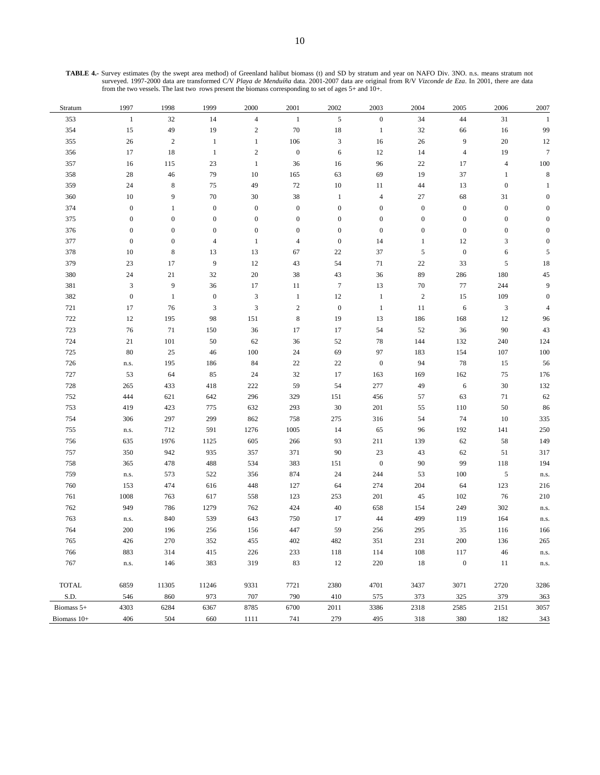**TABLE 4.-** Survey estimates (by the swept area method) of Greenland halibut biomass (t) and SD by stratum and year on NAFO Div. 3NO. n.s. means stratum not surveyed. 1997-2000 data are transformed C/V *Playa de Menduíña* data. 2001-2007 data are original from R/V *Vizconde de Eza*. In 2001, there are data from the two vessels. The last two rows present the biomass corresponding to set of ages 5+ and 10+.

| Stratum      | 1997             | 1998             | 1999             | 2000             | 2001             | 2002             | 2003             | 2004             | 2005             | 2006                        | 2007             |
|--------------|------------------|------------------|------------------|------------------|------------------|------------------|------------------|------------------|------------------|-----------------------------|------------------|
| 353          | $\mathbf{1}$     | 32               | 14               | $\overline{4}$   | $1\,$            | 5                | $\boldsymbol{0}$ | 34               | 44               | 31                          | $\mathbf{1}$     |
| 354          | 15               | 49               | 19               | $\overline{c}$   | $70\,$           | $18\,$           | $\mathbf{1}$     | $32\,$           | 66               | 16                          | 99               |
| 355          | $26\,$           | $\sqrt{2}$       | $\mathbf{1}$     | $\mathbf{1}$     | 106              | 3                | 16               | $26\,$           | 9                | $20\,$                      | 12               |
| 356          | 17               | 18               | $\mathbf{1}$     | $\mathbf{2}$     | $\boldsymbol{0}$ | 6                | 12               | 14               | $\overline{4}$   | 19                          | $\overline{7}$   |
| 357          | 16               | 115              | 23               | $\mathbf{1}$     | 36               | 16               | 96               | 22               | 17               | $\overline{4}$              | 100              |
| 358          | $28\,$           | 46               | 79               | 10               | 165              | 63               | 69               | 19               | 37               | 1                           | $\,$ 8 $\,$      |
| 359          | $24\,$           | $\,$ 8 $\,$      | $75\,$           | 49               | 72               | 10               | 11               | $44\,$           | 13               | $\boldsymbol{0}$            | $\mathbf{1}$     |
| 360          | 10               | 9                | $70\,$           | 30               | $38\,$           | $\mathbf{1}$     | $\overline{4}$   | $27\,$           | 68               | 31                          | $\mathbf{0}$     |
| 374          | $\boldsymbol{0}$ | 1                | $\boldsymbol{0}$ | $\boldsymbol{0}$ | $\boldsymbol{0}$ | $\boldsymbol{0}$ | $\boldsymbol{0}$ | $\boldsymbol{0}$ | $\boldsymbol{0}$ | $\boldsymbol{0}$            | $\overline{0}$   |
| 375          | $\boldsymbol{0}$ | $\boldsymbol{0}$ | $\mathbf{0}$     | $\boldsymbol{0}$ | $\boldsymbol{0}$ | $\boldsymbol{0}$ | $\boldsymbol{0}$ | $\boldsymbol{0}$ | $\boldsymbol{0}$ | $\boldsymbol{0}$            | $\mathbf{0}$     |
| 376          | $\boldsymbol{0}$ | $\boldsymbol{0}$ | $\mathbf{0}$     | $\boldsymbol{0}$ | $\boldsymbol{0}$ | $\boldsymbol{0}$ | $\mathbf{0}$     | $\boldsymbol{0}$ | $\boldsymbol{0}$ | $\boldsymbol{0}$            | $\Omega$         |
| 377          | $\boldsymbol{0}$ | $\boldsymbol{0}$ | $\overline{4}$   | 1                | $\overline{4}$   | $\boldsymbol{0}$ | 14               | $\mathbf{1}$     | 12               | 3                           | $\theta$         |
| 378          | $10\,$           | $\,$ 8 $\,$      | 13               | 13               | 67               | 22               | 37               | $\sqrt{5}$       | $\boldsymbol{0}$ | $\sqrt{6}$                  | 5                |
| 379          | 23               | 17               | 9                | 12               | 43               | 54               | 71               | $22\,$           | 33               | $\mathfrak s$               | 18               |
| 380          | $24\,$           | $21\,$           | 32               | 20               | $38\,$           | 43               | 36               | 89               | 286              | 180                         | $45\,$           |
| 381          | $\mathfrak{Z}$   | 9                | 36               | 17               | 11               | $\tau$           | 13               | 70               | $77\,$           | 244                         | 9                |
| 382          | $\boldsymbol{0}$ | $\mathbf{1}$     | $\boldsymbol{0}$ | $\mathfrak{Z}$   | $\mathbf{1}$     | $12\,$           | $\mathbf{1}$     | $\sqrt{2}$       | 15               | 109                         | $\boldsymbol{0}$ |
| 721          | 17               | 76               | 3                | $\mathfrak{Z}$   | $\sqrt{2}$       | $\boldsymbol{0}$ | $\mathbf{1}$     | 11               | $\sqrt{6}$       | $\ensuremath{\mathfrak{Z}}$ | 4                |
| 722          | $12\,$           | 195              | 98               | 151              | 8                | 19               | 13               | 186              | 168              | $12\,$                      | 96               |
| 723          | $76\,$           | 71               | 150              | 36               | 17               | 17               | 54               | 52               | $36\,$           | $90\,$                      | 43               |
| 724          | $21\,$           | $101\,$          | 50               | 62               | 36               | 52               | 78               | 144              | 132              | 240                         | 124              |
| 725          | $80\,$           | 25               | $46\,$           | 100              | $24\,$           | 69               | 97               | 183              | 154              | 107                         | 100              |
| 726          | n.s.             | 195              | 186              | 84               | 22               | $22\,$           | $\boldsymbol{0}$ | 94               | 78               | 15                          | 56               |
| 727          | 53               | 64               | 85               | 24               | $32\,$           | 17               | 163              | 169              | 162              | 75                          | 176              |
| 728          | 265              | 433              | 418              | $222\,$          | 59               | 54               | 277              | 49               | $\sqrt{6}$       | $30\,$                      | 132              |
| 752          | 444              | 621              | 642              | 296              | 329              | 151              | 456              | 57               | 63               | $71\,$                      | 62               |
| 753          | 419              | 423              | 775              | 632              | 293              | 30               | 201              | 55               | 110              | $50\,$                      | 86               |
| 754          | 306              | 297              | 299              | 862              | 758              | 275              | 316              | 54               | 74               | $10\,$                      | 335              |
| 755          | n.s.             | 712              | 591              | 1276             | 1005             | 14               | 65               | 96               | 192              | 141                         | 250              |
| 756          | 635              | 1976             | 1125             | 605              | 266              | 93               | 211              | 139              | 62               | 58                          | 149              |
| 757          | 350              | 942              | 935              | 357              | 371              | 90               | 23               | 43               | 62               | 51                          | 317              |
| 758          | 365              | 478              | 488              | 534              | 383              | 151              | $\boldsymbol{0}$ | $90\,$           | 99               | $118\,$                     | 194              |
| 759          | n.s.             | 573              | 522              | 356              | 874              | 24               | 244              | 53               | 100              | $\mathfrak s$               | n.s.             |
| 760          | 153              | 474              | 616              | 448              | 127              | 64               | 274              | 204              | 64               | 123                         | 216              |
| 761<br>762   | 1008<br>949      | 763<br>786       | 617<br>1279      | 558<br>762       | 123<br>424       | 253<br>40        | 201<br>658       | $45\,$<br>154    | 102<br>249       | 76<br>302                   | 210              |
| 763          |                  | 840              | 539              | 643              | 750              | 17               | 44               | 499              | 119              | 164                         | n.s.             |
| 764          | n.s.<br>200      | 196              | 256              | 156              | 447              | 59               | 256              | 295              | 35               | 116                         | n.s.<br>166      |
| 765          | 426              | 270              | 352              | 455              | 402              | 482              | 351              | 231              | 200              | 136                         | 265              |
| 766          | 883              | 314              | 415              | 226              | 233              | 118              | 114              | 108              | 117              | 46                          | n.s.             |
| 767          | n.s.             | 146              | 383              | 319              | 83               | 12               | 220              | 18               | $\boldsymbol{0}$ | 11                          |                  |
|              |                  |                  |                  |                  |                  |                  |                  |                  |                  |                             | n.s.             |
| <b>TOTAL</b> | 6859             | 11305            | 11246            | 9331             | 7721             | 2380             | 4701             | 3437             | 3071             | 2720                        | 3286             |
| S.D.         | 546              | 860              | 973              | 707              | 790              | 410              | 575              | 373              | 325              | 379                         | 363              |
| Biomass 5+   | 4303             | 6284             | 6367             | 8785             | 6700             | 2011             | 3386             | 2318             | 2585             | 2151                        | 3057             |
| Biomass 10+  | 406              | 504              | 660              | 1111             | 741              | 279              | 495              | 318              | 380              | 182                         | 343              |
|              |                  |                  |                  |                  |                  |                  |                  |                  |                  |                             |                  |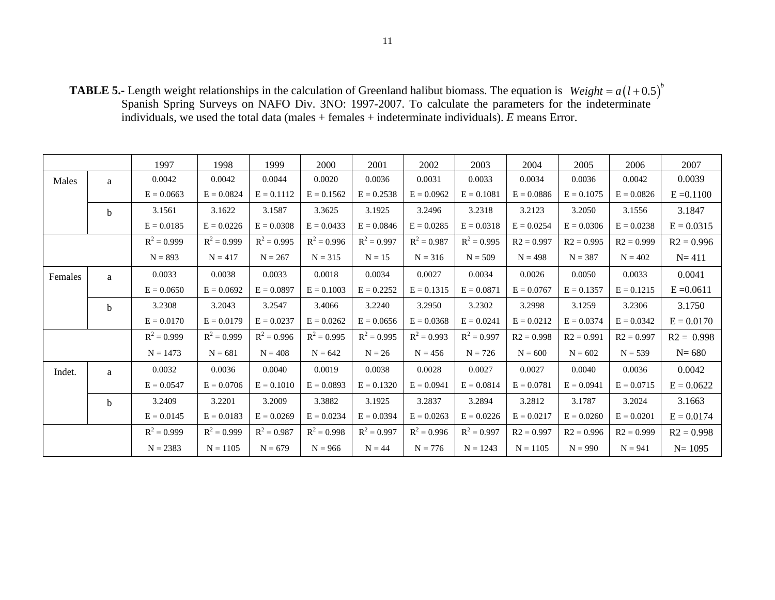**TABLE 5.-** Length weight relationships in the calculation of Greenland halibut biomass. The equation is  $Weight = a(l+0.5)^{b}$ Spanish Spring Surveys on NAFO Div. 3NO: 1997-2007. To calculate the parameters for the indeterminate individuals, we used the total data (males + females + indeterminate individuals). *E* means Error.

|         |              | 1997          | 1998          | 1999          | 2000          | 2001          | 2002          | 2003          | 2004         | 2005         | 2006         | 2007         |
|---------|--------------|---------------|---------------|---------------|---------------|---------------|---------------|---------------|--------------|--------------|--------------|--------------|
| Males   | a            | 0.0042        | 0.0042        | 0.0044        | 0.0020        | 0.0036        | 0.0031        | 0.0033        | 0.0034       | 0.0036       | 0.0042       | 0.0039       |
|         |              | $E = 0.0663$  | $E = 0.0824$  | $E = 0.1112$  | $E = 0.1562$  | $E = 0.2538$  | $E = 0.0962$  | $E = 0.1081$  | $E = 0.0886$ | $E = 0.1075$ | $E = 0.0826$ | $E = 0.1100$ |
|         | <sub>b</sub> | 3.1561        | 3.1622        | 3.1587        | 3.3625        | 3.1925        | 3.2496        | 3.2318        | 3.2123       | 3.2050       | 3.1556       | 3.1847       |
|         |              | $E = 0.0185$  | $E = 0.0226$  | $E = 0.0308$  | $E = 0.0433$  | $E = 0.0846$  | $E = 0.0285$  | $E = 0.0318$  | $E = 0.0254$ | $E = 0.0306$ | $E = 0.0238$ | $E = 0.0315$ |
|         |              | $R^2 = 0.999$ | $R^2 = 0.999$ | $R^2 = 0.995$ | $R^2 = 0.996$ | $R^2 = 0.997$ | $R^2 = 0.987$ | $R^2 = 0.995$ | $R2 = 0.997$ | $R2 = 0.995$ | $R2 = 0.999$ | $R2 = 0.996$ |
|         |              | $N = 893$     | $N = 417$     | $N = 267$     | $N = 315$     | $N = 15$      | $N = 316$     | $N = 509$     | $N = 498$    | $N = 387$    | $N = 402$    | $N = 411$    |
| Females | a            | 0.0033        | 0.0038        | 0.0033        | 0.0018        | 0.0034        | 0.0027        | 0.0034        | 0.0026       | 0.0050       | 0.0033       | 0.0041       |
|         |              | $E = 0.0650$  | $E = 0.0692$  | $E = 0.0897$  | $E = 0.1003$  | $E = 0.2252$  | $E = 0.1315$  | $E = 0.0871$  | $E = 0.0767$ | $E = 0.1357$ | $E = 0.1215$ | $E = 0.0611$ |
|         | <sub>b</sub> | 3.2308        | 3.2043        | 3.2547        | 3.4066        | 3.2240        | 3.2950        | 3.2302        | 3.2998       | 3.1259       | 3.2306       | 3.1750       |
|         |              | $E = 0.0170$  | $E = 0.0179$  | $E = 0.0237$  | $E = 0.0262$  | $E = 0.0656$  | $E = 0.0368$  | $E = 0.0241$  | $E = 0.0212$ | $E = 0.0374$ | $E = 0.0342$ | $E = 0.0170$ |
|         |              | $R^2 = 0.999$ | $R^2 = 0.999$ | $R^2 = 0.996$ | $R^2 = 0.995$ | $R^2 = 0.995$ | $R^2 = 0.993$ | $R^2 = 0.997$ | $R2 = 0.998$ | $R2 = 0.991$ | $R2 = 0.997$ | $R2 = 0.998$ |
|         |              | $N = 1473$    | $N = 681$     | $N = 408$     | $N = 642$     | $N = 26$      | $N = 456$     | $N = 726$     | $N = 600$    | $N = 602$    | $N = 539$    | $N = 680$    |
| Indet.  | a            | 0.0032        | 0.0036        | 0.0040        | 0.0019        | 0.0038        | 0.0028        | 0.0027        | 0.0027       | 0.0040       | 0.0036       | 0.0042       |
|         |              | $E = 0.0547$  | $E = 0.0706$  | $E = 0.1010$  | $E = 0.0893$  | $E = 0.1320$  | $E = 0.0941$  | $E = 0.0814$  | $E = 0.0781$ | $E = 0.0941$ | $E = 0.0715$ | $E = 0.0622$ |
|         | $\mathbf b$  | 3.2409        | 3.2201        | 3.2009        | 3.3882        | 3.1925        | 3.2837        | 3.2894        | 3.2812       | 3.1787       | 3.2024       | 3.1663       |
|         |              | $E = 0.0145$  | $E = 0.0183$  | $E = 0.0269$  | $E = 0.0234$  | $E = 0.0394$  | $E = 0.0263$  | $E = 0.0226$  | $E = 0.0217$ | $E = 0.0260$ | $E = 0.0201$ | $E = 0.0174$ |
|         |              | $R^2 = 0.999$ | $R^2 = 0.999$ | $R^2 = 0.987$ | $R^2 = 0.998$ | $R^2 = 0.997$ | $R^2 = 0.996$ | $R^2 = 0.997$ | $R2 = 0.997$ | $R2 = 0.996$ | $R2 = 0.999$ | $R2 = 0.998$ |
|         |              | $N = 2383$    | $N = 1105$    | $N = 679$     | $N = 966$     | $N = 44$      | $N = 776$     | $N = 1243$    | $N = 1105$   | $N = 990$    | $N = 941$    | $N = 1095$   |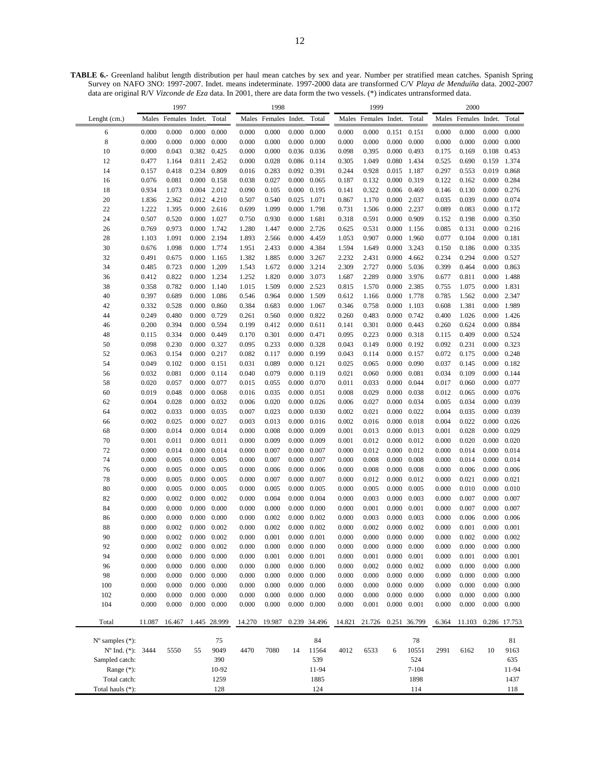**TABLE 6.-** Greenland halibut length distribution per haul mean catches by sex and year. Number per stratified mean catches. Spanish Spring Survey on NAFO 3NO: 1997-2007. Indet. means indeterminate. 1997-2000 data are transformed C/V *Playa de Menduíña* data. 2002-2007 data are original R/V *Vizconde de Eza* data. In 2001, there are data form the two vessels. (\*) indicates untransformed data.

|                                            |                | 1997                 |                      |                |                | 1998                 |                |                     |                | 1999                 |                |                     |                | 2000                 |                |                |
|--------------------------------------------|----------------|----------------------|----------------------|----------------|----------------|----------------------|----------------|---------------------|----------------|----------------------|----------------|---------------------|----------------|----------------------|----------------|----------------|
| Lenght (cm.)                               |                | Males Females Indet. |                      | Total          |                | Males Females Indet. |                | Total               |                | Males Females Indet. |                | Total               |                | Males Females Indet. |                | Total          |
| 6                                          | 0.000          | 0.000                | 0.000                | 0.000          | 0.000          | 0.000                | 0.000          | 0.000               | 0.000          | 0.000                | 0.151          | 0.151               | 0.000          | 0.000                | 0.000          | 0.000          |
| 8                                          | 0.000          | 0.000                | 0.000                | 0.000          | 0.000          | 0.000                | 0.000          | 0.000               | 0.000          | 0.000                | 0.000          | 0.000               | 0.000          | 0.000                | 0.000          | 0.000          |
| 10                                         | 0.000          | 0.043                | 0.382                | 0.425          | 0.000          | 0.000                | 0.036          | 0.036               | 0.098          | 0.395                | 0.000          | 0.493               | 0.175          | 0.169                | 0.108          | 0.453          |
| 12                                         | 0.477          | 1.164                | 0.811                | 2.452          | 0.000          | 0.028                | 0.086          | 0.114               | 0.305          | 1.049                | 0.080          | 1.434               | 0.525          | 0.690                | 0.159          | 1.374          |
| 14                                         | 0.157          | 0.418                | 0.234                | 0.809          | 0.016          | 0.283                | 0.092          | 0.391               | 0.244          | 0.928                | 0.015          | 1.187               | 0.297          | 0.553                | 0.019          | 0.868          |
| 16                                         | 0.076          | 0.081                | $0.000 \quad 0.158$  |                | 0.038          | 0.027                | 0.000          | 0.065               | 0.187          | 0.132                | 0.000          | 0.319               | 0.122          | 0.162                | 0.000          | 0.284          |
| 18                                         | 0.934          | 1.073                | 0.004                | 2.012          | 0.090          | 0.105                | 0.000          | 0.195               | 0.141          | 0.322                | 0.006          | 0.469               | 0.146          | 0.130                | 0.000          | 0.276          |
| 20                                         | 1.836          | 2.362                | 0.012 4.210          |                | 0.507          | 0.540                | 0.025          | 1.071               | 0.867          | 1.170                | 0.000          | 2.037               | 0.035          | 0.039                | 0.000          | 0.074          |
| 22                                         | 1.222          | 1.395                |                      | $0.000$ 2.616  | 0.699          | 1.099                | 0.000          | 1.798               | 0.731          | 1.506                | 0.000          | 2.237               | 0.089          | 0.083                | 0.000          | 0.172          |
| 24                                         | 0.507          | 0.520                | 0.000                | 1.027<br>1.742 | 0.750          | 0.930                | 0.000<br>0.000 | 1.681               | 0.318          | 0.591                | 0.000          | 0.909               | 0.152          | 0.198                | 0.000          | 0.350          |
| 26<br>28                                   | 0.769<br>1.103 | 0.973<br>1.091       | 0.000<br>0.000 2.194 |                | 1.280<br>1.893 | 1.447<br>2.566       | 0.000          | 2.726<br>4.459      | 0.625<br>1.053 | 0.531<br>0.907       | 0.000<br>0.000 | 1.156<br>1.960      | 0.085<br>0.077 | 0.131<br>0.104       | 0.000<br>0.000 | 0.216<br>0.181 |
| 30                                         | 0.676          | 1.098                | 0.000 1.774          |                | 1.951          | 2.433                | 0.000          | 4.384               | 1.594          | 1.649                | 0.000          | 3.243               | 0.150          | 0.186                | 0.000          | 0.335          |
| 32                                         | 0.491          | 0.675                | 0.000                | 1.165          | 1.382          | 1.885                | 0.000          | 3.267               | 2.232          | 2.431                | 0.000          | 4.662               | 0.234          | 0.294                | 0.000          | 0.527          |
| 34                                         | 0.485          | 0.723                | 0.000                | 1.209          | 1.543          | 1.672                | 0.000          | 3.214               | 2.309          | 2.727                | 0.000          | 5.036               | 0.399          | 0.464                | 0.000          | 0.863          |
| 36                                         | 0.412          | 0.822                | 0.000                | 1.234          | 1.252          | 1.820                | 0.000          | 3.073               | 1.687          | 2.289                | 0.000          | 3.976               | 0.677          | 0.811                | 0.000          | 1.488          |
| 38                                         | 0.358          | 0.782                | $0.000\,$            | 1.140          | 1.015          | 1.509                | 0.000 2.523    |                     | 0.815          | 1.570                | 0.000          | 2.385               | 0.755          | 1.075                | 0.000          | 1.831          |
| 40                                         | 0.397          | 0.689                | 0.000                | 1.086          | 0.546          | 0.964                | 0.000          | 1.509               | 0.612          | 1.166                | 0.000          | 1.778               | 0.785          | 1.562                | 0.000          | 2.347          |
| 42                                         | 0.332          | 0.528                | 0.000                | 0.860          | 0.384          | 0.683                | 0.000          | 1.067               | 0.346          | 0.758                | 0.000          | 1.103               | 0.608          | 1.381                | 0.000          | 1.989          |
| 44                                         | 0.249          | 0.480                | 0.000                | 0.729          | 0.261          | 0.560                | 0.000          | 0.822               | 0.260          | 0.483                | 0.000          | 0.742               | 0.400          | 1.026                | 0.000          | 1.426          |
| 46                                         | 0.200          | 0.394                | 0.000                | 0.594          | 0.199          | 0.412                | 0.000          | 0.611               | 0.141          | 0.301                | 0.000          | 0.443               | 0.260          | 0.624                | 0.000          | 0.884          |
| 48                                         | 0.115          | 0.334                | 0.000                | 0.449          | 0.170          | 0.301                | 0.000          | 0.471               | 0.095          | 0.223                | 0.000          | 0.318               | 0.115          | 0.409                | 0.000          | 0.524          |
| 50                                         | 0.098          | 0.230                | 0.000                | 0.327          | 0.095          | 0.233                | 0.000          | 0.328               | 0.043          | 0.149                | 0.000          | 0.192               | 0.092          | 0.231                | 0.000          | 0.323          |
| 52                                         | 0.063          | 0.154                | 0.000                | 0.217          | 0.082          | 0.117                | 0.000          | 0.199               | 0.043          | 0.114                | 0.000          | 0.157               | 0.072          | 0.175                | 0.000          | 0.248          |
| 54                                         | 0.049          | 0.102                | 0.000                | 0.151          | 0.031          | 0.089                | 0.000          | 0.121               | 0.025          | 0.065                | 0.000          | 0.090               | 0.037          | 0.145                | 0.000          | 0.182          |
| 56                                         | 0.032          | 0.081                | 0.000                | 0.114          | 0.040          | 0.079                | 0.000          | 0.119               | 0.021          | 0.060                | 0.000          | 0.081               | 0.034          | 0.109                | 0.000          | 0.144          |
| 58                                         | 0.020          | 0.057                | 0.000                | 0.077          | 0.015          | 0.055                | 0.000          | 0.070               | 0.011          | 0.033                | 0.000          | 0.044               | 0.017          | 0.060                | 0.000          | 0.077          |
| 60                                         | 0.019          | 0.048                | 0.000                | 0.068          | 0.016          | 0.035                | 0.000          | 0.051               | 0.008          | 0.029                | 0.000          | 0.038               | 0.012          | 0.065                | 0.000          | 0.076          |
| 62                                         | 0.004          | 0.028                | 0.000                | 0.032          | 0.006          | 0.020                | 0.000          | 0.026               | 0.006          | 0.027                | 0.000          | 0.034               | 0.005          | 0.034                | 0.000          | 0.039          |
| 64                                         | 0.002          | 0.033                | 0.000                | 0.035          | 0.007          | 0.023                | 0.000          | 0.030               | 0.002          | 0.021                | 0.000          | 0.022               | 0.004          | 0.035                | 0.000          | 0.039          |
| 66                                         | 0.002          | 0.025                | 0.000                | 0.027          | 0.003          | 0.013                | 0.000          | 0.016               | 0.002          | 0.016                | 0.000          | 0.018               | 0.004          | 0.022                | 0.000          | 0.026          |
| 68                                         | 0.000<br>0.001 | 0.014<br>0.011       | 0.000<br>0.000       | 0.014<br>0.011 | 0.000          | 0.008<br>0.009       | 0.000<br>0.000 | 0.009<br>0.009      | 0.001          | 0.013<br>0.012       | 0.000          | 0.013<br>0.012      | 0.001          | 0.028<br>0.020       | 0.000<br>0.000 | 0.029<br>0.020 |
| 70<br>72                                   | 0.000          | 0.014                | $0.000 \quad 0.014$  |                | 0.000<br>0.000 | 0.007                | 0.000          | 0.007               | 0.001<br>0.000 | 0.012                | 0.000<br>0.000 | 0.012               | 0.000<br>0.000 | 0.014                | 0.000          | 0.014          |
| 74                                         | 0.000          | 0.005                | 0.000                | 0.005          | 0.000          | 0.007                | 0.000          | 0.007               | 0.000          | 0.008                | 0.000          | 0.008               | 0.000          | 0.014                | 0.000          | 0.014          |
| 76                                         | 0.000          | 0.005                | 0.000                | 0.005          | 0.000          | 0.006                | 0.000          | 0.006               | 0.000          | 0.008                | 0.000          | 0.008               | 0.000          | 0.006                | 0.000          | 0.006          |
| 78                                         | 0.000          | 0.005                | 0.000                | 0.005          | 0.000          | 0.007                | 0.000          | 0.007               | 0.000          | 0.012                | 0.000          | 0.012               | 0.000          | 0.021                | 0.000          | 0.021          |
| 80                                         | 0.000          | 0.005                | 0.000                | 0.005          | 0.000          | 0.005                | 0.000          | 0.005               | 0.000          | 0.005                | 0.000          | 0.005               | 0.000          | 0.010                | 0.000          | 0.010          |
| 82                                         | 0.000          | 0.002                | 0.000                | 0.002          | 0.000          | 0.004                | 0.000          | 0.004               | 0.000          | 0.003                | 0.000          | 0.003               | 0.000          | 0.007                | 0.000          | 0.007          |
| 84                                         | 0.000          | 0.000                | 0.000                | 0.000          | 0.000          | 0.000                | 0.000          | 0.000               | 0.000          | 0.001                | 0.000          | 0.001               | 0.000          | 0.007                | 0.000          | 0.007          |
| 86                                         | 0.000          | 0.000                | 0.000                | 0.000          | 0.000          | 0.002                | 0.000          | 0.002               | 0.000          | 0.003                | 0.000          | 0.003               | 0.000          | 0.006                | 0.000          | 0.006          |
| 88                                         | 0.000          | 0.002                | 0.000                | 0.002          | 0.000          | 0.002                | 0.000          | 0.002               | 0.000          | 0.002                | 0.000          | 0.002               | 0.000          | 0.001                | 0.000          | 0.001          |
| 90                                         | 0.000          | 0.002                | $0.000 \quad 0.002$  |                | 0.000          | 0.001                | 0.000          | 0.001               | 0.000          | 0.000                | 0.000          | 0.000               | 0.000          | 0.002                | 0.000          | 0.002          |
| 92                                         | 0.000          | 0.002                | 0.000                | 0.002          | 0.000          | 0.000                | 0.000          | 0.000               | 0.000          | 0.000                | 0.000          | 0.000               | 0.000          | 0.000                | 0.000          | 0.000          |
| 94                                         | 0.000          | 0.000                | 0.000                | 0.000          | 0.000          | 0.001                | 0.000          | 0.001               | 0.000          | 0.001                | 0.000          | 0.001               | 0.000          | 0.001                | 0.000          | 0.001          |
| 96                                         | 0.000          | 0.000                | 0.000                | 0.000          | 0.000          | 0.000                | 0.000          | 0.000               | 0.000          | 0.002                | 0.000          | 0.002               | 0.000          | 0.000                | 0.000          | 0.000          |
| 98                                         | 0.000          | 0.000                | 0.000                | 0.000          | 0.000          | 0.000                | 0.000          | 0.000               | 0.000          | 0.000                | 0.000          | 0.000               | 0.000          | 0.000                | 0.000          | 0.000          |
| 100                                        | 0.000          | 0.000                | $0.000 \quad 0.000$  |                | 0.000          | 0.000                |                | $0.000 \quad 0.000$ | 0.000          | 0.000                |                | $0.000 \quad 0.000$ | 0.000          | 0.000                | 0.000          | 0.000          |
| 102                                        | 0.000          | 0.000                | 0.000                | 0.000          | 0.000          | 0.000                | 0.000          | 0.000               | 0.000          | 0.000                | 0.000          | 0.000               | 0.000          | 0.000                | 0.000          | 0.000          |
| 104                                        | 0.000          | 0.000                | 0.000                | 0.000          | 0.000          | 0.000                | 0.000          | 0.000               | 0.000          | 0.001                | 0.000          | 0.001               | 0.000          | 0.000                | 0.000          | 0.000          |
| Total                                      | 11.087         | 16.467               |                      | 1.445 28.999   | 14.270         | 19.987               | 0.239          | 34.496              | 14.821         | 21.726               |                | 0.251 36.799        | 6.364          | 11.103               |                | 0.286 17.753   |
|                                            |                |                      |                      |                |                |                      |                |                     |                |                      |                |                     |                |                      |                |                |
| $N^{\circ}$ samples $(*)$ :                |                |                      | 55                   | 75             |                |                      | 14             | 84<br>11564         |                |                      |                | 78<br>10551         |                |                      | 10             | 81<br>9163     |
| $N^{\circ}$ Ind. $(*)$ :<br>Sampled catch: | 3444           | 5550                 |                      | 9049<br>390    | 4470           | 7080                 |                | 539                 | 4012           | 6533                 | 6              | 524                 | 2991           | 6162                 |                |                |
| Range (*):                                 |                |                      |                      | 10-92          |                |                      |                | 11-94               |                |                      |                | $7 - 104$           |                |                      |                | 635<br>11-94   |
| Total catch:                               |                |                      |                      | 1259           |                |                      |                | 1885                |                |                      |                | 1898                |                |                      |                | 1437           |
| Total hauls (*):                           |                |                      |                      | 128            |                |                      |                | 124                 |                |                      |                | 114                 |                |                      |                | 118            |
|                                            |                |                      |                      |                |                |                      |                |                     |                |                      |                |                     |                |                      |                |                |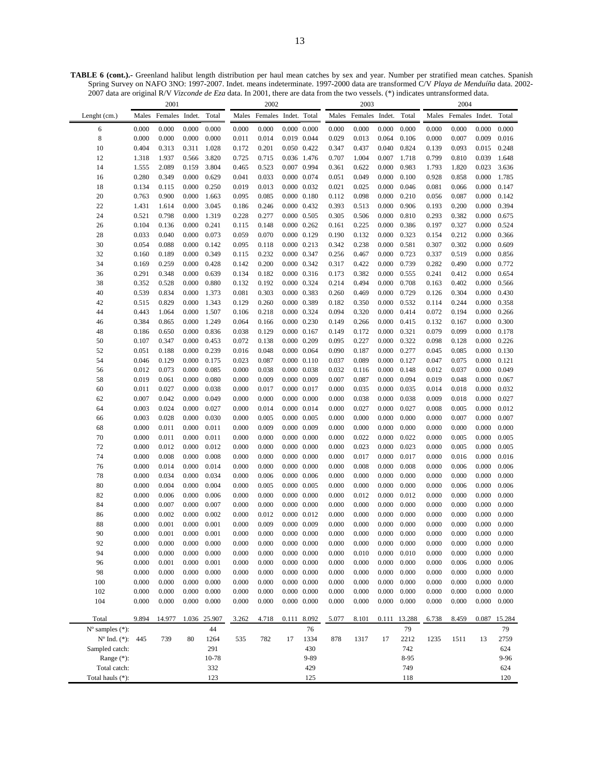**TABLE 6 (cont.).-** Greenland halibut length distribution per haul mean catches by sex and year. Number per stratified mean catches. Spanish Spring Survey on NAFO 3NO: 1997-2007. Indet. means indeterminate. 1997-2000 data are transformed C/V *Playa de Menduíña* data. 2002- 2007 data are original R/V *Vizconde de Eza* data. In 2001, there are data from the two vessels. (\*) indicates untransformed data.

|                               |                | 2001           |                |                |                | 2002                 |                     |                                            |                | 2003           |                |                |                | 2004                 |                |                 |
|-------------------------------|----------------|----------------|----------------|----------------|----------------|----------------------|---------------------|--------------------------------------------|----------------|----------------|----------------|----------------|----------------|----------------------|----------------|-----------------|
| Lenght (cm.)                  | Males          | Females Indet. |                | Total          | Males          | Females Indet. Total |                     |                                            | Males          | Females Indet. |                | Total          |                | Males Females Indet. |                | Total           |
| 6                             | 0.000          | 0.000          | 0.000          | 0.000          | 0.000          | 0.000                |                     | $0.000 \quad 0.000$                        | 0.000          | 0.000          | 0.000          | 0.000          | 0.000          | 0.000                | 0.000          | 0.000           |
| 8                             | 0.000          | 0.000          | 0.000          | 0.000          | 0.011          | 0.014                |                     | 0.019 0.044                                | 0.029          | 0.013          | 0.064          | 0.106          | 0.000          | 0.007                | 0.009          | 0.016           |
| 10                            | 0.404          | 0.313          | 0.311          | 1.028          | 0.172          | 0.201                | 0.050 0.422         |                                            | 0.347          | 0.437          | 0.040          | 0.824          | 0.139          | 0.093                | 0.015          | 0.248           |
| 12                            | 1.318          | 1.937          | 0.566          | 3.820          | 0.725          | 0.715                |                     | 0.036 1.476                                | 0.707          | 1.004          | 0.007          | 1.718          | 0.799          | 0.810                | 0.039          | 1.648           |
| 14                            | 1.555          | 2.089          | 0.159          | 3.804          | 0.465          | 0.523                | 0.007 0.994         |                                            | 0.361          | 0.622          | 0.000          | 0.983          | 1.793          | 1.820                | 0.023          | 3.636           |
| 16                            | 0.280          | 0.349          | 0.000          | 0.629          | 0.041          | 0.033                |                     | 0.000 0.074                                | 0.051          | 0.049          | 0.000          | 0.100          | 0.928          | 0.858                | 0.000          | 1.785           |
| 18                            | 0.134          | 0.115          | 0.000          | 0.250          | 0.019          | 0.013                |                     | $0.000 \quad 0.032$                        | 0.021          | 0.025          | 0.000          | 0.046          | 0.081          | 0.066                | 0.000          | 0.147           |
| 20                            | 0.763          | 0.900          | 0.000          | 1.663          | 0.095          | 0.085                |                     | $0.000 \quad 0.180$                        | 0.112          | 0.098          | 0.000          | 0.210          | 0.056          | 0.087                | 0.000          | 0.142           |
| 22                            | 1.431          | 1.614          | 0.000          | 3.045          | 0.186          | 0.246                |                     | 0.000 0.432                                | 0.393          | 0.513          | 0.000          | 0.906          | 0.193          | 0.200                | 0.000          | 0.394           |
| 24                            | 0.521          | 0.798          | 0.000          | 1.319          | 0.228          | 0.277                |                     | $0.000 \quad 0.505$                        | 0.305          | 0.506          | 0.000          | 0.810          | 0.293          | 0.382                | 0.000          | 0.675           |
| 26                            | 0.104          | 0.136          | 0.000          | 0.241<br>0.073 | 0.115          | 0.148                |                     | $0.000 \quad 0.262$                        | 0.161          | 0.225          | 0.000          | 0.386          | 0.197          | 0.327                | 0.000          | 0.524<br>0.366  |
| 28<br>30                      | 0.033<br>0.054 | 0.040<br>0.088 | 0.000<br>0.000 | 0.142          | 0.059<br>0.095 | 0.070<br>0.118       | 0.000 0.129         | $0.000 \quad 0.213$                        | 0.190<br>0.342 | 0.132<br>0.238 | 0.000<br>0.000 | 0.323<br>0.581 | 0.154<br>0.307 | 0.212<br>0.302       | 0.000<br>0.000 | 0.609           |
| 32                            | 0.160          | 0.189          | 0.000          | 0.349          | 0.115          | 0.232                | 0.000 0.347         |                                            | 0.256          | 0.467          | 0.000          | 0.723          | 0.337          | 0.519                | 0.000          | 0.856           |
| 34                            | 0.169          | 0.259          | 0.000          | 0.428          | 0.142          | 0.200                |                     | 0.000 0.342                                | 0.317          | 0.422          | 0.000          | 0.739          | 0.282          | 0.490                | 0.000          | 0.772           |
| 36                            | 0.291          | 0.348          | 0.000          | 0.639          | 0.134          | 0.182                | 0.000 0.316         |                                            | 0.173          | 0.382          | 0.000          | 0.555          | 0.241          | 0.412                | 0.000          | 0.654           |
| 38                            | 0.352          | 0.528          | 0.000          | 0.880          | 0.132          | 0.192                |                     | 0.000 0.324                                | 0.214          | 0.494          | 0.000          | 0.708          | 0.163          | 0.402                | 0.000          | 0.566           |
| 40                            | 0.539          | 0.834          | 0.000          | 1.373          | 0.081          | 0.303                | 0.000 0.383         |                                            | 0.260          | 0.469          | 0.000          | 0.729          | 0.126          | 0.304                | 0.000          | 0.430           |
| 42                            | 0.515          | 0.829          | 0.000          | 1.343          | 0.129          | 0.260                | 0.000 0.389         |                                            | 0.182          | 0.350          | 0.000          | 0.532          | 0.114          | 0.244                | 0.000          | 0.358           |
| 44                            | 0.443          | 1.064          | 0.000          | 1.507          | 0.106          | 0.218                |                     | 0.000 0.324                                | 0.094          | 0.320          | 0.000          | 0.414          | 0.072          | 0.194                | 0.000          | 0.266           |
| 46                            | 0.384          | 0.865          | 0.000          | 1.249          | 0.064          | 0.166                | 0.000 0.230         |                                            | 0.149          | 0.266          | 0.000          | 0.415          | 0.132          | 0.167                | 0.000          | 0.300           |
| 48                            | 0.186          | 0.650          | 0.000          | 0.836          | 0.038          | 0.129                | 0.000 0.167         |                                            | 0.149          | 0.172          | 0.000          | 0.321          | 0.079          | 0.099                | 0.000          | 0.178           |
| 50                            | 0.107          | 0.347          | 0.000          | 0.453          | 0.072          | 0.138                |                     | 0.000 0.209                                | 0.095          | 0.227          | 0.000          | 0.322          | 0.098          | 0.128                | 0.000          | 0.226           |
| 52                            | 0.051          | 0.188          | 0.000          | 0.239          | 0.016          | 0.048                | $0.000 \quad 0.064$ |                                            | 0.090          | 0.187          | 0.000          | 0.277          | 0.045          | 0.085                | 0.000          | 0.130           |
| 54                            | 0.046          | 0.129          | 0.000          | 0.175          | 0.023          | 0.087                |                     | $0.000 \quad 0.110$                        | 0.037          | 0.089          | 0.000          | 0.127          | 0.047          | 0.075                | 0.000          | 0.121           |
| 56                            | 0.012          | 0.073          | 0.000          | 0.085          | 0.000          | 0.038                |                     | 0.000 0.038                                | 0.032          | 0.116          | 0.000          | 0.148          | 0.012          | 0.037                | 0.000          | 0.049           |
| 58<br>60                      | 0.019<br>0.011 | 0.061<br>0.027 | 0.000<br>0.000 | 0.080<br>0.038 | 0.000<br>0.000 | 0.009<br>0.017       | 0.000 0.017         | 0.000 0.009                                | 0.007<br>0.000 | 0.087<br>0.035 | 0.000<br>0.000 | 0.094<br>0.035 | 0.019<br>0.014 | 0.048<br>0.018       | 0.000<br>0.000 | 0.067<br>0.032  |
| 62                            | 0.007          | 0.042          | 0.000          | 0.049          | 0.000          | 0.000                |                     | $0.000 \quad 0.000$                        | 0.000          | 0.038          | 0.000          | 0.038          | 0.009          | 0.018                | 0.000          | 0.027           |
| 64                            | 0.003          | 0.024          | 0.000          | 0.027          | 0.000          | 0.014                |                     | 0.000 0.014                                | 0.000          | 0.027          | 0.000          | 0.027          | 0.008          | 0.005                | 0.000          | 0.012           |
| 66                            | 0.003          | 0.028          | 0.000          | 0.030          | 0.000          | 0.005                |                     | $0.000 \quad 0.005$                        | 0.000          | 0.000          | 0.000          | 0.000          | 0.000          | 0.007                | 0.000          | 0.007           |
| 68                            | 0.000          | 0.011          | 0.000          | 0.011          | 0.000          | 0.009                |                     | 0.000 0.009                                | 0.000          | 0.000          | 0.000          | 0.000          | 0.000          | 0.000                | 0.000          | 0.000           |
| 70                            | 0.000          | 0.011          | 0.000          | 0.011          | 0.000          | 0.000                | $0.000 \quad 0.000$ |                                            | 0.000          | 0.022          | 0.000          | 0.022          | 0.000          | 0.005                | 0.000          | 0.005           |
| 72                            | 0.000          | 0.012          | 0.000          | 0.012          | 0.000          | 0.000                |                     | $0.000 \quad 0.000$                        | 0.000          | 0.023          | 0.000          | 0.023          | 0.000          | 0.005                | 0.000          | 0.005           |
| 74                            | 0.000          | 0.008          | 0.000          | 0.008          | 0.000          | 0.000                |                     | $0.000 \quad 0.000$                        | 0.000          | 0.017          | 0.000          | 0.017          | 0.000          | 0.016                | 0.000          | 0.016           |
| 76                            | 0.000          | 0.014          | 0.000          | 0.014          | 0.000          | 0.000                |                     | $0.000 \quad 0.000$                        | 0.000          | 0.008          | 0.000          | 0.008          | 0.000          | 0.006                | 0.000          | 0.006           |
| 78                            | 0.000          | 0.034          | 0.000          | 0.034          | 0.000          | 0.006                |                     | $0.000 \quad 0.006$                        | 0.000          | 0.000          | 0.000          | 0.000          | 0.000          | 0.000                | 0.000          | 0.000           |
| 80                            | 0.000          | 0.004          | 0.000          | 0.004          | 0.000          | 0.005                |                     | 0.000 0.005                                | 0.000          | 0.000          | 0.000          | 0.000          | 0.000          | 0.006                | 0.000          | 0.006           |
| 82                            | 0.000          | 0.006          | 0.000          | 0.006          | 0.000          | 0.000                |                     | $0.000 \quad 0.000$                        | 0.000          | 0.012          | 0.000          | 0.012          | 0.000          | 0.000                | 0.000          | 0.000           |
| 84                            | 0.000          | 0.007          | 0.000          | 0.007          | 0.000          | 0.000                |                     | $0.000 \quad 0.000$                        | 0.000          | 0.000          | 0.000          | 0.000          | 0.000          | 0.000                | 0.000          | 0.000           |
| 86                            | 0.000          | 0.002          | 0.000          | 0.002          | 0.000          | 0.012                |                     | 0.000 0.012                                | 0.000          | 0.000          | 0.000          | 0.000          | 0.000          | 0.000                | 0.000          | 0.000           |
| 88                            | 0.000          | 0.001          | 0.000          | 0.001          | 0.000          | 0.009                | 0.000 0.009         |                                            | 0.000          | 0.000          | 0.000          | 0.000          | 0.000          | 0.000                | 0.000          | 0.000           |
| 90<br>92                      | 0.000<br>0.000 | 0.001          | 0.000          | 0.001          | 0.000          | 0.000                | $0.000 \quad 0.000$ |                                            | 0.000          | 0.000          | 0.000          | 0.000          | 0.000          | 0.000                | 0.000          | 0.000           |
| 94                            | 0.000          | 0.000<br>0.000 | 0.000<br>0.000 | 0.000<br>0.000 | 0.000<br>0.000 | 0.000<br>0.000       |                     | $0.000 \quad 0.000$<br>$0.000 \quad 0.000$ | 0.000<br>0.000 | 0.000<br>0.010 | 0.000<br>0.000 | 0.000<br>0.010 | 0.000<br>0.000 | 0.000<br>0.000       | 0.000<br>0.000 | 0.000<br>0.000  |
| 96                            | 0.000          | 0.001          | 0.000          | 0.001          | 0.000          | 0.000                | $0.000 \quad 0.000$ |                                            | 0.000          | 0.000          | 0.000          | 0.000          | 0.000          | 0.006                | $0.000\,$      | 0.006           |
| 98                            | 0.000          | 0.000          | 0.000          | 0.000          | 0.000          | 0.000                |                     | $0.000 \quad 0.000$                        | 0.000          | 0.000          | 0.000          | 0.000          | 0.000          | 0.000                | 0.000          | 0.000           |
| 100                           | 0.000          | 0.000          | 0.000          | 0.000          | 0.000          | 0.000                |                     | $0.000 \quad 0.000$                        | 0.000          | 0.000          | 0.000          | 0.000          | 0.000          | 0.000                | 0.000          | 0.000           |
| 102                           | 0.000          | 0.000          | 0.000          | 0.000          | 0.000          | 0.000                |                     | $0.000 \quad 0.000$                        | 0.000          | 0.000          | 0.000          | 0.000          | 0.000          | 0.000                | 0.000          | 0.000           |
| 104                           | 0.000          | 0.000          | 0.000          | 0.000          | 0.000          | 0.000                |                     | $0.000 \quad 0.000$                        | 0.000          | 0.000          | 0.000          | 0.000          | 0.000          | 0.000                | 0.000          | 0.000           |
|                               |                |                |                |                |                |                      |                     |                                            |                |                |                |                |                |                      |                |                 |
| Total                         | 9.894          | 14.977         | 1.036          | 25.907         | 3.262          | 4.718                | 0.111               | 8.092                                      | 5.077          | 8.101          | 0.111          | 13.288         | 6.738          | 8.459                | 0.087          | 15.284          |
| $No$ samples $(*)$ :          |                |                |                | 44             |                |                      |                     | 76                                         |                |                |                | 79             |                |                      |                | 79              |
| $N^{\circ}$ Ind. $(*)$ :      | 445            | 739            | 80             | 1264           | 535            | 782                  | 17                  | 1334                                       | 878            | 1317           | 17             | 2212           | 1235           | 1511                 | 13             | 2759            |
| Sampled catch:                |                |                |                | 291<br>10-78   |                |                      |                     | 430<br>9-89                                |                |                |                | 742<br>8-95    |                |                      |                | 624<br>$9 - 96$ |
| Range $(*)$ :<br>Total catch: |                |                |                | 332            |                |                      |                     | 429                                        |                |                |                | 749            |                |                      |                | 624             |
| Total hauls (*):              |                |                |                | 123            |                |                      |                     | 125                                        |                |                |                | 118            |                |                      |                | 120             |
|                               |                |                |                |                |                |                      |                     |                                            |                |                |                |                |                |                      |                |                 |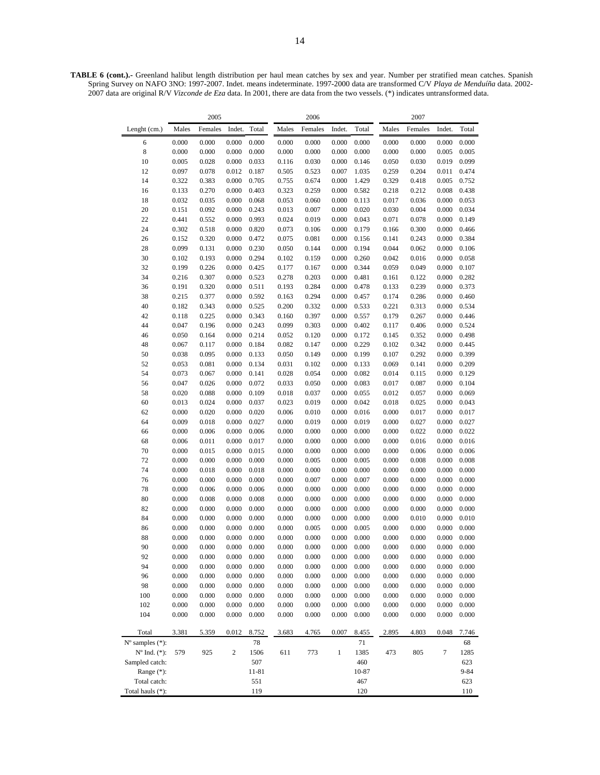**TABLE 6 (cont.).-** Greenland halibut length distribution per haul mean catches by sex and year. Number per stratified mean catches. Spanish Spring Survey on NAFO 3NO: 1997-2007. Indet. means indeterminate. 1997-2000 data are transformed C/V *Playa de Menduíña* data. 2002- 2007 data are original R/V *Vizconde de Eza* data. In 2001, there are data from the two vessels. (\*) indicates untransformed data.

|                             |                | 2005           |                |                |                | 2006           |                |                |                | 2007           |                |                |
|-----------------------------|----------------|----------------|----------------|----------------|----------------|----------------|----------------|----------------|----------------|----------------|----------------|----------------|
| Lenght (cm.)                | Males          | Females        | Indet.         | Total          | Males          | Females        | Indet.         | Total          | Males          | Females        | Indet.         | Total          |
| 6                           | 0.000          | 0.000          | 0.000          | 0.000          | 0.000          | 0.000          | 0.000          | 0.000          | 0.000          | 0.000          | 0.000          | 0.000          |
| $\,$ 8 $\,$                 | 0.000          | 0.000          | 0.000          | 0.000          | 0.000          | 0.000          | 0.000          | 0.000          | 0.000          | 0.000          | 0.005          | 0.005          |
| 10                          | 0.005          | 0.028          | 0.000          | 0.033          | 0.116          | 0.030          | 0.000          | 0.146          | 0.050          | 0.030          | 0.019          | 0.099          |
| 12                          | 0.097          | 0.078          | 0.012          | 0.187          | 0.505          | 0.523          | 0.007          | 1.035          | 0.259          | 0.204          | 0.011          | 0.474          |
| 14                          | 0.322          | 0.383          | 0.000          | 0.705          | 0.755          | 0.674          | 0.000          | 1.429          | 0.329          | 0.418          | 0.005          | 0.752          |
| 16                          | 0.133          | 0.270          | 0.000          | 0.403          | 0.323          | 0.259          | 0.000          | 0.582          | 0.218          | 0.212          | 0.008          | 0.438          |
| 18                          | 0.032          | 0.035          | 0.000          | 0.068          | 0.053          | 0.060          | 0.000          | 0.113          | 0.017          | 0.036          | 0.000          | 0.053          |
| 20                          | 0.151          | 0.092          | 0.000          | 0.243          | 0.013          | 0.007          | 0.000          | 0.020          | 0.030          | 0.004          | 0.000          | 0.034          |
| 22                          | 0.441          | 0.552          | 0.000          | 0.993          | 0.024          | 0.019          | 0.000          | 0.043          | 0.071          | 0.078          | 0.000          | 0.149          |
| 24                          | 0.302          | 0.518          | 0.000          | 0.820          | 0.073          | 0.106          | 0.000          | 0.179          | 0.166          | 0.300          | 0.000          | 0.466          |
| 26                          | 0.152          | 0.320          | 0.000          | 0.472          | 0.075          | 0.081          | 0.000          | 0.156          | 0.141          | 0.243          | 0.000          | 0.384          |
| 28                          | 0.099          | 0.131          | 0.000          | 0.230          | 0.050          | 0.144          | 0.000          | 0.194          | 0.044          | 0.062          | 0.000          | 0.106          |
| 30                          | 0.102          | 0.193          | 0.000          | 0.294          | 0.102          | 0.159          | 0.000          | 0.260          | 0.042          | 0.016          | 0.000          | 0.058          |
| 32                          | 0.199          | 0.226          | 0.000          | 0.425          | 0.177          | 0.167          | 0.000          | 0.344          | 0.059          | 0.049          | 0.000          | 0.107          |
| 34                          | 0.216          | 0.307          | 0.000          | 0.523          | 0.278          | 0.203          | 0.000          | 0.481          | 0.161          | 0.122          | 0.000          | 0.282          |
| 36                          | 0.191          | 0.320          | 0.000          | 0.511          | 0.193          | 0.284          | 0.000          | 0.478          | 0.133          | 0.239          | 0.000          | 0.373          |
| 38<br>40                    | 0.215<br>0.182 | 0.377<br>0.343 | 0.000<br>0.000 | 0.592<br>0.525 | 0.163<br>0.200 | 0.294<br>0.332 | 0.000<br>0.000 | 0.457<br>0.533 | 0.174<br>0.221 | 0.286<br>0.313 | 0.000<br>0.000 | 0.460<br>0.534 |
| 42                          | 0.118          | 0.225          | 0.000          | 0.343          | 0.160          | 0.397          | 0.000          | 0.557          | 0.179          | 0.267          | 0.000          | 0.446          |
| 44                          | 0.047          | 0.196          | 0.000          | 0.243          | 0.099          | 0.303          | 0.000          | 0.402          | 0.117          | 0.406          | 0.000          | 0.524          |
| 46                          | 0.050          | 0.164          | 0.000          | 0.214          | 0.052          | 0.120          | 0.000          | 0.172          | 0.145          | 0.352          | 0.000          | 0.498          |
| 48                          | 0.067          | 0.117          | 0.000          | 0.184          | 0.082          | 0.147          | 0.000          | 0.229          | 0.102          | 0.342          | 0.000          | 0.445          |
| 50                          | 0.038          | 0.095          | 0.000          | 0.133          | 0.050          | 0.149          | 0.000          | 0.199          | 0.107          | 0.292          | 0.000          | 0.399          |
| 52                          | 0.053          | 0.081          | 0.000          | 0.134          | 0.031          | 0.102          | 0.000          | 0.133          | 0.069          | 0.141          | 0.000          | 0.209          |
| 54                          | 0.073          | 0.067          | 0.000          | 0.141          | 0.028          | 0.054          | 0.000          | 0.082          | 0.014          | 0.115          | 0.000          | 0.129          |
| 56                          | 0.047          | 0.026          | 0.000          | 0.072          | 0.033          | 0.050          | 0.000          | 0.083          | 0.017          | 0.087          | 0.000          | 0.104          |
| 58                          | 0.020          | 0.088          | 0.000          | 0.109          | 0.018          | 0.037          | 0.000          | 0.055          | 0.012          | 0.057          | 0.000          | 0.069          |
| 60                          | 0.013          | 0.024          | 0.000          | 0.037          | 0.023          | 0.019          | 0.000          | 0.042          | 0.018          | 0.025          | 0.000          | 0.043          |
| 62                          | 0.000          | 0.020          | 0.000          | 0.020          | 0.006          | 0.010          | 0.000          | 0.016          | 0.000          | 0.017          | 0.000          | 0.017          |
| 64                          | 0.009          | 0.018          | 0.000          | 0.027          | 0.000          | 0.019          | 0.000          | 0.019          | 0.000          | 0.027          | 0.000          | 0.027          |
| 66                          | 0.000          | 0.006          | 0.000          | 0.006          | 0.000          | 0.000          | 0.000          | 0.000          | 0.000          | 0.022          | 0.000          | 0.022          |
| 68                          | 0.006          | 0.011          | 0.000          | 0.017          | 0.000          | 0.000          | 0.000          | 0.000          | 0.000          | 0.016          | 0.000          | 0.016          |
| 70                          | 0.000          | 0.015          | 0.000          | 0.015          | 0.000          | 0.000          | 0.000          | 0.000          | 0.000          | 0.006          | 0.000          | 0.006          |
| 72                          | 0.000          | 0.000          | 0.000          | 0.000          | 0.000          | 0.005          | 0.000          | 0.005          | 0.000          | 0.008          | 0.000          | 0.008          |
| 74                          | 0.000          | 0.018          | 0.000          | 0.018          | 0.000          | 0.000          | 0.000          | 0.000          | 0.000          | 0.000          | 0.000          | 0.000          |
| 76                          | 0.000          | 0.000          | 0.000          | 0.000          | 0.000          | 0.007          | 0.000          | 0.007          | 0.000          | 0.000          | 0.000          | 0.000          |
| 78                          | 0.000          | 0.006          | 0.000          | 0.006          | 0.000          | 0.000          | 0.000          | 0.000          | 0.000          | 0.000          | 0.000          | 0.000          |
| 80                          | 0.000          | 0.008          | 0.000          | 0.008          | 0.000          | 0.000          | 0.000          | 0.000          | 0.000          | 0.000          | 0.000          | 0.000          |
| 82                          | 0.000          | 0.000          | 0.000          | 0.000          | 0.000          | 0.000          | 0.000          | 0.000          | 0.000          | 0.000          | 0.000          | 0.000          |
| 84                          | 0.000          | 0.000          | 0.000          | 0.000          | 0.000          | 0.000          | 0.000          | 0.000          | 0.000          | 0.010          | 0.000          | 0.010          |
| 86                          | 0.000          | 0.000          | 0.000          | 0.000          | 0.000          | 0.005          | 0.000          | 0.005          | 0.000          | 0.000          | 0.000          | 0.000          |
| 88                          | 0.000          | 0.000          | 0.000          | 0.000          | 0.000          | 0.000          | 0.000          | 0.000          | 0.000          | 0.000          | 0.000          | 0.000          |
| 90                          | 0.000          | 0.000          | 0.000          | 0.000          | 0.000          | 0.000          | 0.000          | 0.000          | 0.000          | 0.000          | 0.000          | 0.000          |
| 92                          | 0.000          | 0.000          | 0.000          | 0.000          | 0.000          | 0.000          | 0.000          | 0.000          | 0.000          | 0.000          | 0.000          | 0.000          |
| 94                          | 0.000          | 0.000          | 0.000          | 0.000          | 0.000          | 0.000          | 0.000          | 0.000          | 0.000          | 0.000          | 0.000          | 0.000          |
| 96                          | 0.000          | 0.000          | 0.000          | 0.000          | 0.000          | 0.000          | 0.000          | 0.000          | 0.000          | 0.000          | 0.000          | 0.000          |
| 98                          | 0.000<br>0.000 | 0.000          | 0.000<br>0.000 | 0.000          | 0.000          | 0.000          | 0.000          | 0.000          | 0.000          | 0.000          | 0.000          | 0.000          |
| 100<br>102                  |                | 0.000          |                | 0.000          | 0.000          | 0.000          | 0.000          | 0.000          | 0.000          | 0.000          | 0.000          | 0.000          |
|                             | 0.000          | 0.000          | 0.000          | 0.000          | 0.000          | 0.000          | 0.000<br>0.000 | 0.000          | 0.000          | 0.000          | 0.000          | 0.000          |
| 104                         | 0.000          | 0.000          | 0.000          | 0.000          | 0.000          | 0.000          |                | 0.000          | 0.000          | 0.000          | 0.000          | 0.000          |
| Total                       | 3.381          | 5.359          | 0.012          | 8.752          | 3.683          | 4.765          | 0.007          | 8.455          | 2.895          | 4.803          | 0.048          | 7.746          |
| $N^{\circ}$ samples $(*)$ : |                |                |                | 78             |                |                |                | 71             |                |                |                | 68             |
| $N^{\circ}$ Ind. $(*)$ :    | 579            | 925            | 2              | 1506           | 611            | 773            | $\mathbf{1}$   | 1385           | 473            | 805            | 7              | 1285           |
| Sampled catch:              |                |                |                | 507            |                |                |                | 460            |                |                |                | 623            |
| Range $(*)$ :               |                |                |                | 11-81          |                |                |                | 10-87          |                |                |                | $9 - 84$       |
| Total catch:                |                |                |                | 551            |                |                |                | 467            |                |                |                | 623            |
| Total hauls (*):            |                |                |                | 119            |                |                |                | 120            |                |                |                | 110            |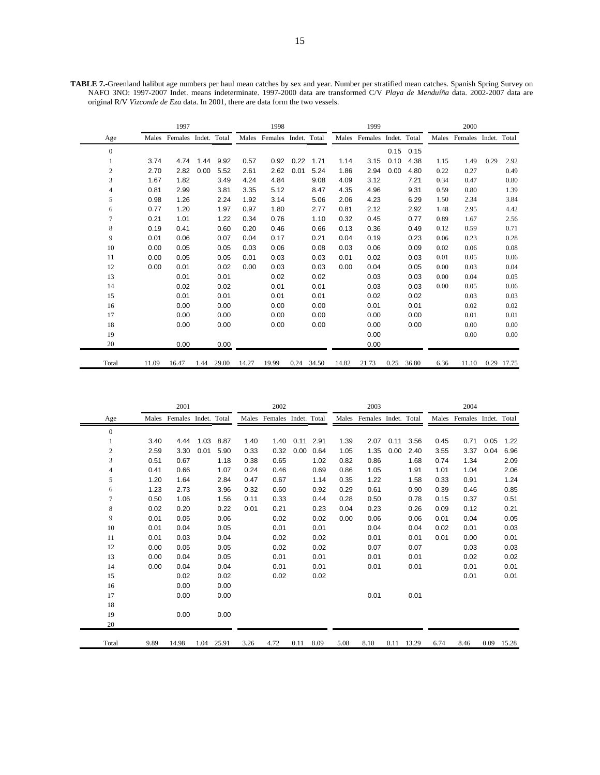|                |       | 1997                 |      |       |       | 1998                       |      |            |       | 1999          |              |             |      | 2000                       |      |            |
|----------------|-------|----------------------|------|-------|-------|----------------------------|------|------------|-------|---------------|--------------|-------------|------|----------------------------|------|------------|
| Age            | Males | Females Indet. Total |      |       |       | Males Females Indet. Total |      |            |       | Males Females | Indet. Total |             |      | Males Females Indet. Total |      |            |
| $\overline{0}$ |       |                      |      |       |       |                            |      |            |       |               |              | $0.15$ 0.15 |      |                            |      |            |
| 1              | 3.74  | 4.74                 | 1.44 | 9.92  | 0.57  | 0.92                       | 0.22 | 1.71       | 1.14  | 3.15          | 0.10         | 4.38        | 1.15 | 1.49                       | 0.29 | 2.92       |
| $\overline{2}$ | 2.70  | 2.82                 | 0.00 | 5.52  | 2.61  | 2.62                       | 0.01 | 5.24       | 1.86  | 2.94          | 0.00         | 4.80        | 0.22 | 0.27                       |      | 0.49       |
| 3              | 1.67  | 1.82                 |      | 3.49  | 4.24  | 4.84                       |      | 9.08       | 4.09  | 3.12          |              | 7.21        | 0.34 | 0.47                       |      | 0.80       |
| $\overline{4}$ | 0.81  | 2.99                 |      | 3.81  | 3.35  | 5.12                       |      | 8.47       | 4.35  | 4.96          |              | 9.31        | 0.59 | 0.80                       |      | 1.39       |
| 5              | 0.98  | 1.26                 |      | 2.24  | 1.92  | 3.14                       |      | 5.06       | 2.06  | 4.23          |              | 6.29        | 1.50 | 2.34                       |      | 3.84       |
| 6              | 0.77  | 1.20                 |      | 1.97  | 0.97  | 1.80                       |      | 2.77       | 0.81  | 2.12          |              | 2.92        | 1.48 | 2.95                       |      | 4.42       |
| $\overline{7}$ | 0.21  | 1.01                 |      | 1.22  | 0.34  | 0.76                       |      | 1.10       | 0.32  | 0.45          |              | 0.77        | 0.89 | 1.67                       |      | 2.56       |
| 8              | 0.19  | 0.41                 |      | 0.60  | 0.20  | 0.46                       |      | 0.66       | 0.13  | 0.36          |              | 0.49        | 0.12 | 0.59                       |      | 0.71       |
| 9              | 0.01  | 0.06                 |      | 0.07  | 0.04  | 0.17                       |      | 0.21       | 0.04  | 0.19          |              | 0.23        | 0.06 | 0.23                       |      | 0.28       |
| 10             | 0.00  | 0.05                 |      | 0.05  | 0.03  | 0.06                       |      | 0.08       | 0.03  | 0.06          |              | 0.09        | 0.02 | 0.06                       |      | 0.08       |
| 11             | 0.00  | 0.05                 |      | 0.05  | 0.01  | 0.03                       |      | 0.03       | 0.01  | 0.02          |              | 0.03        | 0.01 | 0.05                       |      | 0.06       |
| 12             | 0.00  | 0.01                 |      | 0.02  | 0.00  | 0.03                       |      | 0.03       | 0.00  | 0.04          |              | 0.05        | 0.00 | 0.03                       |      | 0.04       |
| 13             |       | 0.01                 |      | 0.01  |       | 0.02                       |      | 0.02       |       | 0.03          |              | 0.03        | 0.00 | 0.04                       |      | 0.05       |
| 14             |       | 0.02                 |      | 0.02  |       | 0.01                       |      | 0.01       |       | 0.03          |              | 0.03        | 0.00 | 0.05                       |      | 0.06       |
| 15             |       | 0.01                 |      | 0.01  |       | 0.01                       |      | 0.01       |       | 0.02          |              | 0.02        |      | 0.03                       |      | 0.03       |
| 16             |       | 0.00                 |      | 0.00  |       | 0.00                       |      | 0.00       |       | 0.01          |              | 0.01        |      | 0.02                       |      | 0.02       |
| 17             |       | 0.00                 |      | 0.00  |       | 0.00                       |      | 0.00       |       | 0.00          |              | 0.00        |      | 0.01                       |      | 0.01       |
| 18             |       | 0.00                 |      | 0.00  |       | 0.00                       |      | 0.00       |       | 0.00          |              | 0.00        |      | 0.00                       |      | 0.00       |
| 19             |       |                      |      |       |       |                            |      |            |       | 0.00          |              |             |      | 0.00                       |      | 0.00       |
| 20             |       | 0.00                 |      | 0.00  |       |                            |      |            |       | 0.00          |              |             |      |                            |      |            |
| Total          | 11.09 | 16.47                | 1.44 | 29.00 | 14.27 | 19.99                      |      | 0.24 34.50 | 14.82 | 21.73         | 0.25         | 36.80       | 6.36 | 11.10                      |      | 0.29 17.75 |

**TABLE 7.-**Greenland halibut age numbers per haul mean catches by sex and year. Number per stratified mean catches. Spanish Spring Survey on NAFO 3NO: 1997-2007 Indet. means indeterminate. 1997-2000 data are transformed C/V *Playa de Menduíña* data. 2002-2007 data are original R/V *Vizconde de Eza* data. In 2001, there are data form the two vessels.

|                |      | 2001          |              |       |      | 2002                       |      |             |      | 2003                       |      |            |      | 2004                       |      |       |
|----------------|------|---------------|--------------|-------|------|----------------------------|------|-------------|------|----------------------------|------|------------|------|----------------------------|------|-------|
| Age            |      | Males Females | Indet. Total |       |      | Males Females Indet. Total |      |             |      | Males Females Indet. Total |      |            |      | Males Females Indet. Total |      |       |
| $\mathbf{0}$   |      |               |              |       |      |                            |      |             |      |                            |      |            |      |                            |      |       |
| 1              | 3.40 | 4.44          | 1.03         | 8.87  | 1.40 | 1.40                       |      | $0.11$ 2.91 | 1.39 | 2.07                       | 0.11 | 3.56       | 0.45 | 0.71                       | 0.05 | 1.22  |
| $\overline{c}$ | 2.59 | 3.30          | 0.01         | 5.90  | 0.33 | 0.32                       | 0.00 | 0.64        | 1.05 | 1.35                       | 0.00 | 2.40       | 3.55 | 3.37                       | 0.04 | 6.96  |
| 3              | 0.51 | 0.67          |              | 1.18  | 0.38 | 0.65                       |      | 1.02        | 0.82 | 0.86                       |      | 1.68       | 0.74 | 1.34                       |      | 2.09  |
| 4              | 0.41 | 0.66          |              | 1.07  | 0.24 | 0.46                       |      | 0.69        | 0.86 | 1.05                       |      | 1.91       | 1.01 | 1.04                       |      | 2.06  |
| 5              | 1.20 | 1.64          |              | 2.84  | 0.47 | 0.67                       |      | 1.14        | 0.35 | 1.22                       |      | 1.58       | 0.33 | 0.91                       |      | 1.24  |
| 6              | 1.23 | 2.73          |              | 3.96  | 0.32 | 0.60                       |      | 0.92        | 0.29 | 0.61                       |      | 0.90       | 0.39 | 0.46                       |      | 0.85  |
| 7              | 0.50 | 1.06          |              | 1.56  | 0.11 | 0.33                       |      | 0.44        | 0.28 | 0.50                       |      | 0.78       | 0.15 | 0.37                       |      | 0.51  |
| 8              | 0.02 | 0.20          |              | 0.22  | 0.01 | 0.21                       |      | 0.23        | 0.04 | 0.23                       |      | 0.26       | 0.09 | 0.12                       |      | 0.21  |
| 9              | 0.01 | 0.05          |              | 0.06  |      | 0.02                       |      | 0.02        | 0.00 | 0.06                       |      | 0.06       | 0.01 | 0.04                       |      | 0.05  |
| 10             | 0.01 | 0.04          |              | 0.05  |      | 0.01                       |      | 0.01        |      | 0.04                       |      | 0.04       | 0.02 | 0.01                       |      | 0.03  |
| 11             | 0.01 | 0.03          |              | 0.04  |      | 0.02                       |      | 0.02        |      | 0.01                       |      | 0.01       | 0.01 | 0.00                       |      | 0.01  |
| 12             | 0.00 | 0.05          |              | 0.05  |      | 0.02                       |      | 0.02        |      | 0.07                       |      | 0.07       |      | 0.03                       |      | 0.03  |
| 13             | 0.00 | 0.04          |              | 0.05  |      | 0.01                       |      | 0.01        |      | 0.01                       |      | 0.01       |      | 0.02                       |      | 0.02  |
| 14             | 0.00 | 0.04          |              | 0.04  |      | 0.01                       |      | 0.01        |      | 0.01                       |      | 0.01       |      | 0.01                       |      | 0.01  |
| 15             |      | 0.02          |              | 0.02  |      | 0.02                       |      | 0.02        |      |                            |      |            |      | 0.01                       |      | 0.01  |
| 16             |      | 0.00          |              | 0.00  |      |                            |      |             |      |                            |      |            |      |                            |      |       |
| 17             |      | 0.00          |              | 0.00  |      |                            |      |             |      | 0.01                       |      | 0.01       |      |                            |      |       |
| 18             |      |               |              |       |      |                            |      |             |      |                            |      |            |      |                            |      |       |
| 19             |      | 0.00          |              | 0.00  |      |                            |      |             |      |                            |      |            |      |                            |      |       |
| 20             |      |               |              |       |      |                            |      |             |      |                            |      |            |      |                            |      |       |
| Total          | 9.89 | 14.98         | 1.04         | 25.91 | 3.26 | 4.72                       | 0.11 | 8.09        | 5.08 | 8.10                       |      | 0.11 13.29 | 6.74 | 8.46                       | 0.09 | 15.28 |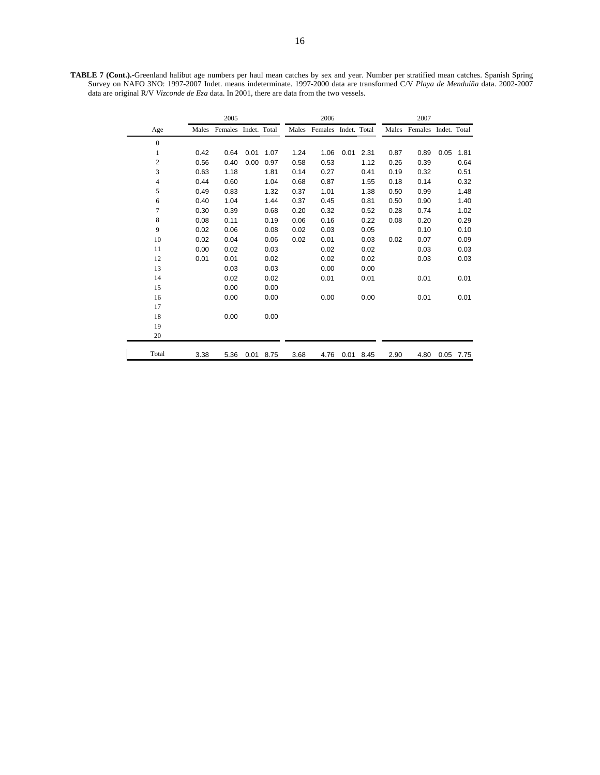**TABLE 7 (Cont.).-**Greenland halibut age numbers per haul mean catches by sex and year. Number per stratified mean catches. Spanish Spring Survey on NAFO 3NO: 1997-2007 Indet. means indeterminate. 1997-2000 data are transformed C/V *Playa de Menduíña* data. 2002-2007 data are original R/V *Vizconde de Eza* data. In 2001, there are data from the two vessels.

|              |       | 2005                 |      |      |      | 2006                       |      |      |       | 2007                 |      |      |
|--------------|-------|----------------------|------|------|------|----------------------------|------|------|-------|----------------------|------|------|
| Age          | Males | Females Indet. Total |      |      |      | Males Females Indet. Total |      |      | Males | Females Indet. Total |      |      |
| $\mathbf{0}$ |       |                      |      |      |      |                            |      |      |       |                      |      |      |
| $\mathbf{1}$ | 0.42  | 0.64                 | 0.01 | 1.07 | 1.24 | 1.06                       | 0.01 | 2.31 | 0.87  | 0.89                 | 0.05 | 1.81 |
| $\mathbf{2}$ | 0.56  | 0.40                 | 0.00 | 0.97 | 0.58 | 0.53                       |      | 1.12 | 0.26  | 0.39                 |      | 0.64 |
| 3            | 0.63  | 1.18                 |      | 1.81 | 0.14 | 0.27                       |      | 0.41 | 0.19  | 0.32                 |      | 0.51 |
| 4            | 0.44  | 0.60                 |      | 1.04 | 0.68 | 0.87                       |      | 1.55 | 0.18  | 0.14                 |      | 0.32 |
| 5            | 0.49  | 0.83                 |      | 1.32 | 0.37 | 1.01                       |      | 1.38 | 0.50  | 0.99                 |      | 1.48 |
| 6            | 0.40  | 1.04                 |      | 1.44 | 0.37 | 0.45                       |      | 0.81 | 0.50  | 0.90                 |      | 1.40 |
| 7            | 0.30  | 0.39                 |      | 0.68 | 0.20 | 0.32                       |      | 0.52 | 0.28  | 0.74                 |      | 1.02 |
| 8            | 0.08  | 0.11                 |      | 0.19 | 0.06 | 0.16                       |      | 0.22 | 0.08  | 0.20                 |      | 0.29 |
| 9            | 0.02  | 0.06                 |      | 0.08 | 0.02 | 0.03                       |      | 0.05 |       | 0.10                 |      | 0.10 |
| 10           | 0.02  | 0.04                 |      | 0.06 | 0.02 | 0.01                       |      | 0.03 | 0.02  | 0.07                 |      | 0.09 |
| 11           | 0.00  | 0.02                 |      | 0.03 |      | 0.02                       |      | 0.02 |       | 0.03                 |      | 0.03 |
| 12           | 0.01  | 0.01                 |      | 0.02 |      | 0.02                       |      | 0.02 |       | 0.03                 |      | 0.03 |
| 13           |       | 0.03                 |      | 0.03 |      | 0.00                       |      | 0.00 |       |                      |      |      |
| 14           |       | 0.02                 |      | 0.02 |      | 0.01                       |      | 0.01 |       | 0.01                 |      | 0.01 |
| 15           |       | 0.00                 |      | 0.00 |      |                            |      |      |       |                      |      |      |
| 16           |       | 0.00                 |      | 0.00 |      | 0.00                       |      | 0.00 |       | 0.01                 |      | 0.01 |
| 17           |       |                      |      |      |      |                            |      |      |       |                      |      |      |
| 18           |       | 0.00                 |      | 0.00 |      |                            |      |      |       |                      |      |      |
| 19           |       |                      |      |      |      |                            |      |      |       |                      |      |      |
| 20           |       |                      |      |      |      |                            |      |      |       |                      |      |      |
| Total        | 3.38  | 5.36                 | 0.01 | 8.75 | 3.68 | 4.76                       | 0.01 | 8.45 | 2.90  | 4.80                 | 0.05 | 7.75 |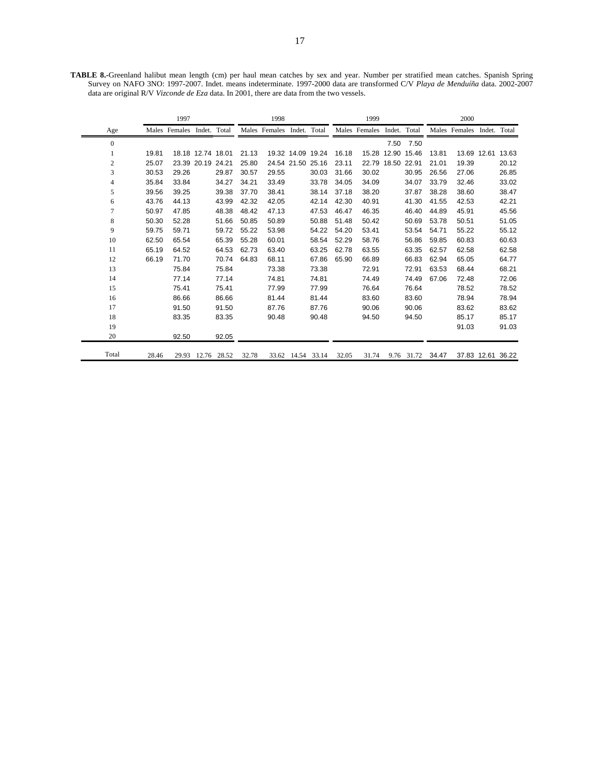**TABLE 8.-**Greenland halibut mean length (cm) per haul mean catches by sex and year. Number per stratified mean catches. Spanish Spring Survey on NAFO 3NO: 1997-2007. Indet. means indeterminate. 1997-2000 data are transformed C/V *Playa de Menduíña* data. 2002-2007 data are original R/V *Vizconde de Eza* data. In 2001, there are data from the two vessels.

|                |       | 1997                       |       |       |       | 1998                       |                   |                   |       | 1999                       |                   |            |       | 2000                       |                   |       |
|----------------|-------|----------------------------|-------|-------|-------|----------------------------|-------------------|-------------------|-------|----------------------------|-------------------|------------|-------|----------------------------|-------------------|-------|
| Age            |       | Males Females Indet. Total |       |       |       | Males Females Indet. Total |                   |                   |       | Males Females Indet. Total |                   |            |       | Males Females Indet. Total |                   |       |
| $\Omega$       |       |                            |       |       |       |                            |                   |                   |       |                            | 7.50              | 7.50       |       |                            |                   |       |
|                | 19.81 | 18.18 12.74 18.01          |       |       | 21.13 |                            |                   | 19.32 14.09 19.24 | 16.18 |                            | 15.28 12.90 15.46 |            | 13.81 |                            | 13.69 12.61       | 13.63 |
| $\overline{c}$ | 25.07 | 23.39 20.19 24.21          |       |       | 25.80 |                            |                   | 24.54 21.50 25.16 | 23.11 |                            | 22.79 18.50 22.91 |            | 21.01 | 19.39                      |                   | 20.12 |
| 3              | 30.53 | 29.26                      |       | 29.87 | 30.57 | 29.55                      |                   | 30.03             | 31.66 | 30.02                      |                   | 30.95      | 26.56 | 27.06                      |                   | 26.85 |
| 4              | 35.84 | 33.84                      |       | 34.27 | 34.21 | 33.49                      |                   | 33.78             | 34.05 | 34.09                      |                   | 34.07      | 33.79 | 32.46                      |                   | 33.02 |
| 5              | 39.56 | 39.25                      |       | 39.38 | 37.70 | 38.41                      |                   | 38.14             | 37.18 | 38.20                      |                   | 37.87      | 38.28 | 38.60                      |                   | 38.47 |
| 6              | 43.76 | 44.13                      |       | 43.99 | 42.32 | 42.05                      |                   | 42.14             | 42.30 | 40.91                      |                   | 41.30      | 41.55 | 42.53                      |                   | 42.21 |
| 7              | 50.97 | 47.85                      |       | 48.38 | 48.42 | 47.13                      |                   | 47.53             | 46.47 | 46.35                      |                   | 46.40      | 44.89 | 45.91                      |                   | 45.56 |
| 8              | 50.30 | 52.28                      |       | 51.66 | 50.85 | 50.89                      |                   | 50.88             | 51.48 | 50.42                      |                   | 50.69      | 53.78 | 50.51                      |                   | 51.05 |
| 9              | 59.75 | 59.71                      |       | 59.72 | 55.22 | 53.98                      |                   | 54.22             | 54.20 | 53.41                      |                   | 53.54      | 54.71 | 55.22                      |                   | 55.12 |
| 10             | 62.50 | 65.54                      |       | 65.39 | 55.28 | 60.01                      |                   | 58.54             | 52.29 | 58.76                      |                   | 56.86      | 59.85 | 60.83                      |                   | 60.63 |
| 11             | 65.19 | 64.52                      |       | 64.53 | 62.73 | 63.40                      |                   | 63.25             | 62.78 | 63.55                      |                   | 63.35      | 62.57 | 62.58                      |                   | 62.58 |
| 12             | 66.19 | 71.70                      |       | 70.74 | 64.83 | 68.11                      |                   | 67.86             | 65.90 | 66.89                      |                   | 66.83      | 62.94 | 65.05                      |                   | 64.77 |
| 13             |       | 75.84                      |       | 75.84 |       | 73.38                      |                   | 73.38             |       | 72.91                      |                   | 72.91      | 63.53 | 68.44                      |                   | 68.21 |
| 14             |       | 77.14                      |       | 77.14 |       | 74.81                      |                   | 74.81             |       | 74.49                      |                   | 74.49      | 67.06 | 72.48                      |                   | 72.06 |
| 15             |       | 75.41                      |       | 75.41 |       | 77.99                      |                   | 77.99             |       | 76.64                      |                   | 76.64      |       | 78.52                      |                   | 78.52 |
| 16             |       | 86.66                      |       | 86.66 |       | 81.44                      |                   | 81.44             |       | 83.60                      |                   | 83.60      |       | 78.94                      |                   | 78.94 |
| 17             |       | 91.50                      |       | 91.50 |       | 87.76                      |                   | 87.76             |       | 90.06                      |                   | 90.06      |       | 83.62                      |                   | 83.62 |
| 18             |       | 83.35                      |       | 83.35 |       | 90.48                      |                   | 90.48             |       | 94.50                      |                   | 94.50      |       | 85.17                      |                   | 85.17 |
| 19             |       |                            |       |       |       |                            |                   |                   |       |                            |                   |            |       | 91.03                      |                   | 91.03 |
| 20             |       | 92.50                      |       | 92.05 |       |                            |                   |                   |       |                            |                   |            |       |                            |                   |       |
| Total          | 28.46 | 29.93                      | 12.76 | 28.52 | 32.78 |                            | 33.62 14.54 33.14 |                   | 32.05 | 31.74                      |                   | 9.76 31.72 | 34.47 |                            | 37.83 12.61 36.22 |       |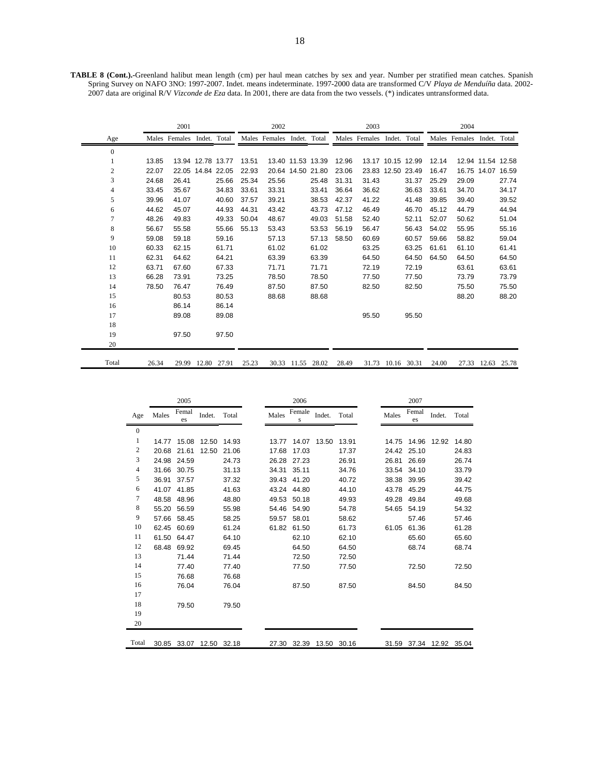**TABLE 8 (Cont.).-**Greenland halibut mean length (cm) per haul mean catches by sex and year. Number per stratified mean catches. Spanish Spring Survey on NAFO 3NO: 1997-2007. Indet. means indeterminate. 1997-2000 data are transformed C/V *Playa de Menduíña* data. 2002- 2007 data are original R/V *Vizconde de Eza* data. In 2001, there are data from the two vessels. (\*) indicates untransformed data.

|                |       | 2001                       |                   |       |       | 2002                       |       |                   |       | 2003                       |                   |       |       | 2004                       |                   |       |
|----------------|-------|----------------------------|-------------------|-------|-------|----------------------------|-------|-------------------|-------|----------------------------|-------------------|-------|-------|----------------------------|-------------------|-------|
| Age            |       | Males Females Indet. Total |                   |       |       | Males Females Indet. Total |       |                   |       | Males Females Indet. Total |                   |       |       | Males Females Indet. Total |                   |       |
| $\mathbf{0}$   |       |                            |                   |       |       |                            |       |                   |       |                            |                   |       |       |                            |                   |       |
| 1              | 13.85 |                            | 13.94 12.78 13.77 |       | 13.51 | 13.40 11.53 13.39          |       |                   | 12.96 |                            | 13.17 10.15 12.99 |       | 12.14 |                            | 12.94 11.54 12.58 |       |
| 2              | 22.07 |                            | 22.05 14.84 22.05 |       | 22.93 |                            |       | 20.64 14.50 21.80 | 23.06 |                            | 23.83 12.50 23.49 |       | 16.47 |                            | 16.75 14.07 16.59 |       |
| 3              | 24.68 | 26.41                      |                   | 25.66 | 25.34 | 25.56                      |       | 25.48             | 31.31 | 31.43                      |                   | 31.37 | 25.29 | 29.09                      |                   | 27.74 |
| 4              | 33.45 | 35.67                      |                   | 34.83 | 33.61 | 33.31                      |       | 33.41             | 36.64 | 36.62                      |                   | 36.63 | 33.61 | 34.70                      |                   | 34.17 |
| 5              | 39.96 | 41.07                      |                   | 40.60 | 37.57 | 39.21                      |       | 38.53             | 42.37 | 41.22                      |                   | 41.48 | 39.85 | 39.40                      |                   | 39.52 |
| 6              | 44.62 | 45.07                      |                   | 44.93 | 44.31 | 43.42                      |       | 43.73             | 47.12 | 46.49                      |                   | 46.70 | 45.12 | 44.79                      |                   | 44.94 |
| $\overline{7}$ | 48.26 | 49.83                      |                   | 49.33 | 50.04 | 48.67                      |       | 49.03             | 51.58 | 52.40                      |                   | 52.11 | 52.07 | 50.62                      |                   | 51.04 |
| 8              | 56.67 | 55.58                      |                   | 55.66 | 55.13 | 53.43                      |       | 53.53             | 56.19 | 56.47                      |                   | 56.43 | 54.02 | 55.95                      |                   | 55.16 |
| 9              | 59.08 | 59.18                      |                   | 59.16 |       | 57.13                      |       | 57.13             | 58.50 | 60.69                      |                   | 60.57 | 59.66 | 58.82                      |                   | 59.04 |
| 10             | 60.33 | 62.15                      |                   | 61.71 |       | 61.02                      |       | 61.02             |       | 63.25                      |                   | 63.25 | 61.61 | 61.10                      |                   | 61.41 |
| 11             | 62.31 | 64.62                      |                   | 64.21 |       | 63.39                      |       | 63.39             |       | 64.50                      |                   | 64.50 | 64.50 | 64.50                      |                   | 64.50 |
| 12             | 63.71 | 67.60                      |                   | 67.33 |       | 71.71                      |       | 71.71             |       | 72.19                      |                   | 72.19 |       | 63.61                      |                   | 63.61 |
| 13             | 66.28 | 73.91                      |                   | 73.25 |       | 78.50                      |       | 78.50             |       | 77.50                      |                   | 77.50 |       | 73.79                      |                   | 73.79 |
| 14             | 78.50 | 76.47                      |                   | 76.49 |       | 87.50                      |       | 87.50             |       | 82.50                      |                   | 82.50 |       | 75.50                      |                   | 75.50 |
| 15             |       | 80.53                      |                   | 80.53 |       | 88.68                      |       | 88.68             |       |                            |                   |       |       | 88.20                      |                   | 88.20 |
| 16             |       | 86.14                      |                   | 86.14 |       |                            |       |                   |       |                            |                   |       |       |                            |                   |       |
| 17             |       | 89.08                      |                   | 89.08 |       |                            |       |                   |       | 95.50                      |                   | 95.50 |       |                            |                   |       |
| 18             |       |                            |                   |       |       |                            |       |                   |       |                            |                   |       |       |                            |                   |       |
| 19             |       | 97.50                      |                   | 97.50 |       |                            |       |                   |       |                            |                   |       |       |                            |                   |       |
| 20             |       |                            |                   |       |       |                            |       |                   |       |                            |                   |       |       |                            |                   |       |
| Total          | 26.34 | 29.99                      | 12.80             | 27.91 | 25.23 | 30.33                      | 11.55 | 28.02             | 28.49 | 31.73                      | 10.16 30.31       |       | 24.00 | 27.33                      | 12.63 25.78       |       |

|                  |       | 2005        |             |       |       | 2006        |        |       |       | 2007        |                   |       |
|------------------|-------|-------------|-------------|-------|-------|-------------|--------|-------|-------|-------------|-------------------|-------|
| Age              | Males | Femal<br>es | Indet.      | Total | Males | Female<br>S | Indet. | Total | Males | Femal<br>es | Indet.            | Total |
| $\boldsymbol{0}$ |       |             |             |       |       |             |        |       |       |             |                   |       |
| 1                | 14.77 | 15.08       | 12.50       | 14.93 | 13.77 | 14.07       | 13.50  | 13.91 | 14.75 | 14.96       | 12.92             | 14.80 |
| $\sqrt{2}$       | 20.68 | 21.61       | 12.50       | 21.06 | 17.68 | 17.03       |        | 17.37 | 24.42 | 25.10       |                   | 24.83 |
| 3                | 24.98 | 24.59       |             | 24.73 | 26.28 | 27.23       |        | 26.91 | 26.81 | 26.69       |                   | 26.74 |
| $\overline{4}$   | 31.66 | 30.75       |             | 31.13 | 34.31 | 35.11       |        | 34.76 | 33.54 | 34.10       |                   | 33.79 |
| $\sqrt{5}$       | 36.91 | 37.57       |             | 37.32 | 39.43 | 41.20       |        | 40.72 | 38.38 | 39.95       |                   | 39.42 |
| 6                | 41.07 | 41.85       |             | 41.63 | 43.24 | 44.80       |        | 44.10 | 43.78 | 45.29       |                   | 44.75 |
| $\tau$           | 48.58 | 48.96       |             | 48.80 | 49.53 | 50.18       |        | 49.93 | 49.28 | 49.84       |                   | 49.68 |
| $\,$ 8 $\,$      | 55.20 | 56.59       |             | 55.98 | 54.46 | 54.90       |        | 54.78 | 54.65 | 54.19       |                   | 54.32 |
| 9                | 57.66 | 58.45       |             | 58.25 | 59.57 | 58.01       |        | 58.62 |       | 57.46       |                   | 57.46 |
| 10               | 62.45 | 60.69       |             | 61.24 | 61.82 | 61.50       |        | 61.73 | 61.05 | 61.36       |                   | 61.28 |
| 11               | 61.50 | 64.47       |             | 64.10 |       | 62.10       |        | 62.10 |       | 65.60       |                   | 65.60 |
| 12               | 68.48 | 69.92       |             | 69.45 |       | 64.50       |        | 64.50 |       | 68.74       |                   | 68.74 |
| 13               |       | 71.44       |             | 71.44 |       | 72.50       |        | 72.50 |       |             |                   |       |
| 14               |       | 77.40       |             | 77.40 |       | 77.50       |        | 77.50 |       | 72.50       |                   | 72.50 |
| 15               |       | 76.68       |             | 76.68 |       |             |        |       |       |             |                   |       |
| 16               |       | 76.04       |             | 76.04 |       | 87.50       |        | 87.50 |       | 84.50       |                   | 84.50 |
| 17               |       |             |             |       |       |             |        |       |       |             |                   |       |
| 18               |       | 79.50       |             | 79.50 |       |             |        |       |       |             |                   |       |
| 19               |       |             |             |       |       |             |        |       |       |             |                   |       |
| 20               |       |             |             |       |       |             |        |       |       |             |                   |       |
| Total            | 30.85 | 33.07       | 12.50 32.18 |       |       | 27.30 32.39 | 13.50  | 30.16 | 31.59 |             |                   |       |
|                  |       |             |             |       |       |             |        |       |       |             | 37.34 12.92 35.04 |       |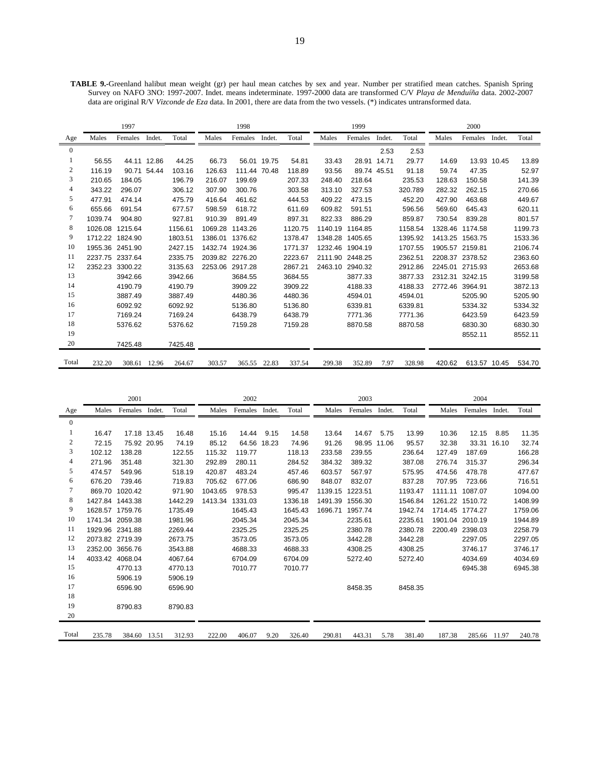**TABLE 9.-**Greenland halibut mean weight (gr) per haul mean catches by sex and year. Number per stratified mean catches. Spanish Spring Survey on NAFO 3NO: 1997-2007. Indet. means indeterminate. 1997-2000 data are transformed C/V *Playa de Menduíña* data. 2002-2007 data are original R/V *Vizconde de Eza* data. In 2001, there are data from the two vessels. (\*) indicates untransformed data.

|                |         | 1997            |              |         |         | 1998            |             |         |         | 1999            |             |         |         | 2000         |             |         |
|----------------|---------|-----------------|--------------|---------|---------|-----------------|-------------|---------|---------|-----------------|-------------|---------|---------|--------------|-------------|---------|
| Age            | Males   | Females         | Indet.       | Total   | Males   | Females         | Indet.      | Total   | Males   | Females         | Indet.      | Total   | Males   | Females      | Indet.      | Total   |
| $\overline{0}$ |         |                 |              |         |         |                 |             |         |         |                 | 2.53        | 2.53    |         |              |             |         |
| 1              | 56.55   |                 | 44.11 12.86  | 44.25   | 66.73   |                 | 56.01 19.75 | 54.81   | 33.43   | 28.91 14.71     |             | 29.77   | 14.69   |              | 13.93 10.45 | 13.89   |
| 2              | 116.19  |                 | 90.71 54.44  | 103.16  | 126.63  | 111.44 70.48    |             | 118.89  | 93.56   |                 | 89.74 45.51 | 91.18   | 59.74   | 47.35        |             | 52.97   |
| 3              | 210.65  | 184.05          |              | 196.79  | 216.07  | 199.69          |             | 207.33  | 248.40  | 218.64          |             | 235.53  | 128.63  | 150.58       |             | 141.39  |
| 4              | 343.22  | 296.07          |              | 306.12  | 307.90  | 300.76          |             | 303.58  | 313.10  | 327.53          |             | 320.789 | 282.32  | 262.15       |             | 270.66  |
| 5              | 477.91  | 474.14          |              | 475.79  | 416.64  | 461.62          |             | 444.53  | 409.22  | 473.15          |             | 452.20  | 427.90  | 463.68       |             | 449.67  |
| 6              | 655.66  | 691.54          |              | 677.57  | 598.59  | 618.72          |             | 611.69  | 609.82  | 591.51          |             | 596.56  | 569.60  | 645.43       |             | 620.11  |
| 7              | 1039.74 | 904.80          |              | 927.81  | 910.39  | 891.49          |             | 897.31  | 822.33  | 886.29          |             | 859.87  | 730.54  | 839.28       |             | 801.57  |
| 8              | 1026.08 | 1215.64         |              | 1156.61 | 1069.28 | 1143.26         |             | 1120.75 | 1140.19 | 1164.85         |             | 1158.54 | 1328.46 | 1174.58      |             | 1199.73 |
| 9              | 1712.22 | 1824.90         |              | 1803.51 | 1386.01 | 1376.62         |             | 1378.47 | 1348.28 | 1405.65         |             | 1395.92 | 1413.25 | 1563.75      |             | 1533.36 |
| 10             | 1955.36 | 2451.90         |              | 2427.15 | 1432.74 | 1924.36         |             | 1771.37 | 1232.46 | 1904.19         |             | 1707.55 | 1905.57 | 2159.81      |             | 2106.74 |
| 11             |         | 2237.75 2337.64 |              | 2335.75 |         | 2039.82 2276.20 |             | 2223.67 |         | 2111.90 2448.25 |             | 2362.51 | 2208.37 | 2378.52      |             | 2363.60 |
| 12             | 2352.23 | 3300.22         |              | 3135.63 | 2253.06 | 2917.28         |             | 2867.21 | 2463.10 | 2940.32         |             | 2912.86 | 2245.01 | 2715.93      |             | 2653.68 |
| 13             |         | 3942.66         |              | 3942.66 |         | 3684.55         |             | 3684.55 |         | 3877.33         |             | 3877.33 | 2312.31 | 3242.15      |             | 3199.58 |
| 14             |         | 4190.79         |              | 4190.79 |         | 3909.22         |             | 3909.22 |         | 4188.33         |             | 4188.33 | 2772.46 | 3964.91      |             | 3872.13 |
| 15             |         | 3887.49         |              | 3887.49 |         | 4480.36         |             | 4480.36 |         | 4594.01         |             | 4594.01 |         | 5205.90      |             | 5205.90 |
| 16             |         | 6092.92         |              | 6092.92 |         | 5136.80         |             | 5136.80 |         | 6339.81         |             | 6339.81 |         | 5334.32      |             | 5334.32 |
| 17             |         | 7169.24         |              | 7169.24 |         | 6438.79         |             | 6438.79 |         | 7771.36         |             | 7771.36 |         | 6423.59      |             | 6423.59 |
| 18             |         | 5376.62         |              | 5376.62 |         | 7159.28         |             | 7159.28 |         | 8870.58         |             | 8870.58 |         | 6830.30      |             | 6830.30 |
| 19             |         |                 |              |         |         |                 |             |         |         |                 |             |         |         | 8552.11      |             | 8552.11 |
| 20             |         | 7425.48         |              | 7425.48 |         |                 |             |         |         |                 |             |         |         |              |             |         |
| Total          | 232.20  |                 | 308.61 12.96 | 264.67  | 303.57  | 365.55 22.83    |             | 337.54  | 299.38  | 352.89          | 7.97        | 328.98  | 420.62  | 613.57 10.45 |             | 534.70  |

|                  |                 | 2001            |             |         |         | 2002    |        |         |         | 2003           |             |         |                 | 2004            |             |         |
|------------------|-----------------|-----------------|-------------|---------|---------|---------|--------|---------|---------|----------------|-------------|---------|-----------------|-----------------|-------------|---------|
| Age              | Males           | Females Indet.  |             | Total   | Males   | Females | Indet. | Total   | Males   | Females Indet. |             | Total   | Males           | Females Indet.  |             | Total   |
| $\overline{0}$   |                 |                 |             |         |         |         |        |         |         |                |             |         |                 |                 |             |         |
| 1                | 16.47           |                 | 17.18 13.45 | 16.48   | 15.16   | 14.44   | 9.15   | 14.58   | 13.64   | 14.67          | 5.75        | 13.99   | 10.36           | 12.15           | 8.85        | 11.35   |
| $\boldsymbol{2}$ | 72.15           |                 | 75.92 20.95 | 74.19   | 85.12   | 64.56   | 18.23  | 74.96   | 91.26   |                | 98.95 11.06 | 95.57   | 32.38           |                 | 33.31 16.10 | 32.74   |
| 3                | 102.12          | 138.28          |             | 122.55  | 115.32  | 119.77  |        | 118.13  | 233.58  | 239.55         |             | 236.64  | 127.49          | 187.69          |             | 166.28  |
| 4                | 271.96          | 351.48          |             | 321.30  | 292.89  | 280.11  |        | 284.52  | 384.32  | 389.32         |             | 387.08  | 276.74          | 315.37          |             | 296.34  |
| 5                | 474.57          | 549.96          |             | 518.19  | 420.87  | 483.24  |        | 457.46  | 603.57  | 567.97         |             | 575.95  | 474.56          | 478.78          |             | 477.67  |
| 6                | 676.20          | 739.46          |             | 719.83  | 705.62  | 677.06  |        | 686.90  | 848.07  | 832.07         |             | 837.28  | 707.95          | 723.66          |             | 716.51  |
| 7                | 869.70          | 1020.42         |             | 971.90  | 1043.65 | 978.53  |        | 995.47  | 1139.15 | 1223.51        |             | 1193.47 |                 | 1111.11 1087.07 |             | 1094.00 |
| 8                |                 | 1427.84 1443.38 |             | 1442.29 | 1413.34 | 1331.03 |        | 1336.18 | 1491.39 | 1556.30        |             | 1546.84 |                 | 1261.22 1510.72 |             | 1408.99 |
| 9                |                 | 1628.57 1759.76 |             | 1735.49 |         | 1645.43 |        | 1645.43 | 1696.71 | 1957.74        |             | 1942.74 | 1714.45 1774.27 |                 |             | 1759.06 |
| 10               |                 | 1741.34 2059.38 |             | 1981.96 |         | 2045.34 |        | 2045.34 |         | 2235.61        |             | 2235.61 |                 | 1901.04 2010.19 |             | 1944.89 |
| 11               |                 | 1929.96 2341.88 |             | 2269.44 |         | 2325.25 |        | 2325.25 |         | 2380.78        |             | 2380.78 | 2200.49         | 2398.03         |             | 2258.79 |
| 12               |                 | 2073.82 2719.39 |             | 2673.75 |         | 3573.05 |        | 3573.05 |         | 3442.28        |             | 3442.28 |                 | 2297.05         |             | 2297.05 |
| 13               | 2352.00 3656.76 |                 |             | 3543.88 |         | 4688.33 |        | 4688.33 |         | 4308.25        |             | 4308.25 |                 | 3746.17         |             | 3746.17 |
| 14               |                 | 4033.42 4068.04 |             | 4067.64 |         | 6704.09 |        | 6704.09 |         | 5272.40        |             | 5272.40 |                 | 4034.69         |             | 4034.69 |
| 15               |                 | 4770.13         |             | 4770.13 |         | 7010.77 |        | 7010.77 |         |                |             |         |                 | 6945.38         |             | 6945.38 |
| 16               |                 | 5906.19         |             | 5906.19 |         |         |        |         |         |                |             |         |                 |                 |             |         |
| 17               |                 | 6596.90         |             | 6596.90 |         |         |        |         |         | 8458.35        |             | 8458.35 |                 |                 |             |         |
| 18               |                 |                 |             |         |         |         |        |         |         |                |             |         |                 |                 |             |         |
| 19               |                 | 8790.83         |             | 8790.83 |         |         |        |         |         |                |             |         |                 |                 |             |         |
| 20               |                 |                 |             |         |         |         |        |         |         |                |             |         |                 |                 |             |         |
| Total            | 235.78          | 384.60 13.51    |             | 312.93  | 222.00  | 406.07  | 9.20   | 326.40  | 290.81  | 443.31         | 5.78        | 381.40  | 187.38          | 285.66 11.97    |             | 240.78  |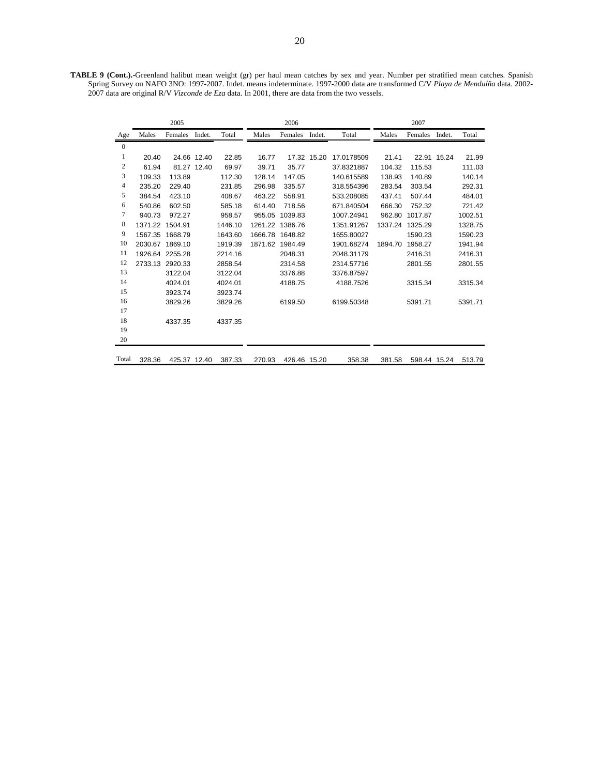**TABLE 9 (Cont.).-**Greenland halibut mean weight (gr) per haul mean catches by sex and year. Number per stratified mean catches. Spanish Spring Survey on NAFO 3NO: 1997-2007. Indet. means indeterminate. 1997-2000 data are transformed C/V *Playa de Menduíña* data. 2002- 2007 data are original R/V *Vizconde de Eza* data. In 2001, there are data from the two vessels.

|                  |         | 2005            |             |         |         | 2006            |             |            |         | 2007         |             |         |
|------------------|---------|-----------------|-------------|---------|---------|-----------------|-------------|------------|---------|--------------|-------------|---------|
| Age              | Males   | Females         | Indet.      | Total   | Males   | Females         | Indet.      | Total      | Males   | Females      | Indet.      | Total   |
| $\mathbf{0}$     |         |                 |             |         |         |                 |             |            |         |              |             |         |
| 1                | 20.40   |                 | 24.66 12.40 | 22.85   | 16.77   |                 | 17.32 15.20 | 17.0178509 | 21.41   |              | 22.91 15.24 | 21.99   |
| $\boldsymbol{2}$ | 61.94   |                 | 81.27 12.40 | 69.97   | 39.71   | 35.77           |             | 37.8321887 | 104.32  | 115.53       |             | 111.03  |
| 3                | 109.33  | 113.89          |             | 112.30  | 128.14  | 147.05          |             | 140.615589 | 138.93  | 140.89       |             | 140.14  |
| $\overline{4}$   | 235.20  | 229.40          |             | 231.85  | 296.98  | 335.57          |             | 318.554396 | 283.54  | 303.54       |             | 292.31  |
| 5                | 384.54  | 423.10          |             | 408.67  | 463.22  | 558.91          |             | 533.208085 | 437.41  | 507.44       |             | 484.01  |
| 6                | 540.86  | 602.50          |             | 585.18  | 614.40  | 718.56          |             | 671.840504 | 666.30  | 752.32       |             | 721.42  |
| 7                | 940.73  | 972.27          |             | 958.57  | 955.05  | 1039.83         |             | 1007.24941 | 962.80  | 1017.87      |             | 1002.51 |
| 8                | 1371.22 | 1504.91         |             | 1446.10 |         | 1261.22 1386.76 |             | 1351.91267 | 1337.24 | 1325.29      |             | 1328.75 |
| 9                | 1567.35 | 1668.79         |             | 1643.60 | 1666.78 | 1648.82         |             | 1655.80027 |         | 1590.23      |             | 1590.23 |
| 10               | 2030.67 | 1869.10         |             | 1919.39 | 1871.62 | 1984.49         |             | 1901.68274 | 1894.70 | 1958.27      |             | 1941.94 |
| 11               |         | 1926.64 2255.28 |             | 2214.16 |         | 2048.31         |             | 2048.31179 |         | 2416.31      |             | 2416.31 |
| 12               |         | 2733.13 2920.33 |             | 2858.54 |         | 2314.58         |             | 2314.57716 |         | 2801.55      |             | 2801.55 |
| 13               |         | 3122.04         |             | 3122.04 |         | 3376.88         |             | 3376.87597 |         |              |             |         |
| 14               |         | 4024.01         |             | 4024.01 |         | 4188.75         |             | 4188.7526  |         | 3315.34      |             | 3315.34 |
| 15               |         | 3923.74         |             | 3923.74 |         |                 |             |            |         |              |             |         |
| 16               |         | 3829.26         |             | 3829.26 |         | 6199.50         |             | 6199.50348 |         | 5391.71      |             | 5391.71 |
| 17               |         |                 |             |         |         |                 |             |            |         |              |             |         |
| 18               |         | 4337.35         |             | 4337.35 |         |                 |             |            |         |              |             |         |
| 19               |         |                 |             |         |         |                 |             |            |         |              |             |         |
| 20               |         |                 |             |         |         |                 |             |            |         |              |             |         |
| Total            | 328.36  | 425.37 12.40    |             | 387.33  | 270.93  | 426.46 15.20    |             | 358.38     | 381.58  | 598.44 15.24 |             | 513.79  |
|                  |         |                 |             |         |         |                 |             |            |         |              |             |         |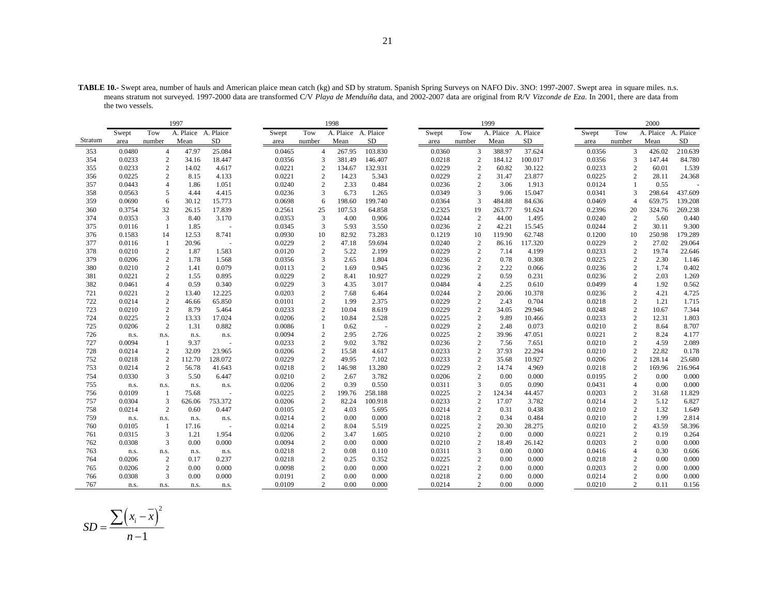| TABLE 10.- Swept area, number of hauls and American plaice mean catch (kg) and SD by stratum. Spanish Spring Surveys on NAFO Div. 3NO: 1997-2007. Swept area in square miles. n.s. |  |
|------------------------------------------------------------------------------------------------------------------------------------------------------------------------------------|--|
| means stratum not surveyed. 1997-2000 data are transformed C/V Playa de Menduíña data, and 2002-2007 data are original from R/V Vizconde de Eza. In 2001, there are data from      |  |
| the two vessels.                                                                                                                                                                   |  |

|            |                |                                  | 1997                |                 |                  |                                  | 1998                |                 |                  |                                  | 1999                |                |                  |                                  | 2000                |                  |
|------------|----------------|----------------------------------|---------------------|-----------------|------------------|----------------------------------|---------------------|-----------------|------------------|----------------------------------|---------------------|----------------|------------------|----------------------------------|---------------------|------------------|
|            | Swept          | Tow                              | A. Plaice A. Plaice |                 | Swept            | Tow                              | A. Plaice A. Plaice |                 | Swept            | Tow                              | A. Plaice A. Plaice |                | Swept            | Tow                              | A. Plaice A. Plaice |                  |
| Stratum    | area           | number                           | Mean                | SD              | area             | number                           | Mean                | <b>SD</b>       | area             | number                           | Mean                | <b>SD</b>      | area             | number                           | Mean                | <b>SD</b>        |
| 353        | 0.0480         | $\overline{4}$                   | 47.97               | 25.084          | 0.0465           | $\overline{4}$                   | 267.95              | 103.830         | 0.0360           | 3                                | 388.97              | 37.624         | 0.0356           | 3                                | 426.02              | 210.639          |
| 354        | 0.0233         | $\sqrt{2}$                       | 34.16               | 18.447          | 0.0356           | 3                                | 381.49              | 146.407         | 0.0218           | $\overline{2}$                   | 184.12              | 100.017        | 0.0356           | 3                                | 147.44              | 84.780           |
| 355        | 0.0233         | $\overline{c}$                   | 14.02               | 4.617           | 0.0221           | $\overline{c}$                   | 134.67              | 132.931         | 0.0229           | $\overline{c}$                   | 60.82               | 30.122         | 0.0233           | $\overline{2}$                   | 60.01               | 1.539            |
| 356        | 0.0225         | 2                                | 8.15                | 4.133           | 0.0221           | $\overline{2}$                   | 14.23               | 5.343           | 0.0229           | $\overline{2}$                   | 31.47               | 23.877         | 0.0225           | $\overline{2}$                   | 28.11               | 24.368           |
| 357        | 0.0443         | $\overline{4}$                   | 1.86                | 1.051           | 0.0240           | $\overline{2}$                   | 2.33                | 0.484           | 0.0236           | 2                                | 3.06                | 1.913          | 0.0124           |                                  | 0.55                |                  |
| 358        | 0.0563         | 5                                | 4.44                | 4.415           | 0.0236           | 3                                | 6.73                | 1.265           | 0.0349           | 3                                | 9.06                | 15.047         | 0.0341           | 3                                | 298.64              | 437.609          |
| 359        | 0.0690         | 6                                | 30.12               | 15.773          | 0.0698           | 6                                | 198.60              | 199.740         | 0.0364           | 3                                | 484.88              | 84.636         | 0.0469           | $\overline{4}$                   | 659.75              | 139.208          |
| 360        | 0.3754         | 32                               | 26.15               | 17.839          | 0.2561           | 25                               | 107.53              | 64.858          | 0.2325           | 19                               | 263.77              | 91.624         | 0.2396           | 20                               | 324.76              | 269.238          |
| 374        | 0.0353         | 3                                | 8.40                | 3.170           | 0.0353           | 3                                | 4.00                | 0.906           | 0.0244           | $\overline{2}$                   | 44.00               | 1.495          | 0.0240           | 2                                | 5.60                | 0.440            |
| 375        | 0.0116         | $\mathbf{1}$                     | 1.85                | ÷.              | 0.0345           | $\overline{3}$                   | 5.93                | 3.550           | 0.0236           | $\overline{2}$                   | 42.21               | 15.545         | 0.0244           | $\overline{2}$                   | 30.11               | 9.300            |
| 376        | 0.1583         | 14                               | 12.53               | 8.741           | 0.0930           | 10                               | 82.92               | 73.283          | 0.1219           | 10                               | 119.90              | 62.748         | 0.1200           | 10                               | 250.98              | 179.289          |
| 377        | 0.0116         | 1                                | 20.96               |                 | 0.0229           | $\overline{2}$                   | 47.18               | 59.694          | 0.0240           | 2                                | 86.16               | 117.320        | 0.0229           | $\overline{2}$                   | 27.02               | 29.064           |
| 378        | 0.0210         | $\sqrt{2}$                       | 1.87                | 1.583           | 0.0120           | $\overline{c}$                   | 5.22                | 2.199           | 0.0229           | $\overline{2}$                   | 7.14                | 4.199          | 0.0233           | $\overline{2}$                   | 19.74               | 22.646           |
| 379        | 0.0206         | $\sqrt{2}$                       | 1.78                | 1.568           | 0.0356           | 3                                | 2.65                | 1.804           | 0.0236           | $\overline{2}$                   | 0.78                | 0.308          | 0.0225           | $\overline{2}$                   | 2.30                | 1.146            |
| 380        | 0.0210         | 2                                | 1.41                | 0.079           | 0.0113           | $\overline{c}$                   | 1.69                | 0.945           | 0.0236           | 2                                | 2.22                | 0.066          | 0.0236           | 2                                | 1.74                | 0.402            |
| 381        | 0.0221         | $\mathbf{2}$                     | 1.55                | 0.895           | 0.0229           | $\overline{2}$                   | 8.41                | 10.927          | 0.0229           | $\overline{2}$                   | 0.59                | 0.231          | 0.0236           | 2                                | 2.03                | 1.269            |
| 382        | 0.0461         | $\overline{4}$                   | 0.59                | 0.340           | 0.0229           | 3                                | 4.35                | 3.017           | 0.0484           | $\overline{4}$                   | 2.25                | 0.610          | 0.0499           | $\overline{4}$                   | 1.92                | 0.562            |
| 721        | 0.0221         | 2                                | 13.40               | 12.225          | 0.0203           | $\overline{2}$                   | 7.68                | 6.464           | 0.0244           | $\overline{2}$                   | 20.06               | 10.378         | 0.0236           | $\overline{2}$                   | 4.21                | 4.725            |
| 722        | 0.0214         | $\sqrt{2}$                       | 46.66               | 65.850          | 0.0101           | $\overline{c}$                   | 1.99                | 2.375           | 0.0229           | $\overline{c}$                   | 2.43                | 0.704          | 0.0218           | $\overline{2}$                   | 1.21                | 1.715            |
| 723        | 0.0210         | $\sqrt{2}$                       | 8.79                | 5.464           | 0.0233           | $\overline{c}$                   | 10.04               | 8.619           | 0.0229           | $\overline{2}$                   | 34.05               | 29.946         | 0.0248           | $\overline{2}$                   | 10.67               | 7.344            |
| 724        | 0.0225         | $\overline{c}$                   | 13.33               | 17.024          | 0.0206           | $\overline{2}$                   | 10.84               | 2.528           | 0.0225           | $\overline{2}$                   | 9.89                | 10.466         | 0.0233           | $\overline{2}$                   | 12.31               | 1.803            |
| 725        | 0.0206         | $\mathbf{2}$                     | 1.31                | 0.882           | 0.0086           | $\overline{1}$                   | 0.62                | $\sim$          | 0.0229           | $\overline{c}$                   | 2.48                | 0.073          | 0.0210           | $\overline{2}$                   | 8.64                | 8.707            |
| 726        | n.s.           | n.s.                             | n.s.                | n.s.            | 0.0094           | $\overline{c}$                   | 2.95                | 2.726           | 0.0225           | $\overline{2}$                   | 39.96               | 47.051         | 0.0221           | $\overline{2}$                   | 8.24                | 4.177            |
| 727        | 0.0094         | 1                                | 9.37                |                 | 0.0233           | $\overline{2}$                   | 9.02                | 3.782           | 0.0236           | $\overline{2}$                   | 7.56                | 7.651          | 0.0210           | $\overline{2}$                   | 4.59                | 2.089            |
| 728        | 0.0214         | $\overline{c}$                   | 32.09               | 23.965          | 0.0206           | $\overline{c}$                   | 15.58               | 4.617           | 0.0233           | $\overline{2}$                   | 37.93               | 22.294         | 0.0210           | $\overline{2}$                   | 22.82               | 0.178            |
| 752        | 0.0218         | $\overline{2}$                   | 112.70              | 128.072         | 0.0229           | $\overline{c}$                   | 49.95               | 7.102           | 0.0233           | $\overline{2}$                   | 35.68               | 10.927         | 0.0206           | $\overline{2}$                   | 128.14              | 25.680           |
| 753        | 0.0214         | $\overline{c}$<br>$\overline{3}$ | 56.78<br>5.50       | 41.643<br>6.447 | 0.0218<br>0.0210 | $\overline{2}$                   | 146.98<br>2.67      | 13.280<br>3.782 | 0.0229<br>0.0206 | $\overline{2}$<br>$\overline{2}$ | 14.74<br>0.00       | 4.969<br>0.000 | 0.0218<br>0.0195 | $\overline{2}$<br>$\overline{2}$ | 169.96<br>0.00      | 216.964<br>0.000 |
| 754<br>755 | 0.0330         |                                  |                     |                 | 0.0206           | $\overline{c}$<br>$\overline{2}$ | 0.39                | 0.550           | 0.0311           | 3                                | 0.05                | 0.090          | 0.0431           | $\overline{4}$                   | 0.00                | 0.000            |
| 756        | n.s.<br>0.0109 | n.s.<br>1                        | n.s.<br>75.68       | n.s.            | 0.0225           | $\overline{2}$                   | 199.76              | 258.188         | 0.0225           | $\overline{2}$                   | 124.34              | 44.457         | 0.0203           | $\overline{2}$                   | 31.68               | 11.829           |
| 757        | 0.0304         | 3                                | 626.06              | 753.372         | 0.0206           | $\overline{2}$                   | 82.24               | 100.918         | 0.0233           | $\overline{2}$                   | 17.07               | 3.782          | 0.0214           | $\overline{2}$                   | 5.12                | 6.827            |
| 758        | 0.0214         | 2                                | 0.60                | 0.447           | 0.0105           | $\overline{c}$                   | 4.03                | 5.695           | 0.0214           | 2                                | 0.31                | 0.438          | 0.0210           | 2                                | 1.32                | 1.649            |
| 759        | n.s.           | n.s.                             | n.s.                | n.s.            | 0.0214           | $\overline{2}$                   | 0.00                | 0.000           | 0.0218           | $\overline{2}$                   | 0.34                | 0.484          | 0.0210           | $\overline{2}$                   | 1.99                | 2.814            |
| 760        | 0.0105         | 1                                | 17.16               |                 | 0.0214           | $\overline{2}$                   | 8.04                | 5.519           | 0.0225           | $\overline{2}$                   | 20.30               | 28.275         | 0.0210           | $\overline{c}$                   | 43.59               | 58.396           |
| 761        | 0.0315         | 3                                | 1.21                | 1.954           | 0.0206           | $\overline{c}$                   | 3.47                | 1.605           | 0.0210           | 2                                | 0.00                | 0.000          | 0.0221           | $\overline{c}$                   | 0.19                | 0.264            |
| 762        | 0.0308         | $\overline{3}$                   | 0.00                | 0.000           | 0.0094           | $\overline{2}$                   | 0.00                | 0.000           | 0.0210           | $\overline{2}$                   | 18.49               | 26.142         | 0.0203           | $\overline{2}$                   | 0.00                | 0.000            |
| 763        | n.s.           | n.s.                             | n.s.                | n.s.            | 0.0218           | $\overline{2}$                   | 0.08                | 0.110           | 0.0311           | 3                                | 0.00                | 0.000          | 0.0416           | $\overline{4}$                   | 0.30                | 0.606            |
| 764        | 0.0206         | $\overline{c}$                   | 0.17                | 0.237           | 0.0218           | $\overline{2}$                   | 0.25                | 0.352           | 0.0225           | $\overline{2}$                   | 0.00                | 0.000          | 0.0218           | 2                                | 0.00                | 0.000            |
| 765        | 0.0206         | 2                                | 0.00                | 0.000           | 0.0098           | $\overline{2}$                   | 0.00                | 0.000           | 0.0221           | $\overline{2}$                   | 0.00                | 0.000          | 0.0203           | $\overline{2}$                   | 0.00                | 0.000            |
| 766        | 0.0308         | 3                                | 0.00                | 0.000           | 0.0191           | $\overline{c}$                   | 0.00                | 0.000           | 0.0218           | $\overline{2}$                   | 0.00                | 0.000          | 0.0214           | $\overline{2}$                   | 0.00                | 0.000            |
| 767        | n.s.           | n.s.                             | n.s.                | n.s.            | 0.0109           | $\overline{2}$                   | 0.00                | 0.000           | 0.0214           | 2                                | 0.00                | 0.000          | 0.0210           | 2                                | 0.11                | 0.156            |

$$
SD = \frac{\sum (x_i - \overline{x})^2}{n - 1}
$$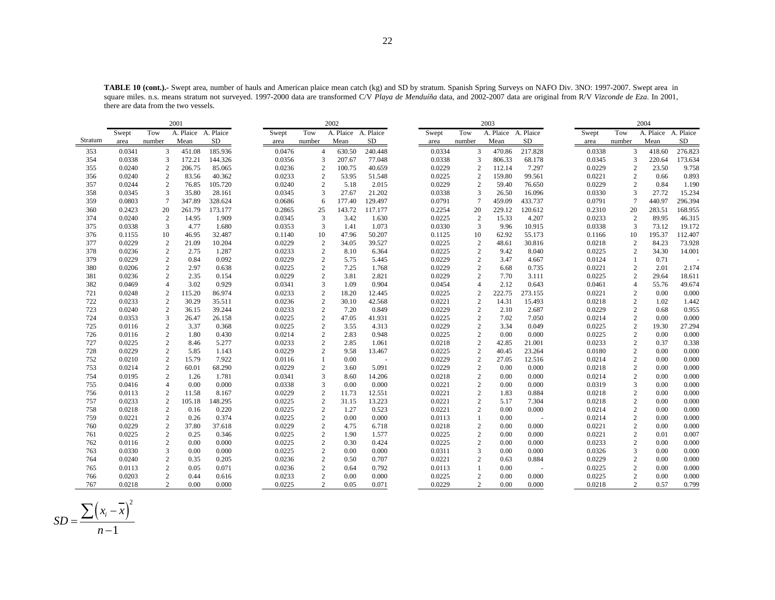|         |        |                 | 2001                |            |        |                  | 2002                |           |        |                | 2003                |                          |        |                  | 2004                |            |
|---------|--------|-----------------|---------------------|------------|--------|------------------|---------------------|-----------|--------|----------------|---------------------|--------------------------|--------|------------------|---------------------|------------|
|         | Swept  | Tow             | A. Plaice A. Plaice |            | Swept  | Tow              | A. Plaice A. Plaice |           | Swept  | Tow            | A. Plaice A. Plaice |                          | Swept  | Tow              | A. Plaice A. Plaice |            |
| Stratum | area   | number          | Mean                | ${\rm SD}$ | area   | number           | Mean                | <b>SD</b> | area   | number         | Mean                | SD                       | area   | number           | Mean                | ${\rm SD}$ |
| 353     | 0.0341 | 3               | 451.08              | 185.936    | 0.0476 | $\overline{4}$   | 630.50              | 240.448   | 0.0334 | 3              | 470.86              | 217.828                  | 0.0338 | 3                | 418.60              | 276.823    |
| 354     | 0.0338 | 3               | 172.21              | 144.326    | 0.0356 | 3                | 207.67              | 77.048    | 0.0338 | 3              | 806.33              | 68.178                   | 0.0345 | 3                | 220.64              | 173.634    |
| 355     | 0.0240 | $\overline{2}$  | 206.75              | 85.065     | 0.0236 | $\overline{2}$   | 100.75              | 40.659    | 0.0229 | $\overline{2}$ | 112.14              | 7.297                    | 0.0229 | $\overline{c}$   | 23.50               | 9.758      |
| 356     | 0.0240 | $\overline{2}$  | 83.56               | 40.362     | 0.0233 | $\overline{2}$   | 53.95               | 51.548    | 0.0225 | $\overline{c}$ | 159.80              | 99.561                   | 0.0221 | 2                | 0.66                | 0.893      |
| 357     | 0.0244 | $\overline{c}$  | 76.85               | 105.720    | 0.0240 | 2                | 5.18                | 2.015     | 0.0229 | 2              | 59.40               | 76.650                   | 0.0229 | 2                | 0.84                | 1.190      |
| 358     | 0.0345 | 3               | 35.80               | 28.161     | 0.0345 | 3                | 27.67               | 21.202    | 0.0338 | 3              | 26.50               | 16.096                   | 0.0330 | 3                | 27.72               | 15.234     |
| 359     | 0.0803 | $7\phantom{.0}$ | 347.89              | 328.624    | 0.0686 | 6                | 177.40              | 129.497   | 0.0791 | $\overline{7}$ | 459.09              | 433.737                  | 0.0791 | $7\phantom{.0}$  | 440.97              | 296.394    |
| 360     | 0.2423 | 20              | 261.79              | 173.177    | 0.2865 | 25               | 143.72              | 117.177   | 0.2254 | 20             | 229.12              | 120.612                  | 0.2310 | 20               | 283.51              | 168.955    |
| 374     | 0.0240 | 2               | 14.95               | 1.909      | 0.0345 | 3                | 3.42                | 1.630     | 0.0225 | 2              | 15.33               | 4.207                    | 0.0233 | 2                | 89.95               | 46.315     |
| 375     | 0.0338 | 3               | 4.77                | 1.680      | 0.0353 | 3                | 1.41                | 1.073     | 0.0330 | 3              | 9.96                | 10.915                   | 0.0338 | 3                | 73.12               | 19.172     |
| 376     | 0.1155 | 10              | 46.95               | 32.487     | 0.1140 | 10               | 47.96               | 50.207    | 0.1125 | 10             | 62.92               | 55.173                   | 0.1166 | 10               | 195.37              | 112.407    |
| 377     | 0.0229 | $\overline{c}$  | 21.09               | 10.204     | 0.0229 | $\overline{c}$   | 34.05               | 39.527    | 0.0225 | $\overline{c}$ | 48.61               | 30.816                   | 0.0218 | 2                | 84.23               | 73.928     |
| 378     | 0.0236 | $\overline{c}$  | 2.75                | 1.287      | 0.0233 | $\overline{2}$   | 8.10                | 6.364     | 0.0225 | $\overline{c}$ | 9.42                | 8.040                    | 0.0225 | 2                | 34.30               | 14.001     |
| 379     | 0.0229 | $\mathbf{2}$    | 0.84                | 0.092      | 0.0229 | $\overline{c}$   | 5.75                | 5.445     | 0.0229 | 2              | 3.47                | 4.667                    | 0.0124 | $\mathbf{1}$     | 0.71                |            |
| 380     | 0.0206 | $\overline{c}$  | 2.97                | 0.638      | 0.0225 | $\overline{2}$   | 7.25                | 1.768     | 0.0229 | 2              | 6.68                | 0.735                    | 0.0221 | $\overline{c}$   | 2.01                | 2.174      |
| 381     | 0.0236 | 2               | 2.35                | 0.154      | 0.0229 | 2                | 3.81                | 2.821     | 0.0229 | 2              | 7.70                | 3.111                    | 0.0225 | $\overline{c}$   | 29.64               | 18.611     |
| 382     | 0.0469 | $\overline{4}$  | 3.02                | 0.929      | 0.0341 | 3                | 1.09                | 0.904     | 0.0454 | 4              | 2.12                | 0.643                    | 0.0461 | $\overline{4}$   | 55.76               | 49.674     |
| 721     | 0.0248 | $\overline{c}$  | 115.20              | 86.974     | 0.0233 | $\overline{2}$   | 18.20               | 12.445    | 0.0225 | $\overline{c}$ | 222.75              | 273.155                  | 0.0221 | $\overline{c}$   | 0.00                | 0.000      |
| 722     | 0.0233 | $\mathbf{2}$    | 30.29               | 35.511     | 0.0236 | $\overline{2}$   | 30.10               | 42.568    | 0.0221 | $\overline{2}$ | 14.31               | 15.493                   | 0.0218 | $\overline{c}$   | 1.02                | 1.442      |
| 723     | 0.0240 | $\sqrt{2}$      | 36.15               | 39.244     | 0.0233 | $\overline{c}$   | 7.20                | 0.849     | 0.0229 | $\overline{c}$ | 2.10                | 2.687                    | 0.0229 | $\sqrt{2}$       | 0.68                | 0.955      |
| 724     | 0.0353 | 3               | 26.47               | 26.158     | 0.0225 | $\overline{2}$   | 47.05               | 41.931    | 0.0225 | $\overline{c}$ | 7.02                | 7.050                    | 0.0214 | $\sqrt{2}$       | 0.00                | 0.000      |
| 725     | 0.0116 | $\sqrt{2}$      | 3.37                | 0.368      | 0.0225 | $\overline{2}$   | 3.55                | 4.313     | 0.0229 | $\overline{c}$ | 3.34                | 0.049                    | 0.0225 | $\overline{c}$   | 19.30               | 27.294     |
| 726     | 0.0116 | $\overline{c}$  | 1.80                | 0.430      | 0.0214 | $\overline{c}$   | 2.83                | 0.948     | 0.0225 | $\overline{c}$ | 0.00                | 0.000                    | 0.0225 | 2                | 0.00                | 0.000      |
| 727     | 0.0225 | $\overline{c}$  | 8.46                | 5.277      | 0.0233 | $\overline{2}$   | 2.85                | 1.061     | 0.0218 | $\overline{c}$ | 42.85               | 21.001                   | 0.0233 | $\overline{c}$   | 0.37                | 0.338      |
| 728     | 0.0229 | $\overline{c}$  | 5.85                | 1.143      | 0.0229 | 2                | 9.58                | 13.467    | 0.0225 | $\overline{c}$ | 40.45               | 23.264                   | 0.0180 | 2                | 0.00                | 0.000      |
| 752     | 0.0210 | $\overline{2}$  | 15.79               | 7.922      | 0.0116 | -1               | 0.00                | $\sim$    | 0.0229 | $\overline{c}$ | 27.05               | 12.516                   | 0.0214 | 2                | 0.00                | 0.000      |
| 753     | 0.0214 | $\overline{c}$  | 60.01               | 68.290     | 0.0229 | $\overline{2}$   | 3.60                | 5.091     | 0.0229 | $\overline{c}$ | 0.00                | 0.000                    | 0.0218 | $\overline{c}$   | 0.00                | 0.000      |
| 754     | 0.0195 | $\overline{c}$  | 1.26                | 1.781      | 0.0341 | 3                | 8.60                | 14.206    | 0.0218 | $\overline{c}$ | 0.00                | 0.000                    | 0.0214 | 2                | 0.00                | 0.000      |
| 755     | 0.0416 | $\overline{4}$  | 0.00                | 0.000      | 0.0338 | 3                | 0.00                | 0.000     | 0.0221 | $\overline{c}$ | 0.00                | 0.000                    | 0.0319 | 3                | 0.00                | 0.000      |
| 756     | 0.0113 | $\overline{c}$  | 11.58               | 8.167      | 0.0229 | $\overline{2}$   | 11.73               | 12.551    | 0.0221 | $\overline{c}$ | 1.83                | 0.884                    | 0.0218 | $\boldsymbol{2}$ | 0.00                | 0.000      |
| 757     | 0.0233 | $\overline{c}$  | 105.18              | 148.295    | 0.0225 | $\overline{2}$   | 31.15               | 13.223    | 0.0221 | $\overline{2}$ | 5.17                | 7.304                    | 0.0218 | 2                | 0.00                | 0.000      |
| 758     | 0.0218 | 2               | 0.16                | 0.220      | 0.0225 | $\overline{2}$   | 1.27                | 0.523     | 0.0221 | $\overline{c}$ | 0.00                | 0.000                    | 0.0214 | 2                | 0.00                | 0.000      |
| 759     | 0.0221 | $\overline{c}$  | 0.26                | 0.374      | 0.0225 | $\overline{2}$   | 0.00                | 0.000     | 0.0113 | -1             | 0.00                | $\sim$                   | 0.0214 | $\overline{c}$   | 0.00                | 0.000      |
| 760     | 0.0229 | $\overline{c}$  | 37.80               | 37.618     | 0.0229 | 2                | 4.75                | 6.718     | 0.0218 | $\overline{c}$ | 0.00                | 0.000                    | 0.0221 | $\overline{2}$   | 0.00                | 0.000      |
| 761     | 0.0225 | $\mathbf{2}$    | 0.25                | 0.346      | 0.0225 | $\overline{c}$   | 1.90                | 1.577     | 0.0225 | $\overline{c}$ | 0.00                | 0.000                    | 0.0221 | $\mathbf{2}$     | 0.01                | 0.007      |
| 762     | 0.0116 | $\overline{c}$  | 0.00                | 0.000      | 0.0225 | $\overline{2}$   | 0.30                | 0.424     | 0.0225 | $\overline{c}$ | 0.00                | 0.000                    | 0.0233 | $\overline{c}$   | 0.00                | 0.000      |
| 763     | 0.0330 | 3               | 0.00                | 0.000      | 0.0225 | $\overline{c}$   | 0.00                | 0.000     | 0.0311 | 3              | 0.00                | 0.000                    | 0.0326 | 3                | 0.00                | 0.000      |
| 764     | 0.0240 | $\sqrt{2}$      | 0.35                | 0.205      | 0.0236 | $\boldsymbol{2}$ | 0.50                | 0.707     | 0.0221 | $\overline{c}$ | 0.63                | 0.884                    | 0.0229 | $\sqrt{2}$       | 0.00                | 0.000      |
| 765     | 0.0113 | $\overline{c}$  | 0.05                | 0.071      | 0.0236 | $\overline{c}$   | 0.64                | 0.792     | 0.0113 | 1              | 0.00                | $\overline{\phantom{a}}$ | 0.0225 | $\sqrt{2}$       | 0.00                | 0.000      |
| 766     | 0.0203 | $\overline{c}$  | 0.44                | 0.616      | 0.0233 | $\overline{c}$   | 0.00                | 0.000     | 0.0225 | $\overline{c}$ | 0.00                | 0.000                    | 0.0225 | $\overline{c}$   | 0.00                | 0.000      |
| 767     | 0.0218 | 2               | 0.00                | 0.000      | 0.0225 | 2                | 0.05                | 0.071     | 0.0229 | 2              | 0.00                | 0.000                    | 0.0218 | 2                | 0.57                | 0.799      |

**TABLE 10 (cont.).-** Swept area, number of hauls and American plaice mean catch (kg) and SD by stratum. Spanish Spring Surveys on NAFO Div. 3NO: 1997-2007. Swept area in square miles. n.s. means stratum not surveyed. 1997-2000 data are transformed C/V *Playa de Menduíña* data, and 2002-2007 data are original from R/V *Vizconde de Eza*. In 2001, there are data from the two vessels.

$$
SD = \frac{\sum (x_i - \overline{x})^2}{n - 1}
$$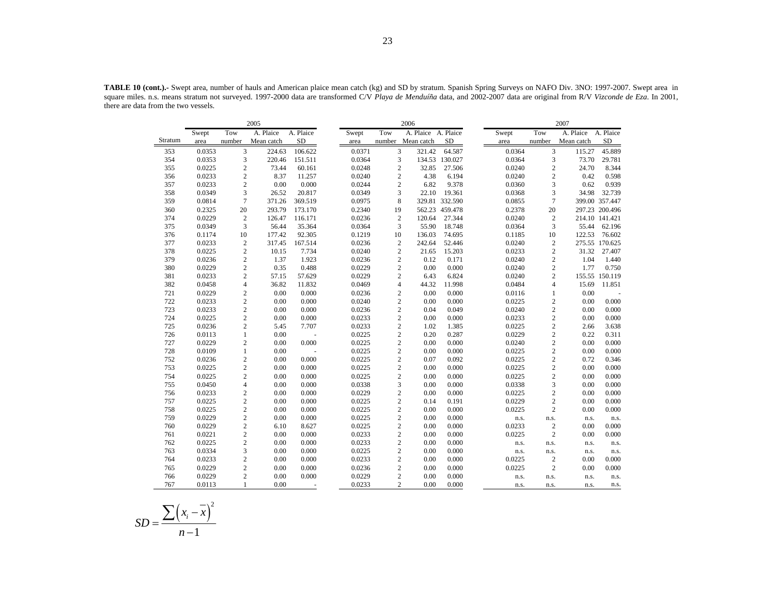|         |        |                | 2005       |           |        |                | 2006                |                |        |                | 2007       |                |
|---------|--------|----------------|------------|-----------|--------|----------------|---------------------|----------------|--------|----------------|------------|----------------|
|         | Swept  | Tow            | A. Plaice  | A. Plaice | Swept  | Tow            | A. Plaice A. Plaice |                | Swept  | Tow            | A. Plaice  | A. Plaice      |
| Stratum | area   | number         | Mean catch | <b>SD</b> | area   | number         | Mean catch          | <b>SD</b>      | area   | number         | Mean catch | <b>SD</b>      |
| 353     | 0.0353 | 3              | 224.63     | 106.622   | 0.0371 | 3              | 321.42              | 64.587         | 0.0364 | 3              | 115.27     | 45.889         |
| 354     | 0.0353 | 3              | 220.46     | 151.511   | 0.0364 | 3              |                     | 134.53 130.027 | 0.0364 | 3              | 73.70      | 29.781         |
| 355     | 0.0225 | $\overline{c}$ | 73.44      | 60.161    | 0.0248 | $\mathbf{2}$   | 32.85               | 27.506         | 0.0240 | 2              | 24.70      | 8.344          |
| 356     | 0.0233 | $\overline{c}$ | 8.37       | 11.257    | 0.0240 | $\mathbf{2}$   | 4.38                | 6.194          | 0.0240 | $\overline{c}$ | 0.42       | 0.598          |
| 357     | 0.0233 | $\overline{c}$ | 0.00       | 0.000     | 0.0244 | $\overline{c}$ | 6.82                | 9.378          | 0.0360 | 3              | 0.62       | 0.939          |
| 358     | 0.0349 | 3              | 26.52      | 20.817    | 0.0349 | 3              | 22.10               | 19.361         | 0.0368 | 3              | 34.98      | 32.739         |
| 359     | 0.0814 | $\overline{7}$ | 371.26     | 369.519   | 0.0975 | 8              |                     | 329.81 332.590 | 0.0855 | $\overline{7}$ |            | 399.00 357.447 |
| 360     | 0.2325 | 20             | 293.79     | 173.170   | 0.2340 | 19             |                     | 562.23 459.478 | 0.2378 | 20             |            | 297.23 200.496 |
| 374     | 0.0229 | $\overline{2}$ | 126.47     | 116.171   | 0.0236 | $\overline{c}$ | 120.64              | 27.344         | 0.0240 | $\overline{c}$ |            | 214.10 141.421 |
| 375     | 0.0349 | 3              | 56.44      | 35.364    | 0.0364 | 3              | 55.90               | 18.748         | 0.0364 | 3              | 55.44      | 62.196         |
| 376     | 0.1174 | 10             | 177.42     | 92.305    | 0.1219 | 10             | 136.03              | 74.695         | 0.1185 | 10             | 122.53     | 76.602         |
| 377     | 0.0233 | $\overline{2}$ | 317.45     | 167.514   | 0.0236 | $\overline{c}$ | 242.64              | 52.446         | 0.0240 | $\overline{c}$ |            | 275.55 170.625 |
| 378     | 0.0225 | $\overline{c}$ | 10.15      | 7.734     | 0.0240 | $\overline{c}$ | 21.65               | 15.203         | 0.0233 | 2              | 31.32      | 27.407         |
| 379     | 0.0236 | $\sqrt{2}$     | 1.37       | 1.923     | 0.0236 | $\mathbf{2}$   | 0.12                | 0.171          | 0.0240 | $\mathbf{2}$   | 1.04       | 1.440          |
| 380     | 0.0229 | $\overline{c}$ | 0.35       | 0.488     | 0.0229 | $\overline{c}$ | 0.00                | 0.000          | 0.0240 | $\mathbf{2}$   | 1.77       | 0.750          |
| 381     | 0.0233 | $\overline{c}$ | 57.15      | 57.629    | 0.0229 | $\overline{c}$ | 6.43                | 6.824          | 0.0240 | $\mathbf{2}$   |            | 155.55 150.119 |
| 382     | 0.0458 | $\overline{4}$ | 36.82      | 11.832    | 0.0469 | $\overline{4}$ | 44.32               | 11.998         | 0.0484 | $\overline{4}$ | 15.69      | 11.851         |
| 721     | 0.0229 | $\overline{c}$ | 0.00       | 0.000     | 0.0236 | $\mathfrak{2}$ | 0.00                | 0.000          | 0.0116 | 1              | 0.00       |                |
| 722     | 0.0233 | $\overline{c}$ | 0.00       | 0.000     | 0.0240 | $\overline{c}$ | 0.00                | 0.000          | 0.0225 | $\mathbf{2}$   | 0.00       | 0.000          |
| 723     | 0.0233 | $\overline{c}$ | 0.00       | 0.000     | 0.0236 | $\overline{c}$ | 0.04                | 0.049          | 0.0240 | $\mathbf{2}$   | 0.00       | 0.000          |
| 724     | 0.0225 | $\overline{c}$ | 0.00       | 0.000     | 0.0233 | $\mathbf{2}$   | 0.00                | 0.000          | 0.0233 | $\mathbf{2}$   | 0.00       | 0.000          |
| 725     | 0.0236 | $\mathfrak{2}$ | 5.45       | 7.707     | 0.0233 | $\mathfrak{2}$ | 1.02                | 1.385          | 0.0225 | $\overline{c}$ | 2.66       | 3.638          |
| 726     | 0.0113 | $\mathbf{1}$   | 0.00       | ÷.        | 0.0225 | $\mathbf{2}$   | 0.20                | 0.287          | 0.0229 | $\mathfrak{2}$ | 0.22       | 0.311          |
| 727     | 0.0229 | $\overline{c}$ | 0.00       | 0.000     | 0.0225 | $\overline{c}$ | 0.00                | 0.000          | 0.0240 | $\mathbf{2}$   | 0.00       | 0.000          |
| 728     | 0.0109 | $\mathbf{1}$   | 0.00       |           | 0.0225 | $\mathbf{2}$   | 0.00                | 0.000          | 0.0225 | $\sqrt{2}$     | 0.00       | 0.000          |
| 752     | 0.0236 | $\overline{c}$ | 0.00       | 0.000     | 0.0225 | $\sqrt{2}$     | 0.07                | 0.092          | 0.0225 | $\sqrt{2}$     | 0.72       | 0.346          |
| 753     | 0.0225 | $\overline{c}$ | 0.00       | 0.000     | 0.0225 | $\mathfrak{2}$ | 0.00                | 0.000          | 0.0225 | $\mathbf{2}$   | 0.00       | 0.000          |
| 754     | 0.0225 | $\overline{c}$ | 0.00       | 0.000     | 0.0225 | $\overline{c}$ | 0.00                | 0.000          | 0.0225 | $\mathbf{2}$   | 0.00       | 0.000          |
| 755     | 0.0450 | $\overline{4}$ | 0.00       | 0.000     | 0.0338 | 3              | 0.00                | 0.000          | 0.0338 | 3              | 0.00       | 0.000          |
| 756     | 0.0233 | $\overline{2}$ | 0.00       | 0.000     | 0.0229 | $\overline{2}$ | 0.00                | 0.000          | 0.0225 | $\mathbf{2}$   | 0.00       | 0.000          |
| 757     | 0.0225 | $\overline{c}$ | 0.00       | 0.000     | 0.0225 | $\overline{2}$ | 0.14                | 0.191          | 0.0229 | $\overline{c}$ | 0.00       | 0.000          |
| 758     | 0.0225 | $\overline{c}$ | 0.00       | 0.000     | 0.0225 | $\mathfrak{2}$ | 0.00                | 0.000          | 0.0225 | $\overline{c}$ | 0.00       | 0.000          |
| 759     | 0.0229 | $\overline{c}$ | 0.00       | 0.000     | 0.0225 | $\overline{2}$ | 0.00                | 0.000          | n.s.   | n.s.           | n.s.       | n.s.           |
| 760     | 0.0229 | $\overline{c}$ | 6.10       | 8.627     | 0.0225 | $\overline{c}$ | 0.00                | 0.000          | 0.0233 | $\overline{c}$ | 0.00       | 0.000          |
| 761     | 0.0221 | $\overline{c}$ | 0.00       | 0.000     | 0.0233 | $\overline{c}$ | 0.00                | 0.000          | 0.0225 | 2              | 0.00       | 0.000          |
| 762     | 0.0225 | $\overline{c}$ | 0.00       | 0.000     | 0.0233 | $\sqrt{2}$     | 0.00                | 0.000          | n.s.   | n.s.           | n.s.       | n.s.           |
| 763     | 0.0334 | 3              | 0.00       | 0.000     | 0.0225 | $\overline{2}$ | 0.00                | 0.000          | n.s.   | n.s.           | n.s.       | n.s.           |
| 764     | 0.0233 | $\overline{c}$ | 0.00       | 0.000     | 0.0233 | $\mathfrak{2}$ | 0.00                | 0.000          | 0.0225 | $\overline{c}$ | 0.00       | 0.000          |
| 765     | 0.0229 | $\overline{c}$ | 0.00       | 0.000     | 0.0236 | $\mathbf{2}$   | 0.00                | 0.000          | 0.0225 | $\overline{c}$ | 0.00       | 0.000          |
| 766     | 0.0229 | $\overline{c}$ | 0.00       | 0.000     | 0.0229 | $\overline{c}$ | 0.00                | 0.000          | n.s.   | n.s.           | n.s.       | n.s.           |
| 767     | 0.0113 | 1              | 0.00       |           | 0.0233 | $\mathfrak{2}$ | 0.00                | 0.000          | n.s.   | n.s.           | n.s.       | n.s.           |

**TABLE 10 (cont.).-** Swept area, number of hauls and American plaice mean catch (kg) and SD by stratum. Spanish Spring Surveys on NAFO Div. 3NO: 1997-2007. Swept area in square miles. n.s. means stratum not surveyed. 1997-2000 data are transformed C/V *Playa de Menduíña* data, and 2002-2007 data are original from R/V *Vizconde de Eza*. In 2001, there are data from the two vessels.

$$
SD = \frac{\sum (x_i - \overline{x})^2}{n - 1}
$$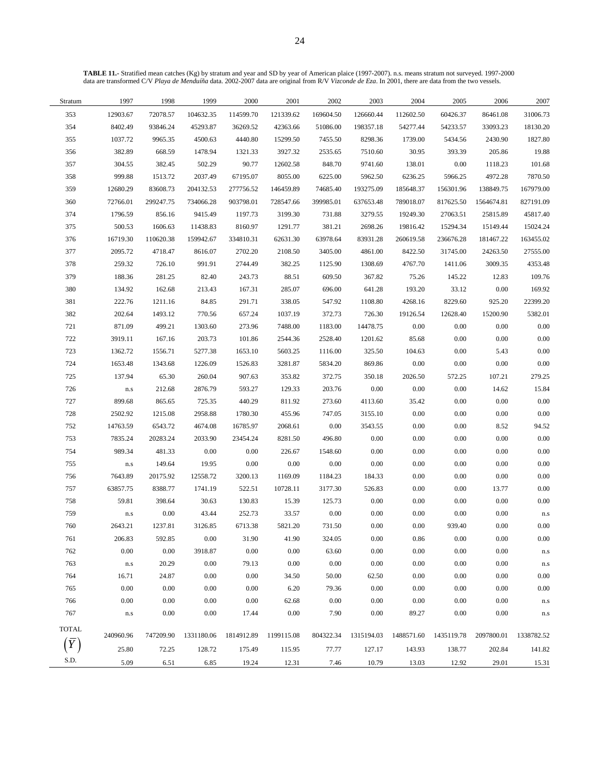**TABLE 11.-** Stratified mean catches (Kg) by stratum and year and SD by year of American plaice (1997-2007). n.s. means stratum not surveyed. 1997-2000 data are transformed C/V *Playa de Menduíña* data. 2002-2007 data are original from R/V *Vizconde de Eza*. In 2001, there are data from the two vessels.

| Stratum          | 1997              | 1998      | 1999       | 2000       | 2001       | 2002      | 2003       | 2004       | 2005       | 2006       | 2007       |
|------------------|-------------------|-----------|------------|------------|------------|-----------|------------|------------|------------|------------|------------|
| 353              | 12903.67          | 72078.57  | 104632.35  | 114599.70  | 121339.62  | 169604.50 | 126660.44  | 112602.50  | 60426.37   | 86461.08   | 31006.73   |
| 354              | 8402.49           | 93846.24  | 45293.87   | 36269.52   | 42363.66   | 51086.00  | 198357.18  | 54277.44   | 54233.57   | 33093.23   | 18130.20   |
| 355              | 1037.72           | 9965.35   | 4500.63    | 4440.80    | 15299.50   | 7455.50   | 8298.36    | 1739.00    | 5434.56    | 2430.90    | 1827.80    |
| 356              | 382.89            | 668.59    | 1478.94    | 1321.33    | 3927.32    | 2535.65   | 7510.60    | 30.95      | 393.39     | 205.86     | 19.88      |
| 357              | 304.55            | 382.45    | 502.29     | 90.77      | 12602.58   | 848.70    | 9741.60    | 138.01     | 0.00       | 1118.23    | 101.68     |
| 358              | 999.88            | 1513.72   | 2037.49    | 67195.07   | 8055.00    | 6225.00   | 5962.50    | 6236.25    | 5966.25    | 4972.28    | 7870.50    |
| 359              | 12680.29          | 83608.73  | 204132.53  | 277756.52  | 146459.89  | 74685.40  | 193275.09  | 185648.37  | 156301.96  | 138849.75  | 167979.00  |
| 360              | 72766.01          | 299247.75 | 734066.28  | 903798.01  | 728547.66  | 399985.01 | 637653.48  | 789018.07  | 817625.50  | 1564674.81 | 827191.09  |
| 374              | 1796.59           | 856.16    | 9415.49    | 1197.73    | 3199.30    | 731.88    | 3279.55    | 19249.30   | 27063.51   | 25815.89   | 45817.40   |
| 375              | 500.53            | 1606.63   | 11438.83   | 8160.97    | 1291.77    | 381.21    | 2698.26    | 19816.42   | 15294.34   | 15149.44   | 15024.24   |
| 376              | 16719.30          | 110620.38 | 159942.67  | 334810.31  | 62631.30   | 63978.64  | 83931.28   | 260619.58  | 236676.28  | 181467.22  | 163455.02  |
| 377              | 2095.72           | 4718.47   | 8616.07    | 2702.20    | 2108.50    | 3405.00   | 4861.00    | 8422.50    | 31745.00   | 24263.50   | 27555.00   |
| 378              | 259.32            | 726.10    | 991.91     | 2744.49    | 382.25     | 1125.90   | 1308.69    | 4767.70    | 1411.06    | 3009.35    | 4353.48    |
| 379              | 188.36            | 281.25    | 82.40      | 243.73     | 88.51      | 609.50    | 367.82     | 75.26      | 145.22     | 12.83      | 109.76     |
| 380              | 134.92            | 162.68    | 213.43     | 167.31     | 285.07     | 696.00    | 641.28     | 193.20     | 33.12      | $0.00\,$   | 169.92     |
| 381              | 222.76            | 1211.16   | 84.85      | 291.71     | 338.05     | 547.92    | 1108.80    | 4268.16    | 8229.60    | 925.20     | 22399.20   |
| 382              | 202.64            | 1493.12   | 770.56     | 657.24     | 1037.19    | 372.73    | 726.30     | 19126.54   | 12628.40   | 15200.90   | 5382.01    |
| 721              | 871.09            | 499.21    | 1303.60    | 273.96     | 7488.00    | 1183.00   | 14478.75   | $0.00\,$   | 0.00       | 0.00       | 0.00       |
| 722              | 3919.11           | 167.16    | 203.73     | 101.86     | 2544.36    | 2528.40   | 1201.62    | 85.68      | 0.00       | 0.00       | 0.00       |
| 723              | 1362.72           | 1556.71   | 5277.38    | 1653.10    | 5603.25    | 1116.00   | 325.50     | 104.63     | 0.00       | 5.43       | 0.00       |
| 724              | 1653.48           | 1343.68   | 1226.09    | 1526.83    | 3281.87    | 5834.20   | 869.86     | 0.00       | 0.00       | 0.00       | 0.00       |
| 725              | 137.94            | 65.30     | 260.04     | 907.63     | 353.82     | 372.75    | 350.18     | 2026.50    | 572.25     | 107.21     | 279.25     |
| 726              | ${\rm n.s}$       | 212.68    | 2876.79    | 593.27     | 129.33     | 203.76    | 0.00       | $0.00\,$   | $0.00\,$   | 14.62      | 15.84      |
| 727              | 899.68            | 865.65    | 725.35     | 440.29     | 811.92     | 273.60    | 4113.60    | 35.42      | 0.00       | 0.00       | 0.00       |
| 728              | 2502.92           | 1215.08   | 2958.88    | 1780.30    | 455.96     | 747.05    | 3155.10    | 0.00       | 0.00       | 0.00       | 0.00       |
| 752              | 14763.59          | 6543.72   | 4674.08    | 16785.97   | 2068.61    | 0.00      | 3543.55    | 0.00       | 0.00       | 8.52       | 94.52      |
| 753              | 7835.24           | 20283.24  | 2033.90    | 23454.24   | 8281.50    | 496.80    | 0.00       | $0.00\,$   | $0.00\,$   | 0.00       | 0.00       |
| 754              | 989.34            | 481.33    | 0.00       | 0.00       | 226.67     | 1548.60   | 0.00       | 0.00       | 0.00       | 0.00       | 0.00       |
| 755              | ${\bf n}.{\bf s}$ | 149.64    | 19.95      | 0.00       | 0.00       | $0.00\,$  | 0.00       | $0.00\,$   | $0.00\,$   | $0.00\,$   | 0.00       |
| 756              | 7643.89           | 20175.92  | 12558.72   | 3200.13    | 1169.09    | 1184.23   | 184.33     | $0.00\,$   | $0.00\,$   | $0.00\,$   | 0.00       |
| 757              | 63857.75          | 8388.77   | 1741.19    | 522.51     | 10728.11   | 3177.30   | 526.83     | $0.00\,$   | $0.00\,$   | 13.77      | 0.00       |
| 758              | 59.81             | 398.64    | 30.63      | 130.83     | 15.39      | 125.73    | 0.00       | 0.00       | 0.00       | 0.00       | 0.00       |
| 759              | ${\bf n}.{\bf s}$ | $0.00\,$  | 43.44      | 252.73     | 33.57      | 0.00      | 0.00       | 0.00       | $0.00\,$   | 0.00       | n.s        |
| 760              | 2643.21           | 1237.81   | 3126.85    | 6713.38    | 5821.20    | 731.50    | 0.00       | 0.00       | 939.40     | 0.00       | 0.00       |
| 761              | 206.83            | 592.85    | $0.00\,$   | 31.90      | 41.90      | 324.05    | 0.00       | 0.86       | 0.00       | 0.00       | 0.00       |
| 762              | $0.00\,$          | 0.00      | 3918.87    | 0.00       | 0.00       | 63.60     | 0.00       | 0.00       | 0.00       | 0.00       | n.s        |
| 763              | ${\bf n}.{\bf s}$ | 20.29     | 0.00       | 79.13      | 0.00       | 0.00      | 0.00       | 0.00       | 0.00       | 0.00       | n.s        |
| 764              | 16.71             | 24.87     | 0.00       | 0.00       | 34.50      | 50.00     | 62.50      | 0.00       | 0.00       | 0.00       | 0.00       |
| 765              | 0.00              | 0.00      | 0.00       | 0.00       | 6.20       | 79.36     | 0.00       | 0.00       | 0.00       | 0.00       | 0.00       |
| 766              | 0.00              | 0.00      | 0.00       | 0.00       | 62.68      | 0.00      | 0.00       | 0.00       | 0.00       | 0.00       | n.s        |
| 767              | $\rm n.s$         | 0.00      | $0.00\,$   | 17.44      | 0.00       | 7.90      | 0.00       | 89.27      | 0.00       | 0.00       | n.s        |
| <b>TOTAL</b>     |                   |           |            |            |            |           |            |            |            |            |            |
|                  | 240960.96         | 747209.90 | 1331180.06 | 1814912.89 | 1199115.08 | 804322.34 | 1315194.03 | 1488571.60 | 1435119.78 | 2097800.01 | 1338782.52 |
| $\boldsymbol{Y}$ | 25.80             | 72.25     | 128.72     | 175.49     | 115.95     | 77.77     | 127.17     | 143.93     | 138.77     | 202.84     | 141.82     |
| S.D.             | 5.09              | 6.51      | 6.85       | 19.24      | 12.31      | 7.46      | 10.79      | 13.03      | 12.92      | 29.01      | 15.31      |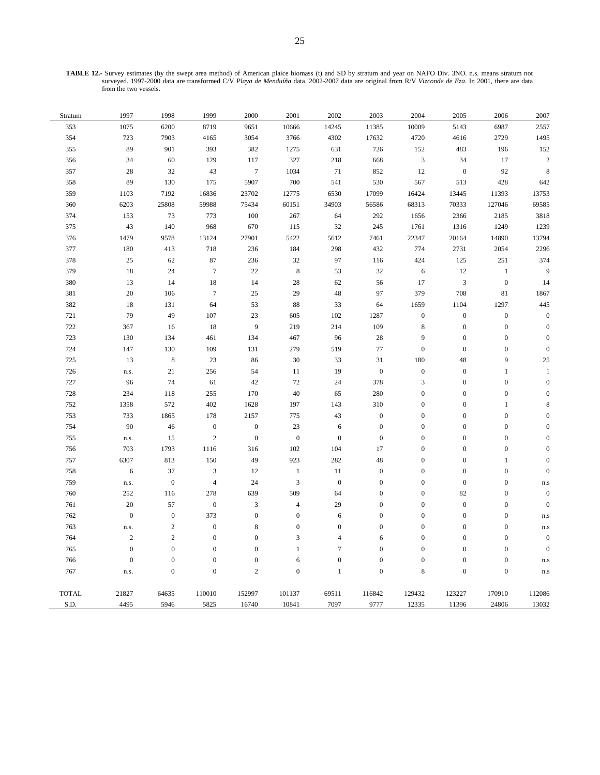**TABLE 12.-** Survey estimates (by the swept area method) of American plaice biomass (t) and SD by stratum and year on NAFO Div. 3NO. n.s. means stratum not surveyed. 1997-2000 data are transformed C/V *Playa de Menduíña* data. 2002-2007 data are original from R/V *Vizconde de Eza*. In 2001, there are data from the two vessels.

| Stratum      | 1997             | 1998             | 1999             | 2000             | 2001             | 2002             | 2003             | 2004                        | 2005                        | 2006             | 2007                    |
|--------------|------------------|------------------|------------------|------------------|------------------|------------------|------------------|-----------------------------|-----------------------------|------------------|-------------------------|
| 353          | 1075             | 6200             | 8719             | 9651             | 10666            | 14245            | 11385            | 10009                       | 5143                        | 6987             | 2557                    |
| 354          | 723              | 7903             | 4165             | 3054             | 3766             | 4302             | 17632            | 4720                        | 4616                        | 2729             | 1495                    |
| 355          | 89               | 901              | 393              | 382              | 1275             | 631              | 726              | 152                         | 483                         | 196              | 152                     |
| 356          | 34               | 60               | 129              | 117              | 327              | 218              | 668              | $\ensuremath{\mathfrak{Z}}$ | 34                          | 17               | $\sqrt{2}$              |
| 357          | $28\,$           | 32               | 43               | $\boldsymbol{7}$ | 1034             | 71               | 852              | 12                          | $\boldsymbol{0}$            | 92               | $\,$ 8 $\,$             |
| 358          | 89               | 130              | 175              | 5907             | 700              | 541              | 530              | 567                         | 513                         | 428              | 642                     |
| 359          | 1103             | 7192             | 16836            | 23702            | 12775            | 6530             | 17099            | 16424                       | 13445                       | 11393            | 13753                   |
| 360          | 6203             | 25808            | 59988            | 75434            | 60151            | 34903            | 56586            | 68313                       | 70333                       | 127046           | 69585                   |
| 374          | 153              | 73               | 773              | 100              | 267              | 64               | 292              | 1656                        | 2366                        | 2185             | 3818                    |
| 375          | $43\,$           | 140              | 968              | 670              | 115              | 32               | 245              | 1761                        | 1316                        | 1249             | 1239                    |
| 376          | 1479             | 9578             | 13124            | 27901            | 5422             | 5612             | 7461             | 22347                       | 20164                       | 14890            | 13794                   |
| 377          | 180              | 413              | 718              | 236              | 184              | 298              | 432              | 774                         | 2731                        | 2054             | 2296                    |
| 378          | $25\,$           | 62               | 87               | 236              | 32               | 97               | 116              | 424                         | 125                         | $251\,$          | 374                     |
| 379          | 18               | 24               | $\overline{7}$   | $22\,$           | $\,8\,$          | 53               | 32               | $\sqrt{6}$                  | 12                          | $\,1\,$          | 9                       |
| 380          | 13               | 14               | $18\,$           | 14               | 28               | 62               | 56               | 17                          | $\ensuremath{\mathfrak{Z}}$ | $\boldsymbol{0}$ | 14                      |
| 381          | $20\,$           | 106              | $\overline{7}$   | 25               | 29               | 48               | 97               | 379                         | 708                         | $81\,$           | 1867                    |
| 382          | $18\,$           | 131              | 64               | 53               | 88               | 33               | 64               | 1659                        | 1104                        | 1297             | 445                     |
| 721          | 79               | 49               | 107              | 23               | 605              | 102              | 1287             | $\boldsymbol{0}$            | $\boldsymbol{0}$            | $\boldsymbol{0}$ | $\boldsymbol{0}$        |
| 722          | 367              | 16               | $18\,$           | 9                | 219              | 214              | 109              | $\,$ 8 $\,$                 | $\boldsymbol{0}$            | $\boldsymbol{0}$ | $\boldsymbol{0}$        |
| 723          | 130              | 134              | 461              | 134              | 467              | 96               | 28               | 9                           | $\boldsymbol{0}$            | $\boldsymbol{0}$ | $\boldsymbol{0}$        |
| 724          | 147              | 130              | 109              | 131              | 279              | 519              | $77\,$           | $\boldsymbol{0}$            | $\boldsymbol{0}$            | $\boldsymbol{0}$ | $\boldsymbol{0}$        |
| 725          | 13               | $\,$ 8 $\,$      | $23\,$           | 86               | 30               | 33               | 31               | 180                         | 48                          | 9                | $25\,$                  |
| 726          | n.s.             | 21               | 256              | 54               | 11               | 19               | $\boldsymbol{0}$ | $\boldsymbol{0}$            | $\boldsymbol{0}$            | $\mathbf{1}$     | $\mathbf{1}$            |
| $727\,$      | 96               | 74               | 61               | 42               | 72               | 24               | 378              | $\sqrt{3}$                  | $\boldsymbol{0}$            | $\boldsymbol{0}$ | $\mathbf{0}$            |
| 728          | 234              | 118              | 255              | 170              | 40               | 65               | 280              | $\boldsymbol{0}$            | $\boldsymbol{0}$            | $\boldsymbol{0}$ | $\boldsymbol{0}$        |
| 752          | 1358             | 572              | 402              | 1628             | 197              | 143              | 310              | $\boldsymbol{0}$            | $\boldsymbol{0}$            | $\,1$            | 8                       |
| 753          | 733              | 1865             | 178              | 2157             | 775              | 43               | $\boldsymbol{0}$ | $\boldsymbol{0}$            | $\boldsymbol{0}$            | $\boldsymbol{0}$ | $\mathbf{0}$            |
| 754          | 90               | 46               | $\boldsymbol{0}$ | $\boldsymbol{0}$ | 23               | 6                | $\boldsymbol{0}$ | $\boldsymbol{0}$            | $\boldsymbol{0}$            | $\boldsymbol{0}$ | $\boldsymbol{0}$        |
| 755          | n.s.             | 15               | $\sqrt{2}$       | $\boldsymbol{0}$ | $\boldsymbol{0}$ | $\boldsymbol{0}$ | $\boldsymbol{0}$ | $\boldsymbol{0}$            | $\boldsymbol{0}$            | $\boldsymbol{0}$ | $\boldsymbol{0}$        |
| 756          | 703              | 1793             | 1116             | 316              | 102              | 104              | 17               | $\boldsymbol{0}$            | $\boldsymbol{0}$            | $\boldsymbol{0}$ | $\boldsymbol{0}$        |
| 757          | 6307             | 813              | 150              | 49               | 923              | 282              | 48               | $\boldsymbol{0}$            | $\boldsymbol{0}$            | $\mathbf{1}$     | $\boldsymbol{0}$        |
| 758          | 6                | 37               | $\mathfrak z$    | 12               | $\mathbf{1}$     | 11               | $\boldsymbol{0}$ | $\mathbf 0$                 | $\boldsymbol{0}$            | $\boldsymbol{0}$ | $\mathbf{0}$            |
| 759          | n.s.             | $\boldsymbol{0}$ | $\sqrt{4}$       | 24               | $\mathfrak{Z}$   | $\boldsymbol{0}$ | $\boldsymbol{0}$ | $\boldsymbol{0}$            | $\boldsymbol{0}$            | $\boldsymbol{0}$ | $\mathbf{n}.\mathbf{s}$ |
| 760          | 252              | 116              | 278              | 639              | 509              | 64               | $\boldsymbol{0}$ | $\boldsymbol{0}$            | 82                          | $\boldsymbol{0}$ | $\boldsymbol{0}$        |
| 761          | 20               | 57               | $\boldsymbol{0}$ | $\mathfrak{Z}$   | $\overline{4}$   | 29               | $\boldsymbol{0}$ | $\boldsymbol{0}$            | $\boldsymbol{0}$            | $\boldsymbol{0}$ | $\boldsymbol{0}$        |
| 762          | $\boldsymbol{0}$ | $\boldsymbol{0}$ | 373              | $\boldsymbol{0}$ | $\boldsymbol{0}$ | $\sqrt{6}$       | $\boldsymbol{0}$ | $\boldsymbol{0}$            | $\boldsymbol{0}$            | $\boldsymbol{0}$ | $\mathbf{n}.\mathbf{s}$ |
| 763          | n.s.             | $\overline{2}$   | $\boldsymbol{0}$ | 8                | $\mathbf{0}$     | $\boldsymbol{0}$ | $\boldsymbol{0}$ | $\boldsymbol{0}$            | $\boldsymbol{0}$            | $\boldsymbol{0}$ | $\mathbf{n}.\mathbf{s}$ |
| 764          | $\sqrt{2}$       | $\sqrt{2}$       | $\mathbf{0}$     | $\mathbf{0}$     | 3                | $\overline{4}$   | 6                | $\boldsymbol{0}$            | $\boldsymbol{0}$            | $\boldsymbol{0}$ | $\boldsymbol{0}$        |
| $765\,$      | $\mathbf{0}$     | $\boldsymbol{0}$ | $\boldsymbol{0}$ | $\boldsymbol{0}$ | $\mathbf{1}$     | $\tau$           | $\boldsymbol{0}$ | $\boldsymbol{0}$            | $\mathbf{0}$                | $\boldsymbol{0}$ | $\boldsymbol{0}$        |
| 766          | $\boldsymbol{0}$ | $\boldsymbol{0}$ | $\boldsymbol{0}$ | $\boldsymbol{0}$ | 6                | $\boldsymbol{0}$ | $\boldsymbol{0}$ | $\boldsymbol{0}$            | $\boldsymbol{0}$            | $\boldsymbol{0}$ | $\mathbf{n}.\mathbf{s}$ |
| 767          | n.s.             | $\mathbf{0}$     | $\overline{0}$   | $\overline{c}$   | $\overline{0}$   | $\mathbf{1}$     | $\boldsymbol{0}$ | 8                           | $\overline{0}$              | $\boldsymbol{0}$ | n.s                     |
| <b>TOTAL</b> | 21827            | 64635            | 110010           | 152997           | 101137           | 69511            | 116842           | 129432                      | 123227                      | 170910           | 112086                  |
| S.D.         | 4495             | 5946             | 5825             | 16740            | 10841            | 7097             | 9777             | 12335                       | 11396                       | 24806            | 13032                   |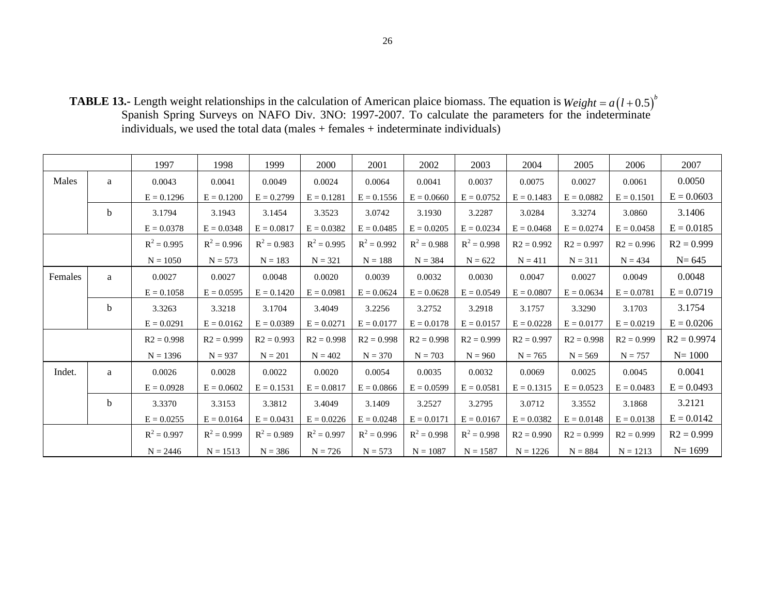**TABLE 13.-** Length weight relationships in the calculation of American plaice biomass. The equation is Spanish Spring Surveys on NAFO Div. 3NO: 1997-2007. To calculate the parameters for the indeterminate individuals, we used the total data (males + females + indeterminate individuals)  $Weight = a(l+0.5)^{b}$ 

|         |   | 1997          | 1998          | 1999          | 2000          | 2001          | 2002          | 2003          | 2004         | 2005         | 2006         | 2007          |
|---------|---|---------------|---------------|---------------|---------------|---------------|---------------|---------------|--------------|--------------|--------------|---------------|
| Males   | a | 0.0043        | 0.0041        | 0.0049        | 0.0024        | 0.0064        | 0.0041        | 0.0037        | 0.0075       | 0.0027       | 0.0061       | 0.0050        |
|         |   | $E = 0.1296$  | $E = 0.1200$  | $E = 0.2799$  | $E = 0.1281$  | $E = 0.1556$  | $E = 0.0660$  | $E = 0.0752$  | $E = 0.1483$ | $E = 0.0882$ | $E = 0.1501$ | $E = 0.0603$  |
|         | b | 3.1794        | 3.1943        | 3.1454        | 3.3523        | 3.0742        | 3.1930        | 3.2287        | 3.0284       | 3.3274       | 3.0860       | 3.1406        |
|         |   | $E = 0.0378$  | $E = 0.0348$  | $E = 0.0817$  | $E = 0.0382$  | $E = 0.0485$  | $E = 0.0205$  | $E = 0.0234$  | $E = 0.0468$ | $E = 0.0274$ | $E = 0.0458$ | $E = 0.0185$  |
|         |   | $R^2 = 0.995$ | $R^2 = 0.996$ | $R^2 = 0.983$ | $R^2 = 0.995$ | $R^2 = 0.992$ | $R^2 = 0.988$ | $R^2 = 0.998$ | $R2 = 0.992$ | $R2 = 0.997$ | $R2 = 0.996$ | $R2 = 0.999$  |
|         |   | $N = 1050$    | $N = 573$     | $N = 183$     | $N = 321$     | $N = 188$     | $N = 384$     | $N = 622$     | $N = 411$    | $N = 311$    | $N = 434$    | $N = 645$     |
| Females | a | 0.0027        | 0.0027        | 0.0048        | 0.0020        | 0.0039        | 0.0032        | 0.0030        | 0.0047       | 0.0027       | 0.0049       | 0.0048        |
|         |   | $E = 0.1058$  | $E = 0.0595$  | $E = 0.1420$  | $E = 0.0981$  | $E = 0.0624$  | $E = 0.0628$  | $E = 0.0549$  | $E = 0.0807$ | $E = 0.0634$ | $E = 0.0781$ | $E = 0.0719$  |
|         | b | 3.3263        | 3.3218        | 3.1704        | 3.4049        | 3.2256        | 3.2752        | 3.2918        | 3.1757       | 3.3290       | 3.1703       | 3.1754        |
|         |   | $E = 0.0291$  | $E = 0.0162$  | $E = 0.0389$  | $E = 0.0271$  | $E = 0.0177$  | $E = 0.0178$  | $E = 0.0157$  | $E = 0.0228$ | $E = 0.0177$ | $E = 0.0219$ | $E = 0.0206$  |
|         |   | $R2 = 0.998$  | $R2 = 0.999$  | $R2 = 0.993$  | $R2 = 0.998$  | $R2 = 0.998$  | $R2 = 0.998$  | $R2 = 0.999$  | $R2 = 0.997$ | $R2 = 0.998$ | $R2 = 0.999$ | $R2 = 0.9974$ |
|         |   | $N = 1396$    | $N = 937$     | $N = 201$     | $N = 402$     | $N = 370$     | $N = 703$     | $N = 960$     | $N = 765$    | $N = 569$    | $N = 757$    | $N = 1000$    |
| Indet.  | a | 0.0026        | 0.0028        | 0.0022        | 0.0020        | 0.0054        | 0.0035        | 0.0032        | 0.0069       | 0.0025       | 0.0045       | 0.0041        |
|         |   | $E = 0.0928$  | $E = 0.0602$  | $E = 0.1531$  | $E = 0.0817$  | $E = 0.0866$  | $E = 0.0599$  | $E = 0.0581$  | $E = 0.1315$ | $E = 0.0523$ | $E = 0.0483$ | $E = 0.0493$  |
|         | b | 3.3370        | 3.3153        | 3.3812        | 3.4049        | 3.1409        | 3.2527        | 3.2795        | 3.0712       | 3.3552       | 3.1868       | 3.2121        |
|         |   | $E = 0.0255$  | $E = 0.0164$  | $E = 0.0431$  | $E = 0.0226$  | $E = 0.0248$  | $E = 0.0171$  | $E = 0.0167$  | $E = 0.0382$ | $E = 0.0148$ | $E = 0.0138$ | $E = 0.0142$  |
|         |   | $R^2 = 0.997$ | $R^2 = 0.999$ | $R^2 = 0.989$ | $R^2 = 0.997$ | $R^2 = 0.996$ | $R^2 = 0.998$ | $R^2 = 0.998$ | $R2 = 0.990$ | $R2 = 0.999$ | $R2 = 0.999$ | $R2 = 0.999$  |
|         |   | $N = 2446$    | $N = 1513$    | $N = 386$     | $N = 726$     | $N = 573$     | $N = 1087$    | $N = 1587$    | $N = 1226$   | $N = 884$    | $N = 1213$   | $N = 1699$    |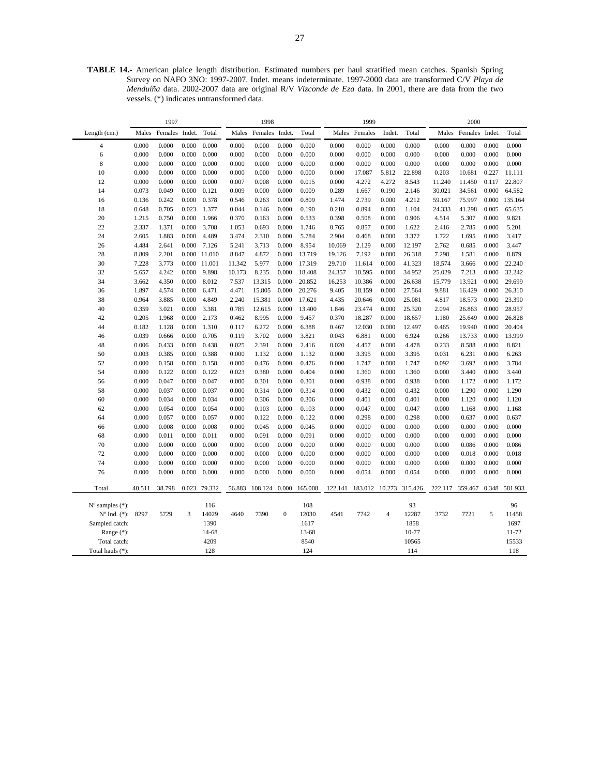**TABLE 14.-** American plaice length distribution. Estimated numbers per haul stratified mean catches. Spanish Spring Survey on NAFO 3NO: 1997-2007. Indet. means indeterminate. 1997-2000 data are transformed C/V *Playa de Menduíña* data. 2002-2007 data are original R/V *Vizconde de Eza* data. In 2001, there are data from the two vessels. (\*) indicates untransformed data.

|                             | 1997   |         |        | 1998         |        |         |                  | 1999    |         |         |                | 2000           |         |         |        |               |
|-----------------------------|--------|---------|--------|--------------|--------|---------|------------------|---------|---------|---------|----------------|----------------|---------|---------|--------|---------------|
| Length (cm.)                | Males  | Females | Indet. | Total        | Males  | Females | Indet.           | Total   | Males   | Females | Indet.         | Total          | Males   | Females | Indet. | Total         |
| $\overline{4}$              | 0.000  | 0.000   | 0.000  | 0.000        | 0.000  | 0.000   | 0.000            | 0.000   | 0.000   | 0.000   | 0.000          | 0.000          | 0.000   | 0.000   | 0.000  | 0.000         |
| 6                           | 0.000  | 0.000   | 0.000  | 0.000        | 0.000  | 0.000   | 0.000            | 0.000   | 0.000   | 0.000   | 0.000          | 0.000          | 0.000   | 0.000   | 0.000  | 0.000         |
| 8                           | 0.000  | 0.000   | 0.000  | 0.000        | 0.000  | 0.000   | 0.000            | 0.000   | 0.000   | 0.000   | 0.000          | 0.000          | 0.000   | 0.000   | 0.000  | 0.000         |
| 10                          | 0.000  | 0.000   | 0.000  | 0.000        | 0.000  | 0.000   | 0.000            | 0.000   | 0.000   | 17.087  | 5.812          | 22.898         | 0.203   | 10.681  | 0.227  | 11.111        |
| 12                          | 0.000  | 0.000   | 0.000  | 0.000        | 0.007  | 0.008   | 0.000            | 0.015   | 0.000   | 4.272   | 4.272          | 8.543          | 11.240  | 11.450  | 0.117  | 22.807        |
| 14                          | 0.073  | 0.049   | 0.000  | 0.121        | 0.009  | 0.000   | 0.000            | 0.009   | 0.289   | 1.667   | 0.190          | 2.146          | 30.021  | 34.561  | 0.000  | 64.582        |
| 16                          | 0.136  | 0.242   | 0.000  | 0.378        | 0.546  | 0.263   | 0.000            | 0.809   | 1.474   | 2.739   | 0.000          | 4.212          | 59.167  | 75.997  | 0.000  | 135.164       |
| 18                          | 0.648  | 0.705   | 0.023  | 1.377        | 0.044  | 0.146   | 0.000            | 0.190   | 0.210   | 0.894   | 0.000          | 1.104          | 24.333  | 41.298  | 0.005  | 65.635        |
| 20                          | 1.215  | 0.750   | 0.000  | 1.966        | 0.370  | 0.163   | 0.000            | 0.533   | 0.398   | 0.508   | 0.000          | 0.906          | 4.514   | 5.307   | 0.000  | 9.821         |
| 22                          | 2.337  | 1.371   | 0.000  | 3.708        | 1.053  | 0.693   | 0.000            | 1.746   | 0.765   | 0.857   | 0.000          | 1.622          | 2.416   | 2.785   | 0.000  | 5.201         |
| 24                          | 2.605  | 1.883   | 0.000  | 4.489        | 3.474  | 2.310   | 0.000            | 5.784   | 2.904   | 0.468   | 0.000          | 3.372          | 1.722   | 1.695   | 0.000  | 3.417         |
| 26                          | 4.484  | 2.641   | 0.000  | 7.126        | 5.241  | 3.713   | 0.000            | 8.954   | 10.069  | 2.129   | 0.000          | 12.197         | 2.762   | 0.685   | 0.000  | 3.447         |
| 28                          | 8.809  | 2.201   |        | 0.000 11.010 | 8.847  | 4.872   | 0.000            | 13.719  | 19.126  | 7.192   | 0.000          | 26.318         | 7.298   | 1.581   | 0.000  | 8.879         |
| 30                          | 7.228  | 3.773   | 0.000  | 11.001       | 11.342 | 5.977   | 0.000            | 17.319  | 29.710  | 11.614  | 0.000          | 41.323         | 18.574  | 3.666   | 0.000  | 22.240        |
| 32                          | 5.657  | 4.242   | 0.000  | 9.898        | 10.173 | 8.235   | 0.000            | 18.408  | 24.357  | 10.595  | 0.000          | 34.952         | 25.029  | 7.213   | 0.000  | 32.242        |
| 34                          | 3.662  | 4.350   | 0.000  | 8.012        | 7.537  | 13.315  | 0.000            | 20.852  | 16.253  | 10.386  | 0.000          | 26.638         | 15.779  | 13.921  | 0.000  | 29.699        |
| 36                          | 1.897  | 4.574   | 0.000  | 6.471        | 4.471  | 15.805  | 0.000            | 20.276  | 9.405   | 18.159  | 0.000          | 27.564         | 9.881   | 16.429  | 0.000  | 26.310        |
| 38                          | 0.964  | 3.885   | 0.000  | 4.849        | 2.240  | 15.381  | 0.000            | 17.621  | 4.435   | 20.646  | 0.000          | 25.081         | 4.817   | 18.573  | 0.000  | 23.390        |
| 40                          | 0.359  | 3.021   | 0.000  | 3.381        | 0.785  | 12.615  | 0.000            | 13.400  | 1.846   | 23.474  | 0.000          | 25.320         | 2.094   | 26.863  | 0.000  | 28.957        |
| 42                          | 0.205  | 1.968   | 0.000  | 2.173        | 0.462  | 8.995   | 0.000            | 9.457   | 0.370   | 18.287  | 0.000          | 18.657         | 1.180   | 25.649  | 0.000  | 26.828        |
| 44                          | 0.182  | 1.128   | 0.000  | 1.310        | 0.117  | 6.272   | 0.000            | 6.388   | 0.467   | 12.030  | 0.000          | 12.497         | 0.465   | 19.940  | 0.000  | 20.404        |
| 46                          | 0.039  | 0.666   | 0.000  | 0.705        | 0.119  | 3.702   | 0.000            | 3.821   | 0.043   | 6.881   | 0.000          | 6.924          | 0.266   | 13.733  | 0.000  | 13.999        |
| 48                          | 0.006  | 0.433   | 0.000  | 0.438        | 0.025  | 2.391   | 0.000            | 2.416   | 0.020   | 4.457   | 0.000          | 4.478          | 0.233   | 8.588   | 0.000  | 8.821         |
| 50                          | 0.003  | 0.385   | 0.000  | 0.388        | 0.000  | 1.132   | 0.000            | 1.132   | 0.000   | 3.395   | 0.000          | 3.395          | 0.031   | 6.231   | 0.000  | 6.263         |
| 52                          | 0.000  | 0.158   | 0.000  | 0.158        | 0.000  | 0.476   | 0.000            | 0.476   | 0.000   | 1.747   | 0.000          | 1.747          | 0.092   | 3.692   | 0.000  | 3.784         |
| 54                          | 0.000  | 0.122   | 0.000  | 0.122        | 0.023  | 0.380   | 0.000            | 0.404   | 0.000   | 1.360   | 0.000          | 1.360          | 0.000   | 3.440   | 0.000  | 3.440         |
| 56                          | 0.000  | 0.047   | 0.000  | 0.047        | 0.000  | 0.301   | 0.000            | 0.301   | 0.000   | 0.938   | 0.000          | 0.938          | 0.000   | 1.172   | 0.000  | 1.172         |
| 58                          | 0.000  | 0.037   | 0.000  | 0.037        | 0.000  | 0.314   | 0.000            | 0.314   | 0.000   | 0.432   | 0.000          | 0.432          | 0.000   | 1.290   | 0.000  | 1.290         |
| 60                          | 0.000  | 0.034   | 0.000  | 0.034        | 0.000  | 0.306   | 0.000            | 0.306   | 0.000   | 0.401   | 0.000          | 0.401          | 0.000   | 1.120   | 0.000  | 1.120         |
| 62                          | 0.000  | 0.054   | 0.000  | 0.054        | 0.000  | 0.103   | 0.000            | 0.103   | 0.000   | 0.047   | 0.000          | 0.047          | 0.000   | 1.168   | 0.000  | 1.168         |
| 64                          | 0.000  | 0.057   | 0.000  | 0.057        | 0.000  | 0.122   | 0.000            | 0.122   | 0.000   | 0.298   | 0.000          | 0.298          | 0.000   | 0.637   | 0.000  | 0.637         |
| 66                          | 0.000  | 0.008   | 0.000  | 0.008        | 0.000  | 0.045   | 0.000            | 0.045   | 0.000   | 0.000   | 0.000          | 0.000          | 0.000   | 0.000   | 0.000  | 0.000         |
| 68                          | 0.000  | 0.011   | 0.000  | 0.011        | 0.000  | 0.091   | 0.000            | 0.091   | 0.000   | 0.000   | 0.000          | 0.000          | 0.000   | 0.000   | 0.000  | 0.000         |
| 70                          | 0.000  | 0.000   | 0.000  | 0.000        | 0.000  | 0.000   | 0.000            | 0.000   | 0.000   | 0.000   | 0.000          | 0.000          | 0.000   | 0.086   | 0.000  | 0.086         |
| 72                          | 0.000  | 0.000   | 0.000  | 0.000        | 0.000  | 0.000   | 0.000            | 0.000   | 0.000   | 0.000   | 0.000          | 0.000          | 0.000   | 0.018   | 0.000  | 0.018         |
| 74                          | 0.000  | 0.000   | 0.000  | 0.000        | 0.000  | 0.000   | 0.000            | 0.000   | 0.000   | 0.000   | 0.000          | 0.000          | 0.000   | 0.000   | 0.000  | 0.000         |
| 76                          | 0.000  | 0.000   | 0.000  | 0.000        | 0.000  | 0.000   | 0.000            | 0.000   | 0.000   | 0.054   | 0.000          | 0.054          | 0.000   | 0.000   | 0.000  | 0.000         |
| Total                       | 40.511 | 38.798  |        | 0.023 79.332 | 56.883 | 108.124 | 0.000            | 165.008 | 122.141 | 183.012 |                | 10.273 315.426 | 222.117 | 359.467 |        | 0.348 581.933 |
| $N^{\circ}$ samples $(*)$ : |        |         |        | 116          |        |         |                  | 108     |         |         |                | 93             |         |         |        | 96            |
| $N^{\circ}$ Ind. $(*)$ :    | 8297   | 5729    | 3      | 14029        | 4640   | 7390    | $\boldsymbol{0}$ | 12030   | 4541    | 7742    | $\overline{4}$ | 12287          | 3732    | 7721    | 5      | 11458         |
| Sampled catch:              |        |         |        | 1390         |        |         |                  | 1617    |         |         |                | 1858           |         |         |        | 1697          |
| Range $(*)$ :               |        |         |        | 14-68        |        |         |                  | 13-68   |         |         |                | 10-77          |         |         |        | 11-72         |
| Total catch:                |        |         |        | 4209         |        |         |                  | 8540    |         |         |                | 10565          |         |         |        | 15533         |
| Total hauls (*):            |        |         |        | 128          |        |         |                  | 124     |         |         |                | 114            |         |         |        | 118           |
|                             |        |         |        |              |        |         |                  |         |         |         |                |                |         |         |        |               |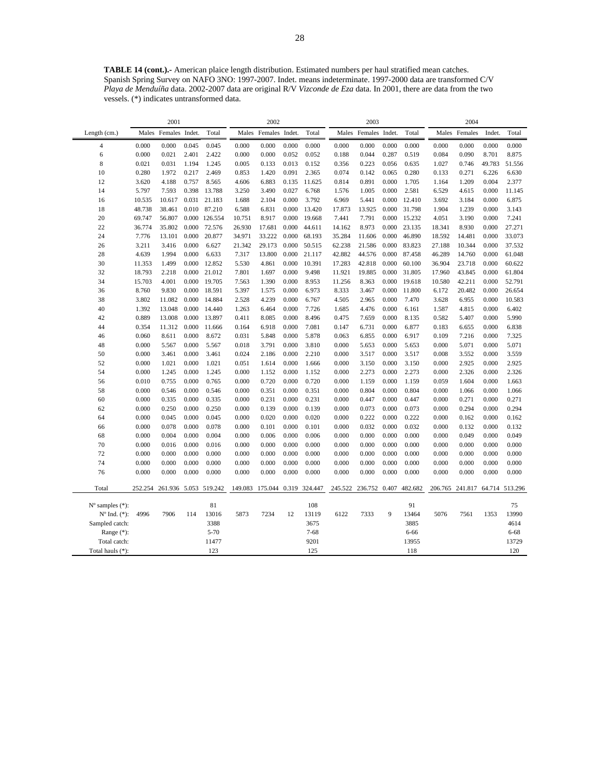**TABLE 14 (cont.).-** American plaice length distribution. Estimated numbers per haul stratified mean catches. Spanish Spring Survey on NAFO 3NO: 1997-2007. Indet. means indeterminate. 1997-2000 data are transformed C/V *Playa de Menduíña* data. 2002-2007 data are original R/V *Vizconde de Eza* data. In 2001, there are data from the two vessels. (\*) indicates untransformed data.

|                             | 2001           |                       |                | 2002           |                |                       |                | 2003           |                |                |                | 2004           |                 |                |                |                |
|-----------------------------|----------------|-----------------------|----------------|----------------|----------------|-----------------------|----------------|----------------|----------------|----------------|----------------|----------------|-----------------|----------------|----------------|----------------|
| Length (cm.)                | Males          | Females Indet.        |                | Total          | Males          | Females Indet.        |                | Total          | Males          | Females Indet. |                | Total          |                 | Males Females  | Indet.         | Total          |
| $\overline{4}$              | 0.000          | 0.000                 | 0.045          | 0.045          | 0.000          | 0.000                 | 0.000          | 0.000          | 0.000          | 0.000          | 0.000          | 0.000          | 0.000           | 0.000          | 0.000          | 0.000          |
| 6                           | 0.000          | 0.021                 | 2.401          | 2.422          | 0.000          | 0.000                 | 0.052          | 0.052          | 0.188          | 0.044          | 0.287          | 0.519          | 0.084           | 0.090          | 8.701          | 8.875          |
| 8                           | 0.021          | 0.031                 | 1.194          | 1.245          | 0.005          | 0.133                 | 0.013          | 0.152          | 0.356          | 0.223          | 0.056          | 0.635          | 1.027           | 0.746          | 49.783         | 51.556         |
| 10                          | 0.280          | 1.972                 | 0.217          | 2.469          | 0.853          | 1.420                 | 0.091          | 2.365          | 0.074          | 0.142          | 0.065          | 0.280          | 0.133           | 0.271          | 6.226          | 6.630          |
| 12                          | 3.620          | 4.188                 | 0.757          | 8.565          | 4.606          | 6.883                 | 0.135          | 11.625         | 0.814          | 0.891          | 0.000          | 1.705          | 1.164           | 1.209          | 0.004          | 2.377          |
| 14                          | 5.797          | 7.593                 | 0.398          | 13.788         | 3.250          | 3.490                 | 0.027          | 6.768          | 1.576          | 1.005          | 0.000          | 2.581          | 6.529           | 4.615          | 0.000          | 11.145         |
| 16                          | 10.535         | 10.617                | 0.031          | 21.183         | 1.688          | 2.104                 | 0.000          | 3.792          | 6.969          | 5.441          | 0.000          | 12.410         | 3.692           | 3.184          | 0.000          | 6.875          |
| 18                          | 48.738         | 38.461                | 0.010          | 87.210         | 6.588          | 6.831                 | 0.000          | 13.420         | 17.873         | 13.925         | 0.000          | 31.798         | 1.904           | 1.239          | 0.000          | 3.143          |
| 20                          | 69.747         | 56.807                |                | 0.000 126.554  | 10.751         | 8.917                 | 0.000          | 19.668         | 7.441          | 7.791          | 0.000          | 15.232         | 4.051           | 3.190          | 0.000          | 7.241          |
| 22                          | 36.774         | 35.802                | 0.000          | 72.576         | 26.930         | 17.681                | 0.000          | 44.611         | 14.162         | 8.973          | 0.000          | 23.135         | 18.341          | 8.930          | 0.000          | 27.271         |
| 24                          | 7.776          | 13.101                | 0.000          | 20.877         | 34.971         | 33.222                | 0.000          | 68.193         | 35.284         | 11.606         | 0.000          | 46.890         | 18.592          | 14.481         | 0.000          | 33.073         |
| 26                          | 3.211          | 3.416                 | 0.000          | 6.627          | 21.342         | 29.173                | 0.000          | 50.515         | 62.238         | 21.586         | 0.000          | 83.823         | 27.188          | 10.344         | 0.000          | 37.532         |
| 28                          | 4.639          | 1.994                 | 0.000          | 6.633          | 7.317          | 13.800                | 0.000          | 21.117         | 42.882         | 44.576         | 0.000          | 87.458         | 46.289          | 14.760         | 0.000          | 61.048         |
| 30                          | 11.353         | 1.499                 | 0.000          | 12.852         | 5.530          | 4.861                 | 0.000          | 10.391         | 17.283         | 42.818         | 0.000          | 60.100         | 36.904          | 23.718         | 0.000          | 60.622         |
| 32                          | 18.793         | 2.218                 | 0.000          | 21.012         | 7.801          | 1.697                 | 0.000          | 9.498          | 11.921         | 19.885         | 0.000          | 31.805         | 17.960          | 43.845         | 0.000          | 61.804         |
| 34                          | 15.703         | 4.001                 | 0.000          | 19.705         | 7.563          | 1.390                 | 0.000          | 8.953          | 11.256         | 8.363          | 0.000          | 19.618         | 10.580          | 42.211         | 0.000          | 52.791         |
| 36                          | 8.760          | 9.830                 | 0.000          | 18.591         | 5.397          | 1.575                 | 0.000          | 6.973          | 8.333          | 3.467          | 0.000          | 11.800         | 6.172           | 20.482         | 0.000          | 26.654         |
| 38                          | 3.802          | 11.082                | 0.000          | 14.884         | 2.528          | 4.239                 | 0.000          | 6.767          | 4.505          | 2.965          | 0.000          | 7.470          | 3.628           | 6.955          | 0.000          | 10.583         |
| 40                          | 1.392          | 13.048                | 0.000          | 14.440         | 1.263          | 6.464                 | 0.000          | 7.726          | 1.685          | 4.476          | 0.000          | 6.161          | 1.587           | 4.815          | 0.000          | 6.402          |
| 42                          | 0.889          | 13.008                | 0.000          | 13.897         | 0.411          | 8.085                 | 0.000          | 8.496          | 0.475          | 7.659          | 0.000          | 8.135          | 0.582           | 5.407          | 0.000          | 5.990          |
| 44                          | 0.354          | 11.312                | 0.000          | 11.666         | 0.164          | 6.918                 | 0.000          | 7.081          | 0.147          | 6.731          | 0.000          | 6.877          | 0.183           | 6.655          | 0.000          | 6.838          |
| 46                          | 0.060          | 8.611                 | 0.000          | 8.672          | 0.031          | 5.848                 | 0.000          | 5.878          | 0.063          | 6.855          | 0.000          | 6.917          | 0.109           | 7.216          | 0.000          | 7.325          |
| 48                          | 0.000          | 5.567                 | 0.000          | 5.567          | 0.018          | 3.791                 | 0.000          | 3.810          | 0.000          | 5.653          | 0.000          | 5.653          | 0.000           | 5.071          | 0.000          | 5.071          |
| 50                          | 0.000          | 3.461                 | 0.000          | 3.461          | 0.024          | 2.186                 | 0.000          | 2.210          | 0.000          | 3.517          | 0.000          | 3.517          | 0.008           | 3.552          | 0.000          | 3.559<br>2.925 |
| 52<br>54                    | 0.000<br>0.000 | 1.021<br>1.245        | 0.000<br>0.000 | 1.021<br>1.245 | 0.051<br>0.000 | 1.614                 | 0.000<br>0.000 | 1.666<br>1.152 | 0.000<br>0.000 | 3.150<br>2.273 | 0.000<br>0.000 | 3.150<br>2.273 | 0.000<br>0.000  | 2.925<br>2.326 | 0.000<br>0.000 | 2.326          |
| 56                          | 0.010          | 0.755                 | 0.000          | 0.765          | 0.000          | 1.152<br>0.720        | 0.000          | 0.720          | 0.000          | 1.159          | 0.000          | 1.159          | 0.059           | 1.604          | 0.000          | 1.663          |
| 58                          | 0.000          | 0.546                 | 0.000          | 0.546          | 0.000          | 0.351                 | 0.000          | 0.351          | 0.000          | 0.804          | 0.000          | 0.804          | 0.000           | 1.066          | 0.000          | 1.066          |
| 60                          | 0.000          | 0.335                 | 0.000          | 0.335          | 0.000          | 0.231                 | 0.000          | 0.231          | 0.000          | 0.447          | 0.000          | 0.447          | 0.000           | 0.271          | 0.000          | 0.271          |
| 62                          | 0.000          | 0.250                 | 0.000          | 0.250          | 0.000          | 0.139                 | 0.000          | 0.139          | 0.000          | 0.073          | 0.000          | 0.073          | 0.000           | 0.294          | 0.000          | 0.294          |
| 64                          | 0.000          | 0.045                 | 0.000          | 0.045          | 0.000          | 0.020                 | 0.000          | 0.020          | 0.000          | 0.222          | 0.000          | 0.222          | 0.000           | 0.162          | 0.000          | 0.162          |
| 66                          | 0.000          | 0.078                 | 0.000          | 0.078          | 0.000          | 0.101                 | 0.000          | 0.101          | 0.000          | 0.032          | 0.000          | 0.032          | 0.000           | 0.132          | 0.000          | 0.132          |
| 68                          | 0.000          | 0.004                 | 0.000          | 0.004          | 0.000          | 0.006                 | 0.000          | 0.006          | 0.000          | 0.000          | 0.000          | 0.000          | 0.000           | 0.049          | 0.000          | 0.049          |
| 70                          | 0.000          | 0.016                 | 0.000          | 0.016          | 0.000          | 0.000                 | 0.000          | 0.000          | 0.000          | 0.000          | 0.000          | 0.000          | 0.000           | 0.000          | 0.000          | 0.000          |
| 72                          | 0.000          | 0.000                 | 0.000          | 0.000          | 0.000          | 0.000                 | 0.000          | 0.000          | 0.000          | 0.000          | 0.000          | 0.000          | 0.000           | 0.000          | 0.000          | 0.000          |
| 74                          | 0.000          | 0.000                 | 0.000          | 0.000          | 0.000          | 0.000                 | 0.000          | 0.000          | 0.000          | 0.000          | 0.000          | 0.000          | 0.000           | 0.000          | 0.000          | 0.000          |
| 76                          | 0.000          | 0.000                 | 0.000          | 0.000          | 0.000          | 0.000                 | 0.000          | 0.000          | 0.000          | 0.000          | 0.000          | 0.000          | 0.000           | 0.000          | 0.000          | 0.000          |
|                             |                |                       |                |                |                |                       |                |                |                |                |                |                |                 |                |                |                |
| Total                       | 252.254        | 261.936 5.053 519.242 |                |                | 149.083        | 175.044 0.319 324.447 |                |                | 245.522        | 236.752 0.407  |                | 482.682        | 206.765 241.817 |                |                | 64.714 513.296 |
| $N^{\circ}$ samples $(*)$ : |                |                       |                | 81             |                |                       |                | 108            |                |                |                | 91             |                 |                |                | 75             |
| $N^{\circ}$ Ind. $(*)$ :    | 4996           | 7906                  | 114            | 13016          | 5873           | 7234                  | 12             | 13119          | 6122           | 7333           | 9              | 13464          | 5076            | 7561           | 1353           | 13990          |
| Sampled catch:              |                |                       |                | 3388           |                |                       |                | 3675           |                |                |                | 3885           |                 |                |                | 4614           |
| Range $(*)$ :               |                |                       |                | $5 - 70$       |                |                       |                | $7 - 68$       |                |                |                | 6-66           |                 |                |                | 6-68           |
| Total catch:                |                |                       |                | 11477          |                |                       |                | 9201           |                |                |                | 13955          |                 |                |                | 13729          |
| Total hauls (*):            |                |                       |                | 123            |                |                       |                | 125            |                |                |                | 118            |                 |                |                | 120            |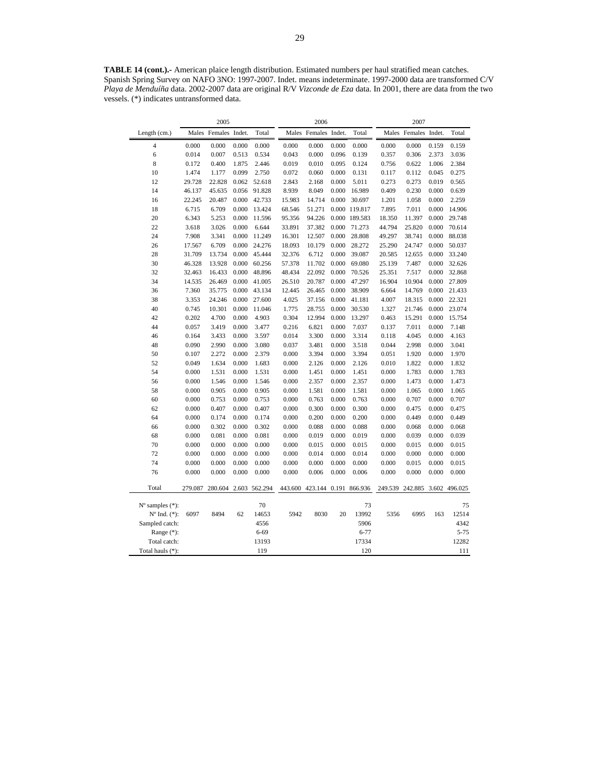**TABLE 14 (cont.).-** American plaice length distribution. Estimated numbers per haul stratified mean catches. Spanish Spring Survey on NAFO 3NO: 1997-2007. Indet. means indeterminate. 1997-2000 data are transformed C/V *Playa de Menduíña* data. 2002-2007 data are original R/V *Vizconde de Eza* data. In 2001, there are data from the two vessels. (\*) indicates untransformed data.

|                             |         | 2005                  |       |        | 2006   |                | 2007  |                               |         |                |       |               |
|-----------------------------|---------|-----------------------|-------|--------|--------|----------------|-------|-------------------------------|---------|----------------|-------|---------------|
| Length (cm.)                |         | Males Females Indet.  |       | Total  | Males  | Females Indet. |       | Total                         | Males   | Females Indet. |       | Total         |
| 4                           | 0.000   | 0.000                 | 0.000 | 0.000  | 0.000  | 0.000          | 0.000 | 0.000                         | 0.000   | 0.000          | 0.159 | 0.159         |
| 6                           | 0.014   | 0.007                 | 0.513 | 0.534  | 0.043  | 0.000          | 0.096 | 0.139                         | 0.357   | 0.306          | 2.373 | 3.036         |
| 8                           | 0.172   | 0.400                 | 1.875 | 2.446  | 0.019  | 0.010          | 0.095 | 0.124                         | 0.756   | 0.622          | 1.006 | 2.384         |
| 10                          | 1.474   | 1.177                 | 0.099 | 2.750  | 0.072  | 0.060          | 0.000 | 0.131                         | 0.117   | 0.112          | 0.045 | 0.275         |
| 12                          | 29.728  | 22.828                | 0.062 | 52.618 | 2.843  | 2.168          | 0.000 | 5.011                         | 0.273   | 0.273          | 0.019 | 0.565         |
| 14                          | 46.137  | 45.635                | 0.056 | 91.828 | 8.939  | 8.049          | 0.000 | 16.989                        | 0.409   | 0.230          | 0.000 | 0.639         |
| 16                          | 22.245  | 20.487                | 0.000 | 42.733 | 15.983 | 14.714         | 0.000 | 30.697                        | 1.201   | 1.058          | 0.000 | 2.259         |
| 18                          | 6.715   | 6.709                 | 0.000 | 13.424 | 68.546 | 51.271         |       | 0.000 119.817                 | 7.895   | 7.011          | 0.000 | 14.906        |
| 20                          | 6.343   | 5.253                 | 0.000 | 11.596 | 95.356 | 94.226         |       | 0.000 189.583                 | 18.350  | 11.397         | 0.000 | 29.748        |
| 22                          | 3.618   | 3.026                 | 0.000 | 6.644  | 33.891 | 37.382         | 0.000 | 71.273                        | 44.794  | 25.820         | 0.000 | 70.614        |
| 24                          | 7.908   | 3.341                 | 0.000 | 11.249 | 16.301 | 12.507         | 0.000 | 28.808                        | 49.297  | 38.741         | 0.000 | 88.038        |
| 26                          | 17.567  | 6.709                 | 0.000 | 24.276 | 18.093 | 10.179         | 0.000 | 28.272                        | 25.290  | 24.747         | 0.000 | 50.037        |
| 28                          | 31.709  | 13.734                | 0.000 | 45.444 | 32.376 | 6.712          | 0.000 | 39.087                        | 20.585  | 12.655         | 0.000 | 33.240        |
| 30                          | 46.328  | 13.928                | 0.000 | 60.256 | 57.378 | 11.702         | 0.000 | 69.080                        | 25.139  | 7.487          | 0.000 | 32.626        |
| 32                          | 32.463  | 16.433                | 0.000 | 48.896 | 48.434 | 22.092         | 0.000 | 70.526                        | 25.351  | 7.517          | 0.000 | 32.868        |
| 34                          | 14.535  | 26.469                | 0.000 | 41.005 | 26.510 | 20.787         | 0.000 | 47.297                        | 16.904  | 10.904         | 0.000 | 27.809        |
| 36                          | 7.360   | 35.775                | 0.000 | 43.134 | 12.445 | 26.465         | 0.000 | 38.909                        | 6.664   | 14.769         | 0.000 | 21.433        |
| 38                          | 3.353   | 24.246                | 0.000 | 27.600 | 4.025  | 37.156         | 0.000 | 41.181                        | 4.007   | 18.315         | 0.000 | 22.321        |
| 40                          | 0.745   | 10.301                | 0.000 | 11.046 | 1.775  | 28.755         | 0.000 | 30.530                        | 1.327   | 21.746         | 0.000 | 23.074        |
| 42                          | 0.202   | 4.700                 | 0.000 | 4.903  | 0.304  | 12.994         | 0.000 | 13.297                        | 0.463   | 15.291         | 0.000 | 15.754        |
| 44                          | 0.057   | 3.419                 | 0.000 | 3.477  | 0.216  | 6.821          | 0.000 | 7.037                         | 0.137   | 7.011          | 0.000 | 7.148         |
| 46                          | 0.164   | 3.433                 | 0.000 | 3.597  | 0.014  | 3.300          | 0.000 | 3.314                         | 0.118   | 4.045          | 0.000 | 4.163         |
| 48                          | 0.090   | 2.990                 | 0.000 | 3.080  | 0.037  | 3.481          | 0.000 | 3.518                         | 0.044   | 2.998          | 0.000 | 3.041         |
| 50                          | 0.107   | 2.272                 | 0.000 | 2.379  | 0.000  | 3.394          | 0.000 | 3.394                         | 0.051   | 1.920          | 0.000 | 1.970         |
| 52                          | 0.049   | 1.634                 | 0.000 | 1.683  | 0.000  | 2.126          | 0.000 | 2.126                         | 0.010   | 1.822          | 0.000 | 1.832         |
| 54                          | 0.000   | 1.531                 | 0.000 | 1.531  | 0.000  | 1.451          | 0.000 | 1.451                         | 0.000   | 1.783          | 0.000 | 1.783         |
| 56                          | 0.000   | 1.546                 | 0.000 | 1.546  | 0.000  | 2.357          | 0.000 | 2.357                         | 0.000   | 1.473          | 0.000 | 1.473         |
| 58                          | 0.000   | 0.905                 | 0.000 | 0.905  | 0.000  | 1.581          | 0.000 | 1.581                         | 0.000   | 1.065          | 0.000 | 1.065         |
| 60                          | 0.000   | 0.753                 | 0.000 | 0.753  | 0.000  | 0.763          | 0.000 | 0.763                         | 0.000   | 0.707          | 0.000 | 0.707         |
| 62                          | 0.000   | 0.407                 | 0.000 | 0.407  | 0.000  | 0.300          | 0.000 | 0.300                         | 0.000   | 0.475          | 0.000 | 0.475         |
| 64                          | 0.000   | 0.174                 | 0.000 | 0.174  | 0.000  | 0.200          | 0.000 | 0.200                         | 0.000   | 0.449          | 0.000 | 0.449         |
| 66                          | 0.000   | 0.302                 | 0.000 | 0.302  | 0.000  | 0.088          | 0.000 | 0.088                         | 0.000   | 0.068          | 0.000 | 0.068         |
| 68                          | 0.000   | 0.081                 | 0.000 | 0.081  | 0.000  | 0.019          | 0.000 | 0.019                         | 0.000   | 0.039          | 0.000 | 0.039         |
| 70                          | 0.000   | 0.000                 | 0.000 | 0.000  | 0.000  | 0.015          | 0.000 | 0.015                         | 0.000   | 0.015          | 0.000 | 0.015         |
| 72                          | 0.000   | 0.000                 | 0.000 | 0.000  | 0.000  | 0.014          | 0.000 | 0.014                         | 0.000   | 0.000          | 0.000 | 0.000         |
| 74                          | 0.000   | 0.000                 | 0.000 | 0.000  | 0.000  | 0.000          | 0.000 | 0.000                         | 0.000   | 0.015          | 0.000 | 0.015         |
| 76                          | 0.000   | 0.000                 | 0.000 | 0.000  | 0.000  | 0.006          | 0.000 | 0.006                         | 0.000   | 0.000          | 0.000 | 0.000         |
| Total                       | 279.087 | 280.604 2.603 562.294 |       |        |        |                |       | 443.600 423.144 0.191 866.936 | 249.539 | 242.885        |       | 3.602 496.025 |
| $N^{\circ}$ samples $(*)$ : |         |                       |       | 70     |        |                |       | 73                            |         |                |       | 75            |
| $No$ Ind. $(*)$ :           | 6097    | 8494                  | 62    | 14653  | 5942   | 8030           | 20    | 13992                         | 5356    | 6995           | 163   | 12514         |
| Sampled catch:              |         |                       |       | 4556   |        |                |       | 5906                          |         |                |       | 4342          |
| Range $(*)$ :               |         |                       |       | 6-69   |        |                |       | $6 - 77$                      |         |                |       | $5 - 75$      |
| Total catch:                |         |                       |       | 13193  |        |                |       | 17334                         |         |                |       | 12282         |
| Total hauls (*):            |         |                       |       | 119    |        |                |       | 120                           |         |                |       | 111           |
|                             |         |                       |       |        |        |                |       |                               |         |                |       |               |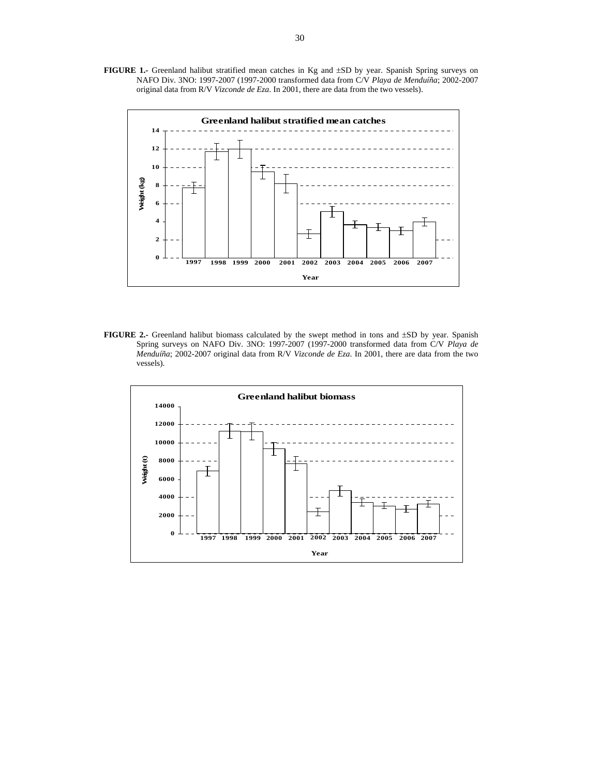**FIGURE 1.-** Greenland halibut stratified mean catches in Kg and ±SD by year. Spanish Spring surveys on NAFO Div. 3NO: 1997-2007 (1997-2000 transformed data from C/V *Playa de Menduíña*; 2002-2007 original data from R/V *Vizconde de Eza*. In 2001, there are data from the two vessels).



**FIGURE 2.-** Greenland halibut biomass calculated by the swept method in tons and  $\pm$ SD by year. Spanish Spring surveys on NAFO Div. 3NO: 1997-2007 (1997-2000 transformed data from C/V *Playa de Menduíña*; 2002-2007 original data from R/V *Vizconde de Eza*. In 2001, there are data from the two vessels).

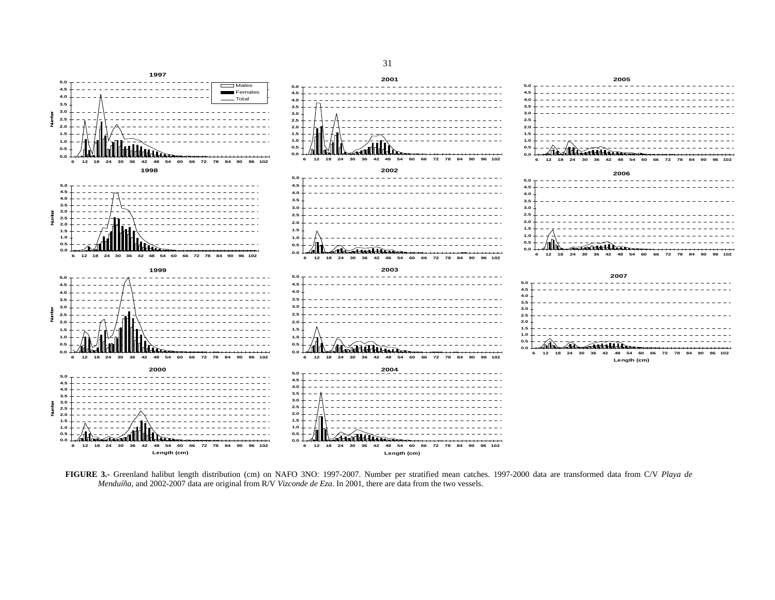

**FIGURE 3.-** Greenland halibut length distribution (cm) on NAFO 3NO: 1997-2007. Number per stratified mean catches. 1997-2000 data are transformed data from C/V *Playa de Menduíña*, and 2002-2007 data are original from R/V *Vizconde de Eza*. In 2001, there are data from the two vessels.

31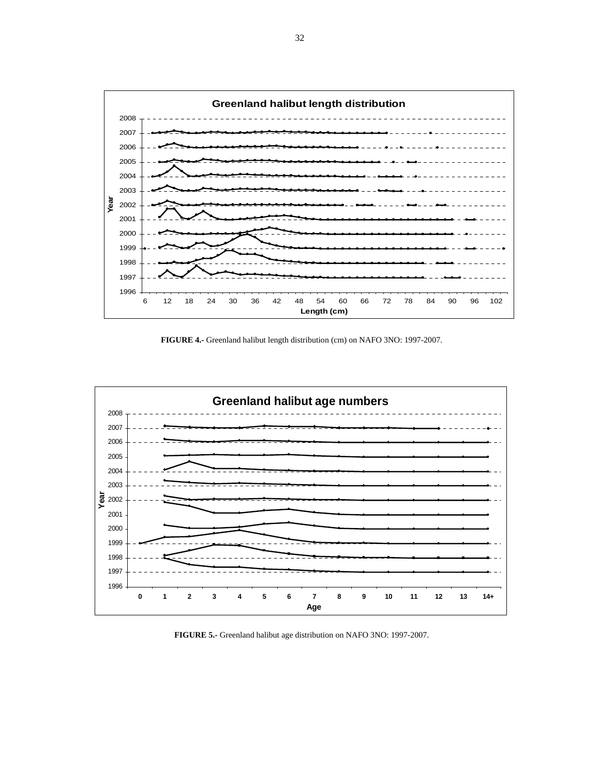

**FIGURE 4.-** Greenland halibut length distribution (cm) on NAFO 3NO: 1997-2007.



**FIGURE 5.-** Greenland halibut age distribution on NAFO 3NO: 1997-2007.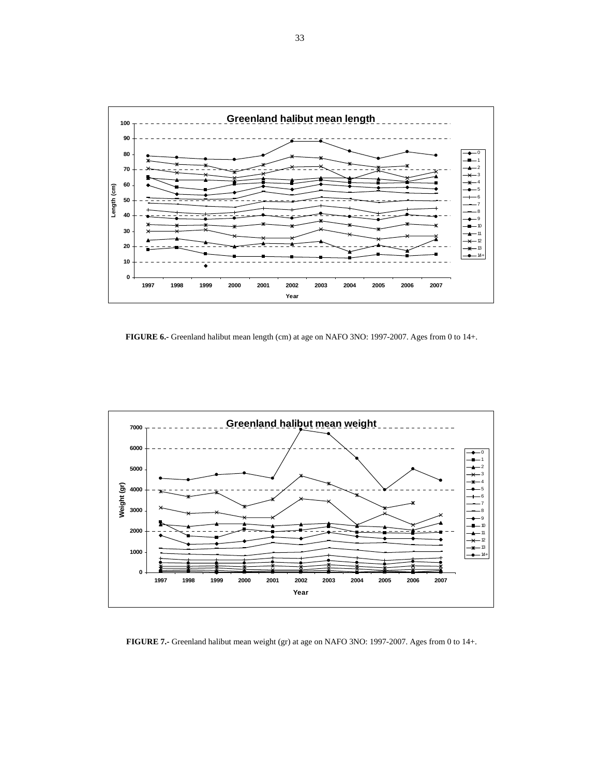

**FIGURE 6.-** Greenland halibut mean length (cm) at age on NAFO 3NO: 1997-2007. Ages from 0 to 14+.



**FIGURE 7.-** Greenland halibut mean weight (gr) at age on NAFO 3NO: 1997-2007. Ages from 0 to 14+.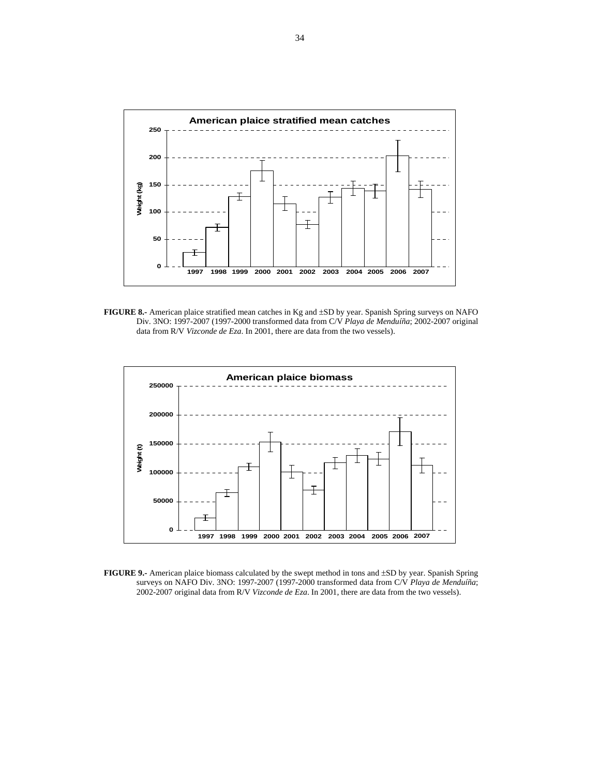

**FIGURE 8.-** American plaice stratified mean catches in Kg and ±SD by year. Spanish Spring surveys on NAFO Div. 3NO: 1997-2007 (1997-2000 transformed data from C/V *Playa de Menduíña*; 2002-2007 original data from R/V *Vizconde de Eza*. In 2001, there are data from the two vessels).



**FIGURE 9.-** American plaice biomass calculated by the swept method in tons and  $\pm$ SD by year. Spanish Spring surveys on NAFO Div. 3NO: 1997-2007 (1997-2000 transformed data from C/V *Playa de Menduíña*; 2002-2007 original data from R/V *Vizconde de Eza*. In 2001, there are data from the two vessels).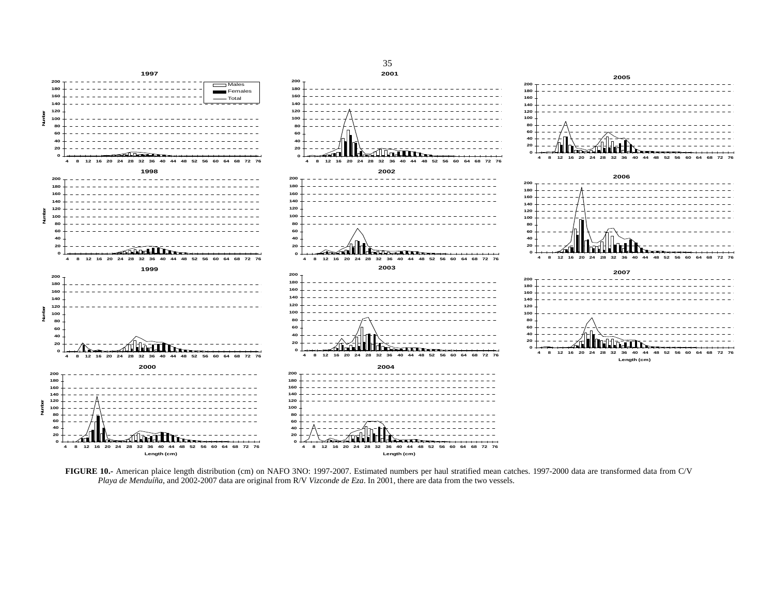

**FIGURE 10.-** American plaice length distribution (cm) on NAFO 3NO: 1997-2007. Estimated numbers per haul stratified mean catches. 1997-2000 data are transformed data from C/V *Playa de Menduíña*, and 2002-2007 data are original from R/V *Vizconde de Eza*. In 2001, there are data from the two vessels.